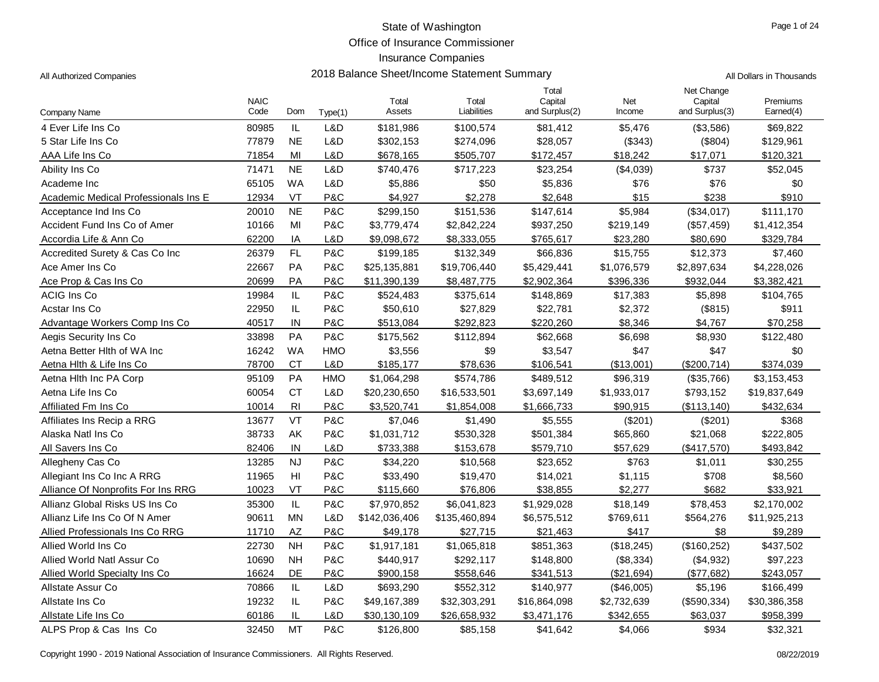Office of Insurance Commissioner

# Insurance Companies

| All Authorized Companies |  |
|--------------------------|--|
|                          |  |

| <b>Company Name</b>                  | <b>NAIC</b><br>Code | Dom            | Type(1)        | Total<br>Assets | Total<br>Liabilities | Total<br>Capital<br>and Surplus(2) | Net<br>Income | Net Change<br>Capital<br>and Surplus(3) | Premiums<br>Earned(4) |
|--------------------------------------|---------------------|----------------|----------------|-----------------|----------------------|------------------------------------|---------------|-----------------------------------------|-----------------------|
| 4 Ever Life Ins Co                   | 80985               | IL             | L&D            | \$181,986       | \$100,574            | \$81,412                           | \$5,476       | (\$3,586)                               | \$69,822              |
| 5 Star Life Ins Co                   | 77879               | <b>NE</b>      | L&D            | \$302,153       | \$274,096            | \$28,057                           | (\$343)       | (\$804)                                 | \$129,961             |
| AAA Life Ins Co                      | 71854               | MI             | L&D            | \$678,165       | \$505,707            | \$172,457                          | \$18,242      | \$17,071                                | \$120,321             |
| Ability Ins Co                       | 71471               | <b>NE</b>      | L&D            | \$740,476       | \$717,223            | \$23,254                           | (\$4,039)     | \$737                                   | \$52,045              |
| Academe Inc                          | 65105               | <b>WA</b>      | L&D            | \$5,886         | \$50                 | \$5,836                            | \$76          | \$76                                    | \$0                   |
| Academic Medical Professionals Ins E | 12934               | VT             | P&C            | \$4,927         | \$2,278              | \$2.648                            | \$15          | \$238                                   | \$910                 |
| Acceptance Ind Ins Co                | 20010               | <b>NE</b>      | P&C            | \$299,150       | \$151,536            | \$147,614                          | \$5,984       | (\$34,017)                              | \$111,170             |
| Accident Fund Ins Co of Amer         | 10166               | MI             | P&C            | \$3,779,474     | \$2,842,224          | \$937,250                          | \$219,149     | (\$57,459)                              | \$1,412,354           |
| Accordia Life & Ann Co               | 62200               | IA             | L&D            | \$9,098,672     | \$8,333,055          | \$765,617                          | \$23,280      | \$80,690                                | \$329,784             |
| Accredited Surety & Cas Co Inc       | 26379               | FL             | P&C            | \$199,185       | \$132,349            | \$66,836                           | \$15,755      | \$12,373                                | \$7,460               |
| Ace Amer Ins Co                      | 22667               | PA             | P&C            | \$25,135,881    | \$19,706,440         | \$5,429,441                        | \$1,076,579   | \$2,897,634                             | \$4,228,026           |
| Ace Prop & Cas Ins Co                | 20699               | PA             | P&C            | \$11,390,139    | \$8,487,775          | \$2,902,364                        | \$396,336     | \$932,044                               | \$3,382,421           |
| <b>ACIG Ins Co</b>                   | 19984               | IL             | P&C            | \$524,483       | \$375,614            | \$148,869                          | \$17,383      | \$5,898                                 | \$104,765             |
| Acstar Ins Co                        | 22950               | IL             | P&C            | \$50,610        | \$27,829             | \$22,781                           | \$2,372       | (\$815)                                 | \$911                 |
| Advantage Workers Comp Ins Co        | 40517               | IN             | <b>P&amp;C</b> | \$513,084       | \$292,823            | \$220,260                          | \$8,346       | \$4,767                                 | \$70,258              |
| Aegis Security Ins Co                | 33898               | PA             | <b>P&amp;C</b> | \$175,562       | \$112,894            | \$62,668                           | \$6,698       | \$8,930                                 | \$122,480             |
| Aetna Better Hith of WA Inc          | 16242               | <b>WA</b>      | <b>HMO</b>     | \$3,556         | \$9                  | \$3,547                            | \$47          | \$47                                    | \$0                   |
| Aetna Hith & Life Ins Co             | 78700               | <b>CT</b>      | <b>L&amp;D</b> | \$185,177       | \$78,636             | \$106,541                          | (\$13,001)    | (\$200,714)                             | \$374,039             |
| Aetna Hith Inc PA Corp               | 95109               | PA             | <b>HMO</b>     | \$1,064,298     | \$574,786            | \$489,512                          | \$96,319      | (\$35,766)                              | \$3,153,453           |
| Aetna Life Ins Co                    | 60054               | <b>CT</b>      | L&D            | \$20,230,650    | \$16,533,501         | \$3,697,149                        | \$1,933,017   | \$793,152                               | \$19,837,649          |
| Affiliated Fm Ins Co                 | 10014               | R <sub>l</sub> | P&C            | \$3,520,741     | \$1,854,008          | \$1,666,733                        | \$90,915      | (\$113, 140)                            | \$432,634             |
| Affiliates Ins Recip a RRG           | 13677               | VT             | <b>P&amp;C</b> | \$7,046         | \$1,490              | \$5,555                            | (\$201)       | (\$201)                                 | \$368                 |
| Alaska Natl Ins Co                   | 38733               | AK             | <b>P&amp;C</b> | \$1,031,712     | \$530,328            | \$501,384                          | \$65,860      | \$21,068                                | \$222,805             |
| All Savers Ins Co                    | 82406               | IN             | L&D            | \$733,388       | \$153,678            | \$579,710                          | \$57,629      | (\$417,570)                             | \$493,842             |
| Allegheny Cas Co                     | 13285               | <b>NJ</b>      | P&C            | \$34,220        | \$10,568             | \$23,652                           | \$763         | \$1,011                                 | \$30,255              |
| Allegiant Ins Co Inc A RRG           | 11965               | H <sub>l</sub> | P&C            | \$33,490        | \$19,470             | \$14,021                           | \$1,115       | \$708                                   | \$8,560               |
| Alliance Of Nonprofits For Ins RRG   | 10023               | VT             | P&C            | \$115,660       | \$76,806             | \$38,855                           | \$2,277       | \$682                                   | \$33,921              |
| Allianz Global Risks US Ins Co       | 35300               | $\mathsf{IL}$  | P&C            | \$7,970,852     | \$6,041,823          | \$1,929,028                        | \$18,149      | \$78,453                                | \$2,170,002           |
| Allianz Life Ins Co Of N Amer        | 90611               | <b>MN</b>      | L&D            | \$142,036,406   | \$135,460,894        | \$6,575,512                        | \$769,611     | \$564,276                               | \$11,925,213          |
| Allied Professionals Ins Co RRG      | 11710               | <b>AZ</b>      | P&C            | \$49,178        | \$27,715             | \$21,463                           | \$417         | \$8                                     | \$9,289               |
| Allied World Ins Co.                 | 22730               | <b>NH</b>      | P&C            | \$1,917,181     | \$1,065,818          | \$851,363                          | (\$18,245)    | (\$160, 252)                            | \$437,502             |
| Allied World Natl Assur Co           | 10690               | <b>NH</b>      | P&C            | \$440,917       | \$292,117            | \$148,800                          | (\$8,334)     | (\$4,932)                               | \$97,223              |
| Allied World Specialty Ins Co        | 16624               | DE             | P&C            | \$900,158       | \$558,646            | \$341,513                          | (\$21,694)    | (\$77,682)                              | \$243,057             |
| Allstate Assur Co                    | 70866               | $\mathsf{IL}$  | L&D            | \$693,290       | \$552,312            | \$140,977                          | (\$46,005)    | \$5,196                                 | \$166,499             |
| Allstate Ins Co                      | 19232               | IL.            | P&C            | \$49,167,389    | \$32,303,291         | \$16,864,098                       | \$2,732,639   | (\$590,334)                             | \$30,386,358          |
| Allstate Life Ins Co                 | 60186               | IL             | L&D            | \$30,130,109    | \$26,658,932         | \$3,471,176                        | \$342,655     | \$63,037                                | \$958,399             |
| ALPS Prop & Cas Ins Co               | 32450               | <b>MT</b>      | P&C            | \$126,800       | \$85,158             | \$41,642                           | \$4,066       | \$934                                   | \$32,321              |

Copyright 1990 - 2019 National Association of Insurance Commissioners. All Rights Reserved. 08/22/2019 Commissioners and Rights Reserved.

2018 Balance Sheet/Income Statement Summary **Authorized Companies 2018** All Dollars in Thousands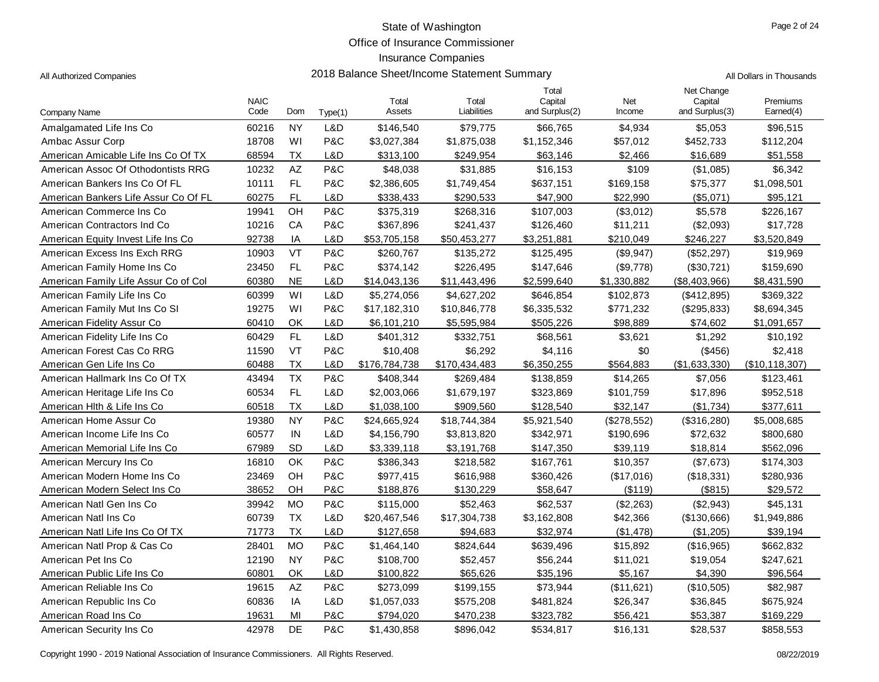Office of Insurance Commissioner

#### Insurance Companies

|                                      | <b>NAIC</b> |           |         | Total         | Total         | Total<br>Capital | Net         | Net Change<br>Capital | Premiums         |
|--------------------------------------|-------------|-----------|---------|---------------|---------------|------------------|-------------|-----------------------|------------------|
| <b>Company Name</b>                  | Code        | Dom       | Type(1) | Assets        | Liabilities   | and Surplus(2)   | Income      | and Surplus(3)        | Earned(4)        |
| Amalgamated Life Ins Co              | 60216       | <b>NY</b> | L&D     | \$146,540     | \$79,775      | \$66,765         | \$4,934     | \$5,053               | \$96,515         |
| Ambac Assur Corp                     | 18708       | WI        | P&C     | \$3,027,384   | \$1,875,038   | \$1,152,346      | \$57,012    | \$452,733             | \$112,204        |
| American Amicable Life Ins Co Of TX  | 68594       | <b>TX</b> | L&D     | \$313,100     | \$249,954     | \$63,146         | \$2,466     | \$16,689              | \$51,558         |
| American Assoc Of Othodontists RRG   | 10232       | AZ        | P&C     | \$48,038      | \$31,885      | \$16,153         | \$109       | (\$1,085)             | \$6,342          |
| American Bankers Ins Co Of FL        | 10111       | <b>FL</b> | P&C     | \$2,386,605   | \$1,749,454   | \$637,151        | \$169,158   | \$75,377              | \$1,098,501      |
| American Bankers Life Assur Co Of FL | 60275       | <b>FL</b> | L&D     | \$338,433     | \$290,533     | \$47,900         | \$22,990    | (\$5,071)             | \$95,121         |
| American Commerce Ins Co             | 19941       | OH        | P&C     | \$375,319     | \$268,316     | \$107,003        | (\$3,012)   | \$5,578               | \$226,167        |
| American Contractors Ind Co          | 10216       | CA        | P&C     | \$367,896     | \$241,437     | \$126,460        | \$11,211    | (\$2,093)             | \$17,728         |
| American Equity Invest Life Ins Co   | 92738       | IA        | L&D     | \$53,705,158  | \$50,453,277  | \$3,251,881      | \$210,049   | \$246,227             | \$3,520,849      |
| American Excess Ins Exch RRG         | 10903       | VT        | P&C     | \$260,767     | \$135,272     | \$125,495        | (\$9,947)   | (\$52,297)            | \$19,969         |
| American Family Home Ins Co          | 23450       | FL        | P&C     | \$374,142     | \$226,495     | \$147,646        | (\$9,778)   | (\$30,721)            | \$159,690        |
| American Family Life Assur Co of Col | 60380       | <b>NE</b> | L&D     | \$14,043,136  | \$11,443,496  | \$2,599,640      | \$1,330,882 | (\$8,403,966)         | \$8,431,590      |
| American Family Life Ins Co          | 60399       | WI        | L&D     | \$5,274,056   | \$4,627,202   | \$646,854        | \$102,873   | (\$412,895)           | \$369,322        |
| American Family Mut Ins Co SI        | 19275       | WI        | P&C     | \$17,182,310  | \$10,846,778  | \$6,335,532      | \$771,232   | (\$295,833)           | \$8,694,345      |
| American Fidelity Assur Co           | 60410       | OK        | L&D     | \$6,101,210   | \$5,595,984   | \$505,226        | \$98,889    | \$74,602              | \$1,091,657      |
| American Fidelity Life Ins Co        | 60429       | <b>FL</b> | L&D     | \$401,312     | \$332,751     | \$68,561         | \$3,621     | \$1,292               | \$10,192         |
| American Forest Cas Co RRG           | 11590       | VT        | P&C     | \$10,408      | \$6,292       | \$4,116          | \$0         | (\$456)               | \$2,418          |
| American Gen Life Ins Co             | 60488       | <b>TX</b> | L&D     | \$176,784,738 | \$170,434,483 | \$6,350,255      | \$564,883   | (\$1,633,330)         | (\$10, 118, 307) |
| American Hallmark Ins Co Of TX       | 43494       | <b>TX</b> | P&C     | \$408,344     | \$269,484     | \$138,859        | \$14,265    | \$7,056               | \$123,461        |
| American Heritage Life Ins Co        | 60534       | FL        | L&D     | \$2,003,066   | \$1,679,197   | \$323,869        | \$101,759   | \$17,896              | \$952,518        |
| American Hith & Life Ins Co          | 60518       | <b>TX</b> | L&D     | \$1,038,100   | \$909,560     | \$128,540        | \$32,147    | (\$1,734)             | \$377,611        |
| American Home Assur Co               | 19380       | <b>NY</b> | P&C     | \$24,665,924  | \$18,744,384  | \$5,921,540      | (\$278,552) | (\$316,280)           | \$5,008,685      |
| American Income Life Ins Co          | 60577       | IN        | L&D     | \$4,156,790   | \$3,813,820   | \$342,971        | \$190,696   | \$72,632              | \$800,680        |
| American Memorial Life Ins Co        | 67989       | SD        | L&D     | \$3,339,118   | \$3,191,768   | \$147,350        | \$39,119    | \$18,814              | \$562,096        |
| American Mercury Ins Co              | 16810       | OK        | P&C     | \$386,343     | \$218,582     | \$167,761        | \$10,357    | (\$7,673)             | \$174,303        |
| American Modern Home Ins Co          | 23469       | OH        | P&C     | \$977,415     | \$616,988     | \$360,426        | (\$17,016)  | (\$18,331)            | \$280,936        |
| American Modern Select Ins Co        | 38652       | OH        | P&C     | \$188,876     | \$130,229     | \$58,647         | (\$119)     | (\$815)               | \$29,572         |
| American Natl Gen Ins Co             | 39942       | <b>MO</b> | P&C     | \$115,000     | \$52,463      | \$62,537         | (\$2,263)   | (\$2,943)             | \$45,131         |
| American Natl Ins Co.                | 60739       | <b>TX</b> | L&D     | \$20,467,546  | \$17,304,738  | \$3,162,808      | \$42,366    | (\$130,666)           | \$1,949,886      |
| American Natl Life Ins Co Of TX      | 71773       | <b>TX</b> | L&D     | \$127,658     | \$94,683      | \$32,974         | (\$1,478)   | (\$1,205)             | \$39,194         |
| American Natl Prop & Cas Co          | 28401       | <b>MO</b> | P&C     | \$1,464,140   | \$824,644     | \$639,496        | \$15,892    | (\$16,965)            | \$662,832        |
| American Pet Ins Co                  | 12190       | <b>NY</b> | P&C     | \$108,700     | \$52,457      | \$56,244         | \$11,021    | \$19,054              | \$247,621        |
| American Public Life Ins Co          | 60801       | OK        | L&D     | \$100,822     | \$65,626      | \$35,196         | \$5,167     | \$4,390               | \$96,564         |
| American Reliable Ins Co             | 19615       | AZ        | P&C     | \$273,099     | \$199,155     | \$73,944         | (\$11,621)  | (\$10,505)            | \$82,987         |
| American Republic Ins Co.            | 60836       | ΙA        | L&D     | \$1,057,033   | \$575,208     | \$481,824        | \$26,347    | \$36,845              | \$675,924        |
| American Road Ins Co                 | 19631       | MI        | P&C     | \$794,020     | \$470,238     | \$323,782        | \$56,421    | \$53,387              | \$169,229        |
| American Security Ins Co             | 42978       | <b>DE</b> | P&C     | \$1,430,858   | \$896,042     | \$534,817        | \$16,131    | \$28,537              | \$858,553        |

Copyright 1990 - 2019 National Association of Insurance Commissioners. All Rights Reserved. 08/22/2019

2018 Balance Sheet/Income Statement Summary **Authorized Companies 2018** All Dollars in Thousands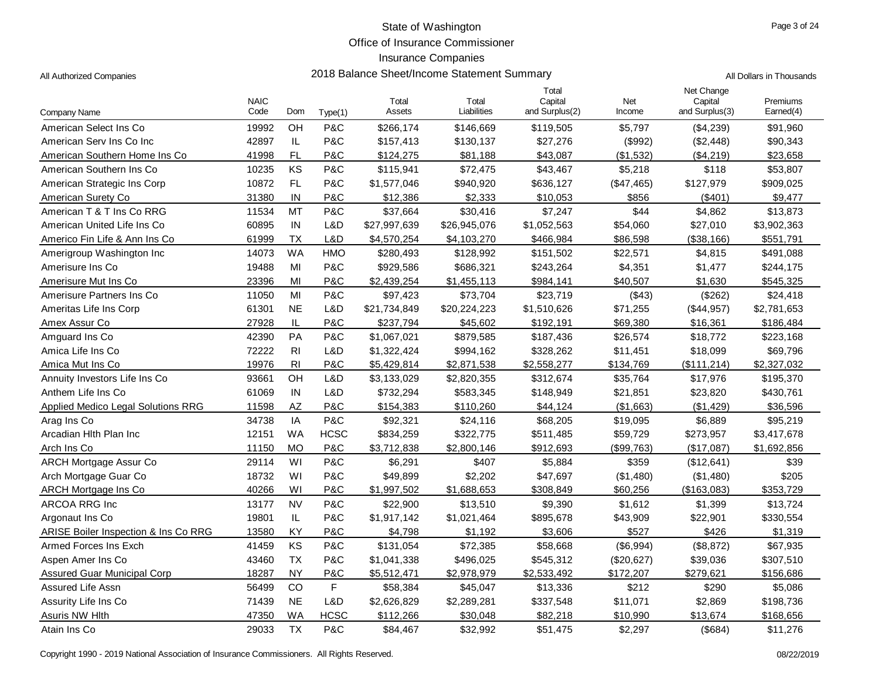Office of Insurance Commissioner

| All Dollars in Thousands |
|--------------------------|
|                          |

| Company Name                         | <b>NAIC</b><br>Code | Dom            | Type(1)     | Total<br>Assets | Total<br>Liabilities | Total<br>Capital<br>and Surplus(2) | Net<br>Income | Net Change<br>Capital<br>and Surplus(3) | Premiums<br>Earned(4) |
|--------------------------------------|---------------------|----------------|-------------|-----------------|----------------------|------------------------------------|---------------|-----------------------------------------|-----------------------|
| American Select Ins Co               | 19992               | OH             | P&C         | \$266,174       | \$146,669            | \$119,505                          | \$5,797       | (\$4,239)                               | \$91,960              |
| American Serv Ins Co Inc             | 42897               | $\mathsf{IL}$  | P&C         | \$157,413       | \$130,137            | \$27,276                           | (\$992)       | (\$2,448)                               | \$90,343              |
| American Southern Home Ins Co        | 41998               | FL             | P&C         | \$124,275       | \$81,188             | \$43,087                           | (\$1,532)     | (\$4,219)                               | \$23,658              |
| American Southern Ins Co             | 10235               | KS             | P&C         | \$115,941       | \$72,475             | \$43,467                           | \$5,218       | \$118                                   | \$53,807              |
| American Strategic Ins Corp          | 10872               | FL.            | P&C         | \$1,577,046     | \$940,920            | \$636,127                          | (\$47,465)    | \$127,979                               | \$909,025             |
| American Surety Co                   | 31380               | IN             | P&C         | \$12,386        | \$2,333              | \$10,053                           | \$856         | (\$401)                                 | \$9,477               |
| American T & T Ins Co RRG            | 11534               | <b>MT</b>      | P&C         | \$37,664        | \$30,416             | \$7,247                            | \$44          | \$4,862                                 | \$13,873              |
| American United Life Ins Co          | 60895               | IN             | L&D         | \$27,997,639    | \$26,945,076         | \$1,052,563                        | \$54,060      | \$27,010                                | \$3,902,363           |
| Americo Fin Life & Ann Ins Co        | 61999               | <b>TX</b>      | L&D         | \$4,570,254     | \$4,103,270          | \$466,984                          | \$86,598      | (\$38,166)                              | \$551,791             |
| Amerigroup Washington Inc            | 14073               | <b>WA</b>      | <b>HMO</b>  | \$280,493       | \$128,992            | \$151,502                          | \$22,571      | \$4,815                                 | \$491,088             |
| Amerisure Ins Co                     | 19488               | MI             | P&C         | \$929,586       | \$686,321            | \$243,264                          | \$4,351       | \$1,477                                 | \$244,175             |
| Amerisure Mut Ins Co                 | 23396               | MI             | P&C         | \$2,439,254     | \$1,455,113          | \$984,141                          | \$40,507      | \$1,630                                 | \$545,325             |
| Amerisure Partners Ins Co            | 11050               | MI             | P&C         | \$97,423        | \$73,704             | \$23,719                           | (\$43)        | (\$262)                                 | \$24,418              |
| Ameritas Life Ins Corp               | 61301               | <b>NE</b>      | L&D         | \$21,734,849    | \$20,224,223         | \$1,510,626                        | \$71,255      | (\$44,957)                              | \$2,781,653           |
| Amex Assur Co                        | 27928               | $\mathsf{IL}$  | P&C         | \$237,794       | \$45,602             | \$192,191                          | \$69,380      | \$16,361                                | \$186,484             |
| Amguard Ins Co                       | 42390               | PA             | P&C         | \$1,067,021     | \$879,585            | \$187,436                          | \$26,574      | \$18,772                                | \$223,168             |
| Amica Life Ins Co                    | 72222               | R <sub>l</sub> | L&D         | \$1,322,424     | \$994,162            | \$328,262                          | \$11,451      | \$18,099                                | \$69,796              |
| Amica Mut Ins Co                     | 19976               | R <sub>l</sub> | P&C         | \$5,429,814     | \$2,871,538          | \$2,558,277                        | \$134,769     | (\$111,214)                             | \$2,327,032           |
| Annuity Investors Life Ins Co        | 93661               | OH             | L&D         | \$3,133,029     | \$2,820,355          | \$312,674                          | \$35,764      | \$17,976                                | \$195,370             |
| Anthem Life Ins Co                   | 61069               | IN             | L&D         | \$732,294       | \$583,345            | \$148,949                          | \$21,851      | \$23,820                                | \$430,761             |
| Applied Medico Legal Solutions RRG   | 11598               | AZ             | P&C         | \$154,383       | \$110,260            | \$44,124                           | (\$1,663)     | (\$1,429)                               | \$36,596              |
| Arag Ins Co                          | 34738               | IA             | P&C         | \$92,321        | \$24,116             | \$68,205                           | \$19,095      | \$6,889                                 | \$95,219              |
| Arcadian Hlth Plan Inc               | 12151               | <b>WA</b>      | <b>HCSC</b> | \$834,259       | \$322,775            | \$511,485                          | \$59,729      | \$273,957                               | \$3,417,678           |
| Arch Ins Co                          | 11150               | <b>MO</b>      | P&C         | \$3,712,838     | \$2,800,146          | \$912,693                          | (\$99,763)    | (\$17,087)                              | \$1,692,856           |
| <b>ARCH Mortgage Assur Co</b>        | 29114               | WI             | P&C         | \$6,291         | \$407                | \$5,884                            | \$359         | (\$12,641)                              | \$39                  |
| Arch Mortgage Guar Co                | 18732               | WI             | P&C         | \$49,899        | \$2,202              | \$47,697                           | (\$1,480)     | (\$1,480)                               | \$205                 |
| ARCH Mortgage Ins Co                 | 40266               | WI             | P&C         | \$1,997,502     | \$1,688,653          | \$308,849                          | \$60,256      | (\$163,083)                             | \$353,729             |
| ARCOA RRG Inc                        | 13177               | <b>NV</b>      | P&C         | \$22,900        | \$13,510             | \$9,390                            | \$1,612       | \$1,399                                 | \$13,724              |
| Argonaut Ins Co                      | 19801               | IL             | P&C         | \$1,917,142     | \$1,021,464          | \$895,678                          | \$43,909      | \$22,901                                | \$330,554             |
| ARISE Boiler Inspection & Ins Co RRG | 13580               | KY             | P&C         | \$4,798         | \$1,192              | \$3,606                            | \$527         | \$426                                   | \$1,319               |
| Armed Forces Ins Exch                | 41459               | KS             | P&C         | \$131,054       | \$72,385             | \$58,668                           | (\$6,994)     | (\$8,872)                               | \$67,935              |
| Aspen Amer Ins Co                    | 43460               | <b>TX</b>      | P&C         | \$1,041,338     | \$496,025            | \$545,312                          | (\$20,627)    | \$39,036                                | \$307,510             |
| Assured Guar Municipal Corp          | 18287               | <b>NY</b>      | P&C         | \$5,512,471     | \$2,978,979          | \$2,533,492                        | \$172,207     | \$279,621                               | \$156,686             |
| Assured Life Assn                    | 56499               | CO             | F           | \$58,384        | \$45,047             | \$13,336                           | \$212         | \$290                                   | \$5,086               |
| Assurity Life Ins Co                 | 71439               | <b>NE</b>      | L&D         | \$2,626,829     | \$2,289,281          | \$337,548                          | \$11,071      | \$2,869                                 | \$198,736             |
| <b>Asuris NW Hlth</b>                | 47350               | <b>WA</b>      | <b>HCSC</b> | \$112,266       | \$30,048             | \$82,218                           | \$10,990      | \$13,674                                | \$168,656             |
| Atain Ins Co                         | 29033               | <b>TX</b>      | P&C         | \$84,467        | \$32,992             | \$51,475                           | \$2,297       | (\$684)                                 | \$11,276              |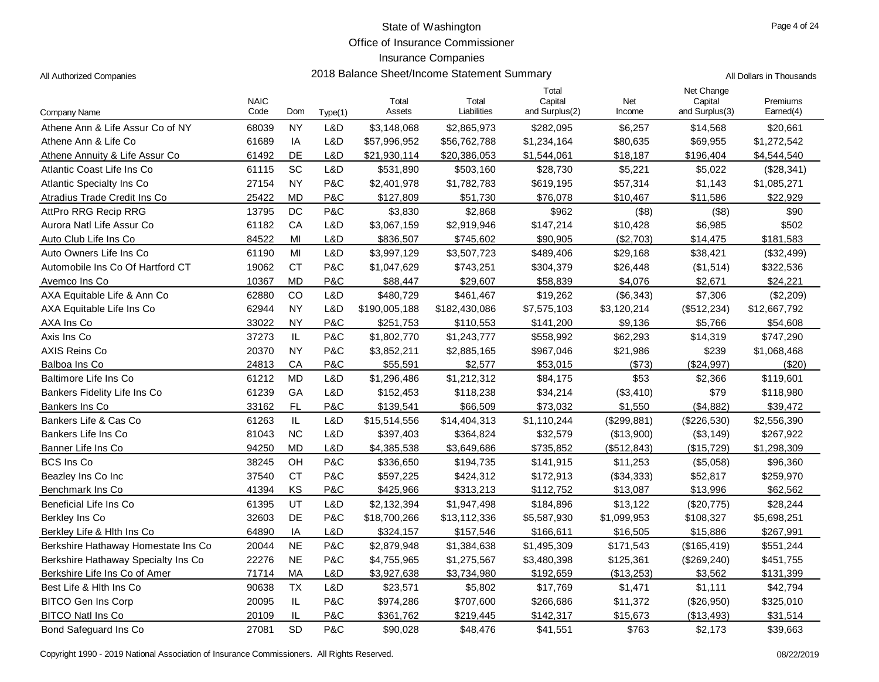Office of Insurance Commissioner

#### Insurance Companies

All Authorized Companies 2018 Balance Sheet/Income Statement Summary All Dollars in Thousands

Company Name NAIC<br>Code Dom Type(1) Total Assets Total Liabilities Total **Capital** and Surplus(2) Net Income Net Change **Capital** and Surplus(3) Premiums<br>Earned(4) Dom Type(1) Assets Liabilities and Surplus(2) Income and Surplus(3) Earned(4) Athene Ann & Life Assur Co of NY 68039 NY L&D \$3,148,068 \$2,865,973 \$282,095 \$6,257 \$14,568 \$20,661 Athene Ann & Life Co 61689 IA L&D \$57,996,952 \$56,762,788 \$1,234,164 \$80,635 \$69,955 \$1,272,542 Athene Annuity & Life Assur Co 61492 DE L&D \$21,930,114 \$20,386,053 \$1,544,061 \$18,187 \$196,404 \$4,544,540 Atlantic Coast Life Ins Co 61115 SC L&D \$531,890 \$503,160 \$28.730 \$5.221 \$5.022 (\$28.341) Atlantic Specialty Ins Co 27154 NY P&C \$2,401,978 \$1,782,783 \$619,195 \$57,314 \$1,143 \$1,085,271 Atradius Trade Credit Ins Co **25422 MD P&C** \$127,809 \$51,730 \$76,078 \$10,467 \$11,586 \$22,929 AttPro RRG Recip RRG 13795 DC P&C \$3,830 \$2,868 \$962 (\$8) (\$8) \$90 Aurora Natl Life Assur Co **61182** CA L&D \$3,067,159 \$2,919,946 \$147,214 \$10,428 \$6,985 \$502 Auto Club Life Ins Co 84522 MI L&D \$836,507 \$745,602 \$90,905 (\$2,703) \$14,475 \$181,583 Auto Owners Life Ins Co **61190** MI L&D \$3,997,129 \$3,507,723 \$489,406 \$29,168 \$38,421 (\$32,499) Automobile Ins Co Of Hartford CT **19062 CT** P&C \$1,047,629 \$743,251 \$304,379 \$26,448 (\$1,514) \$322,536 Avemco Ins Co 10367 MD P&C \$88,447 \$29,607 \$58,839 \$4,076 \$2,671 \$24,221 AXA Equitable Life & Ann Co 62880 CO L&D \$480,729 \$461,467 \$19,262 (\$6,343) \$7,306 (\$2,209) AXA Equitable Life Ins Co 62944 NY L&D \$190,005,188 \$182,430,086 \$7,575,103 \$3,120,214 (\$512,234) \$12,667,792 AXA Ins Co 33022 NY P&C \$251,753 \$110,553 \$141,200 \$9,136 \$5,766 \$54,608 Axis Ins Co 37273 IL P&C \$1,802,770 \$1,243,777 \$558,992 \$62,293 \$14,319 \$747,290 AXIS Reins Co 20370 NY P&C \$3,852,211 \$2,885,165 \$967,046 \$21,986 \$239 \$1,068,468 Balboa Ins Co 24813 CA P&C \$55,591 \$2,577 \$53,015 (\$73) (\$24,997) (\$20) Baltimore Life Ins Co 61212 MD L&D \$1,296,486 \$1,212,312 \$84,175 \$53 \$2,366 \$119,601 Bankers Fidelity Life Ins Co 61239 GA L&D \$152,453 \$118,238 \$34,214 (\$3,410) \$79 \$118,980 Bankers Ins Co 33162 FL P&C \$139,541 \$66,509 \$73,032 \$1,550 (\$4,882) \$39,472 Bankers Life & Cas Co 61263 IL L&D \$15,514,556 \$14,404,313 \$1,110,244 (\$299,881) (\$226,530) \$2,556,390 Bankers Life Ins Co 81043 NC L&D \$397,403 \$364,824 \$32,579 (\$13,900) (\$3,149) \$267,922 Banner Life Ins Co 94250 MD L&D \$4,385,538 \$3,649,686 \$735,852 (\$512,843) (\$15,729) \$1,298,309 BCS Ins Co 38245 OH P&C \$336,650 \$194,735 \$141,915 \$11,253 (\$5,058) \$96,360 Beazley Ins Co Inc 37540 CT P&C \$597,225 \$424,312 \$172,913 (\$34,333) \$52,817 \$259,970 Benchmark Ins Co 41394 KS P&C \$425,966 \$313,213 \$112,752 \$13,087 \$13,996 \$62,562 Beneficial Life Ins Co 61395 UT L&D \$2,132,394 \$1,947,498 \$184,896 \$13,122 (\$20,775) \$28,244 Berkley Ins Co 32603 DE P&C \$18,700,266 \$13,112,336 \$5,587,930 \$1,099,953 \$108,327 \$5,698,251 Berkley Life & Hlth Ins Co **64890** IA L&D \$324,157 \$157,546 \$166,611 \$16,505 \$15,886 \$267,991 Berkshire Hathaway Homestate Ins Co 20044 NE P&C \$2,879,948 \$1,384,638 \$1,495,309 \$171,543 (\$165,419) \$551,244 Berkshire Hathaway Specialty Ins Co 22276 NE P&C \$4,755,965 \$1,275,567 \$3,480,398 \$125,361 (\$269,240) \$451,755 Berkshire Life Ins Co of Amer 71714 MA L&D \$3,927,638 \$3,734,980 \$192,659 (\$13,253) \$3,562 \$131,399 Best Life & Hlth Ins Co 90638 TX L&D \$23,571 \$5,802 \$17,769 \$1,471 \$1,111 \$42,794 BITCO Gen Ins Corp 20095 IL P&C \$974,286 \$707,600 \$266,686 \$11,372 (\$26,950) \$325,010 BITCO Natl Ins Co 20109 IL P&C \$361,762 \$219,445 \$142,317 \$15,673 (\$13,493) \$31,514 Bond Safeguard Ins Co 27081 SD P&C \$90,028 \$48,476 \$41,551 \$763 \$2,173 \$39,663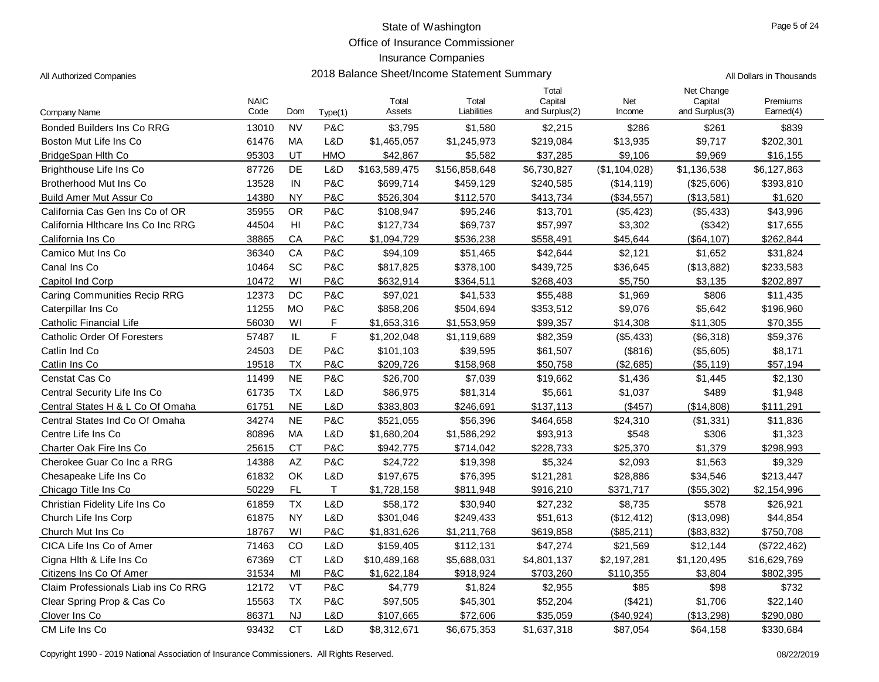Office of Insurance Commissioner

2018 Balance Sheet/Income Statement Summary **Authorized Companies 2018** All Dollars in Thousands

## Insurance Companies

|  |  |  | All Authorized Companies |
|--|--|--|--------------------------|
|--|--|--|--------------------------|

|                                     | <b>NAIC</b><br>Code | Dom       |            | Total<br>Assets | Total<br>Liabilities | Total<br>Capital<br>and Surplus(2) | Net<br>Income | Net Change<br>Capital<br>and Surplus(3) | Premiums<br>Earned(4) |
|-------------------------------------|---------------------|-----------|------------|-----------------|----------------------|------------------------------------|---------------|-----------------------------------------|-----------------------|
| Company Name                        |                     |           | Type(1)    |                 |                      |                                    |               |                                         |                       |
| <b>Bonded Builders Ins Co RRG</b>   | 13010               | <b>NV</b> | P&C        | \$3,795         | \$1,580              | \$2,215                            | \$286         | \$261                                   | \$839                 |
| Boston Mut Life Ins Co              | 61476               | МA        | L&D        | \$1,465,057     | \$1,245,973          | \$219,084                          | \$13,935      | \$9,717                                 | \$202,301             |
| BridgeSpan Hlth Co                  | 95303               | UT        | <b>HMO</b> | \$42,867        | \$5,582              | \$37,285                           | \$9,106       | \$9,969                                 | \$16,155              |
| Brighthouse Life Ins Co             | 87726               | DE        | L&D        | \$163,589,475   | \$156,858,648        | \$6,730,827                        | (\$1,104,028) | \$1,136,538                             | \$6,127,863           |
| Brotherhood Mut Ins Co              | 13528               | IN        | P&C        | \$699,714       | \$459,129            | \$240,585                          | (\$14, 119)   | (\$25,606)                              | \$393,810             |
| <b>Build Amer Mut Assur Co</b>      | 14380               | <b>NY</b> | P&C        | \$526,304       | \$112,570            | \$413,734                          | $($ \$34,557) | (\$13,581)                              | \$1,620               |
| California Cas Gen Ins Co of OR     | 35955               | <b>OR</b> | P&C        | \$108,947       | \$95,246             | \$13,701                           | (\$5,423)     | (\$5,433)                               | \$43,996              |
| California Hithcare Ins Co Inc RRG  | 44504               | HI        | P&C        | \$127,734       | \$69,737             | \$57,997                           | \$3,302       | (\$342)                                 | \$17,655              |
| California Ins Co                   | 38865               | CA        | P&C        | \$1.094.729     | \$536,238            | \$558,491                          | \$45,644      | (\$64, 107)                             | \$262,844             |
| Camico Mut Ins Co                   | 36340               | CA        | P&C        | \$94,109        | \$51,465             | \$42,644                           | \$2,121       | \$1,652                                 | \$31,824              |
| Canal Ins Co                        | 10464               | SC        | P&C        | \$817,825       | \$378,100            | \$439,725                          | \$36,645      | (\$13,882)                              | \$233,583             |
| Capitol Ind Corp                    | 10472               | WI        | P&C        | \$632,914       | \$364,511            | \$268,403                          | \$5,750       | \$3,135                                 | \$202,897             |
| <b>Caring Communities Recip RRG</b> | 12373               | DC        | P&C        | \$97,021        | \$41,533             | \$55,488                           | \$1,969       | \$806                                   | \$11,435              |
| Caterpillar Ins Co                  | 11255               | <b>MO</b> | P&C        | \$858,206       | \$504,694            | \$353,512                          | \$9,076       | \$5,642                                 | \$196,960             |
| Catholic Financial Life             | 56030               | WI        | F          | \$1,653,316     | \$1,553,959          | \$99,357                           | \$14,308      | \$11,305                                | \$70,355              |
| <b>Catholic Order Of Foresters</b>  | 57487               | IL.       | F          | \$1,202,048     | \$1,119,689          | \$82,359                           | (\$5,433)     | (\$6,318)                               | \$59,376              |
| Catlin Ind Co                       | 24503               | DE        | P&C        | \$101,103       | \$39,595             | \$61,507                           | (\$816)       | (\$5,605)                               | \$8,171               |
| Catlin Ins Co                       | 19518               | <b>TX</b> | P&C        | \$209,726       | \$158,968            | \$50,758                           | (\$2,685)     | (\$5,119)                               | \$57,194              |
| Censtat Cas Co                      | 11499               | <b>NE</b> | P&C        | \$26,700        | \$7,039              | \$19,662                           | \$1,436       | \$1,445                                 | \$2,130               |
| Central Security Life Ins Co        | 61735               | <b>TX</b> | L&D        | \$86,975        | \$81,314             | \$5,661                            | \$1,037       | \$489                                   | \$1,948               |
| Central States H & L Co Of Omaha    | 61751               | <b>NE</b> | L&D        | \$383,803       | \$246,691            | \$137,113                          | (\$457)       | (\$14,808)                              | \$111,291             |
| Central States Ind Co Of Omaha      | 34274               | <b>NE</b> | P&C        | \$521,055       | \$56,396             | \$464,658                          | \$24,310      | (\$1,331)                               | \$11,836              |
| Centre Life Ins Co                  | 80896               | MA        | L&D        | \$1,680,204     | \$1,586,292          | \$93,913                           | \$548         | \$306                                   | \$1,323               |
| Charter Oak Fire Ins Co             | 25615               | <b>CT</b> | P&C        | \$942,775       | \$714,042            | \$228,733                          | \$25,370      | \$1,379                                 | \$298,993             |
| Cherokee Guar Co Inc a RRG          | 14388               | <b>AZ</b> | P&C        | \$24,722        | \$19,398             | \$5,324                            | \$2,093       | \$1,563                                 | \$9,329               |
| Chesapeake Life Ins Co              | 61832               | OK        | L&D        | \$197,675       | \$76,395             | \$121,281                          | \$28,886      | \$34,546                                | \$213,447             |
| Chicago Title Ins Co                | 50229               | <b>FL</b> | T.         | \$1,728,158     | \$811,948            | \$916,210                          | \$371,717     | (\$55,302)                              | \$2,154,996           |
| Christian Fidelity Life Ins Co      | 61859               | <b>TX</b> | L&D        | \$58,172        | \$30,940             | \$27,232                           | \$8,735       | \$578                                   | \$26,921              |
| Church Life Ins Corp                | 61875               | <b>NY</b> | L&D        | \$301,046       | \$249,433            | \$51,613                           | (\$12,412)    | (\$13,098)                              | \$44,854              |
| Church Mut Ins Co                   | 18767               | WI        | P&C        | \$1,831,626     | \$1,211,768          | \$619,858                          | (\$85,211)    | (\$83,832)                              | \$750,708             |
| CICA Life Ins Co of Amer            | 71463               | CO        | L&D        | \$159,405       | \$112,131            | \$47,274                           | \$21,569      | \$12,144                                | (\$722,462)           |
| Cigna Hlth & Life Ins Co            | 67369               | <b>CT</b> | L&D        | \$10,489,168    | \$5,688,031          | \$4,801,137                        | \$2,197,281   | \$1,120,495                             | \$16,629,769          |
| Citizens Ins Co Of Amer             | 31534               | MI        | P&C        | \$1,622,184     | \$918,924            | \$703,260                          | \$110,355     | \$3,804                                 | \$802,395             |
| Claim Professionals Liab ins Co RRG | 12172               | VT        | P&C        | \$4,779         | \$1,824              | \$2,955                            | \$85          | \$98                                    | \$732                 |
| Clear Spring Prop & Cas Co          | 15563               | <b>TX</b> | P&C        | \$97,505        | \$45,301             | \$52,204                           | (\$421)       | \$1,706                                 | \$22,140              |
| Clover Ins Co                       | 86371               | <b>NJ</b> | L&D        | \$107,665       | \$72,606             | \$35,059                           | (\$40,924)    | (\$13,298)                              | \$290,080             |
| CM Life Ins Co                      | 93432               | <b>CT</b> | L&D        | \$8,312,671     | \$6,675,353          | \$1,637,318                        | \$87,054      | \$64,158                                | \$330,684             |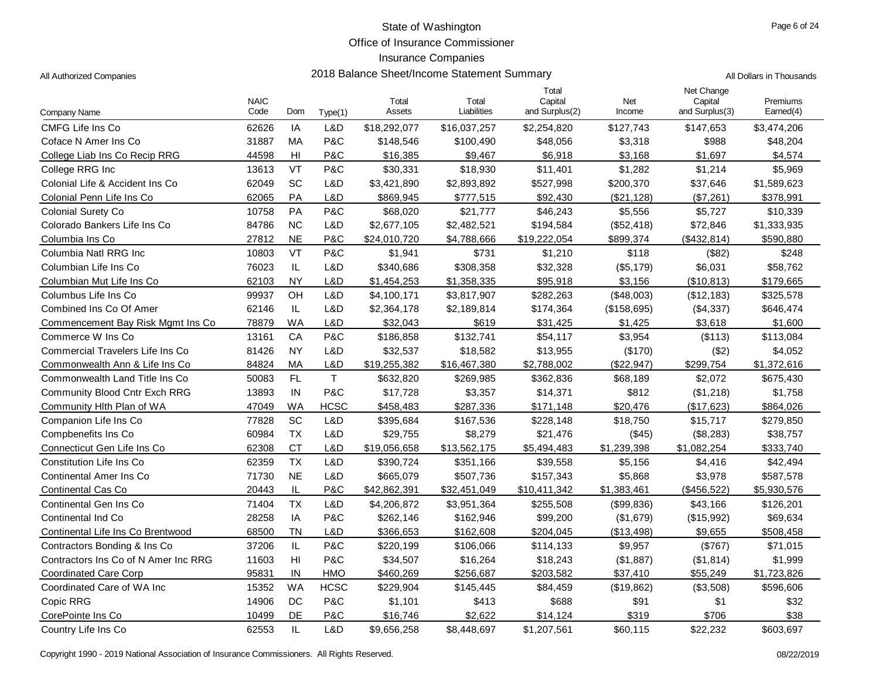Office of Insurance Commissioner

2018 Balance Sheet/Income Statement Summary **Authorized Companies 2018** All Dollars in Thousands

| All Authorized Companies |  |
|--------------------------|--|
|                          |  |

| Company Name                         | <b>NAIC</b><br>Code | Dom             | Type(1)      | Total<br>Assets | Total<br>Liabilities | Total<br>Capital<br>and Surplus(2) | Net<br>Income | Net Change<br>Capital<br>and Surplus(3) | Premiums<br>Earned(4) |
|--------------------------------------|---------------------|-----------------|--------------|-----------------|----------------------|------------------------------------|---------------|-----------------------------------------|-----------------------|
| CMFG Life Ins Co                     | 62626               | IA              | L&D          | \$18,292,077    | \$16,037,257         | \$2,254,820                        | \$127,743     | \$147,653                               | \$3,474,206           |
| Coface N Amer Ins Co                 | 31887               | MA              | P&C          | \$148,546       | \$100,490            | \$48,056                           | \$3,318       | \$988                                   | \$48,204              |
| College Liab Ins Co Recip RRG        | 44598               | H <sub>II</sub> | P&C          | \$16,385        | \$9,467              | \$6,918                            | \$3,168       | \$1,697                                 | \$4,574               |
| College RRG Inc                      | 13613               | VT              | P&C          | \$30,331        | \$18,930             | \$11,401                           | \$1,282       | \$1,214                                 | \$5,969               |
| Colonial Life & Accident Ins Co      | 62049               | SC              | L&D          | \$3,421,890     | \$2,893,892          | \$527,998                          | \$200,370     | \$37,646                                | \$1,589,623           |
| Colonial Penn Life Ins Co            | 62065               | <b>PA</b>       | L&D          | \$869,945       | \$777,515            | \$92,430                           | (\$21,128)    | (\$7,261)                               | \$378,991             |
| Colonial Surety Co                   | 10758               | <b>PA</b>       | P&C          | \$68,020        | \$21,777             | \$46,243                           | \$5,556       | \$5,727                                 | \$10,339              |
| Colorado Bankers Life Ins Co         | 84786               | <b>NC</b>       | L&D          | \$2,677,105     | \$2,482,521          | \$194,584                          | (\$52,418)    | \$72,846                                | \$1,333,935           |
| Columbia Ins Co                      | 27812               | <b>NE</b>       | P&C          | \$24,010,720    | \$4,788,666          | \$19,222,054                       | \$899,374     | (\$432, 814)                            | \$590,880             |
| Columbia Natl RRG Inc                | 10803               | VT              | P&C          | \$1,941         | \$731                | \$1,210                            | \$118         | (\$82)                                  | \$248                 |
| Columbian Life Ins Co                | 76023               | $\mathsf{IL}$   | L&D          | \$340,686       | \$308,358            | \$32,328                           | (\$5,179)     | \$6,031                                 | \$58,762              |
| Columbian Mut Life Ins Co            | 62103               | <b>NY</b>       | L&D          | \$1,454,253     | \$1,358,335          | \$95,918                           | \$3,156       | (\$10,813)                              | \$179,665             |
| Columbus Life Ins Co                 | 99937               | OH              | L&D          | \$4,100,171     | \$3,817,907          | \$282,263                          | (\$48,003)    | (\$12,183)                              | \$325,578             |
| Combined Ins Co Of Amer              | 62146               | IL.             | L&D          | \$2,364,178     | \$2,189,814          | \$174,364                          | (\$158,695)   | (\$4,337)                               | \$646,474             |
| Commencement Bay Risk Mgmt Ins Co    | 78879               | <b>WA</b>       | L&D          | \$32,043        | \$619                | \$31,425                           | \$1,425       | \$3,618                                 | \$1,600               |
| Commerce W Ins Co                    | 13161               | CA              | P&C          | \$186,858       | \$132,741            | \$54,117                           | \$3,954       | (\$113)                                 | \$113,084             |
| Commercial Travelers Life Ins Co     | 81426               | <b>NY</b>       | L&D          | \$32,537        | \$18,582             | \$13,955                           | (\$170)       | (\$2)                                   | \$4,052               |
| Commonwealth Ann & Life Ins Co       | 84824               | MA              | L&D          | \$19,255,382    | \$16,467,380         | \$2,788,002                        | (\$22,947)    | \$299,754                               | \$1,372,616           |
| Commonwealth Land Title Ins Co       | 50083               | FL              | $\mathsf{T}$ | \$632,820       | \$269,985            | \$362,836                          | \$68,189      | \$2,072                                 | \$675,430             |
| <b>Community Blood Cntr Exch RRG</b> | 13893               | IN              | P&C          | \$17,728        | \$3,357              | \$14,371                           | \$812         | (\$1,218)                               | \$1,758               |
| Community Hlth Plan of WA            | 47049               | <b>WA</b>       | <b>HCSC</b>  | \$458,483       | \$287,336            | \$171,148                          | \$20,476      | (\$17,623)                              | \$864,026             |
| Companion Life Ins Co                | 77828               | SC              | L&D          | \$395,684       | \$167,536            | \$228,148                          | \$18,750      | \$15,717                                | \$279,850             |
| Compbenefits Ins Co                  | 60984               | <b>TX</b>       | L&D          | \$29,755        | \$8,279              | \$21,476                           | (\$45)        | (\$8,283)                               | \$38,757              |
| Connecticut Gen Life Ins Co          | 62308               | <b>CT</b>       | L&D          | \$19,056,658    | \$13,562,175         | \$5,494,483                        | \$1,239,398   | \$1,082,254                             | \$333,740             |
| Constitution Life Ins Co             | 62359               | <b>TX</b>       | L&D          | \$390,724       | \$351,166            | \$39,558                           | \$5,156       | \$4,416                                 | \$42,494              |
| <b>Continental Amer Ins Co</b>       | 71730               | <b>NE</b>       | L&D          | \$665,079       | \$507,736            | \$157,343                          | \$5,868       | \$3,978                                 | \$587,578             |
| Continental Cas Co                   | 20443               | IL              | P&C          | \$42,862,391    | \$32,451,049         | \$10,411,342                       | \$1,383,461   | (\$456,522)                             | \$5,930,576           |
| Continental Gen Ins Co               | 71404               | <b>TX</b>       | L&D          | \$4,206,872     | \$3,951,364          | \$255,508                          | (\$99,836)    | \$43,166                                | \$126,201             |
| Continental Ind Co                   | 28258               | IA              | P&C          | \$262,146       | \$162,946            | \$99,200                           | (\$1,679)     | (\$15,992)                              | \$69,634              |
| Continental Life Ins Co Brentwood    | 68500               | <b>TN</b>       | L&D          | \$366,653       | \$162,608            | \$204,045                          | (\$13,498)    | \$9,655                                 | \$508,458             |
| Contractors Bonding & Ins Co         | 37206               | $\mathsf{IL}$   | P&C          | \$220,199       | \$106,066            | \$114,133                          | \$9,957       | (\$767)                                 | \$71,015              |
| Contractors Ins Co of N Amer Inc RRG | 11603               | H <sub>l</sub>  | P&C          | \$34,507        | \$16,264             | \$18,243                           | (\$1,887)     | (\$1,814)                               | \$1,999               |
| <b>Coordinated Care Corp</b>         | 95831               | IN              | <b>HMO</b>   | \$460,269       | \$256,687            | \$203,582                          | \$37,410      | \$55,249                                | \$1,723,826           |
| Coordinated Care of WA Inc           | 15352               | <b>WA</b>       | <b>HCSC</b>  | \$229,904       | \$145,445            | \$84,459                           | (\$19,862)    | (\$3,508)                               | \$596,606             |
| Copic RRG                            | 14906               | DC              | P&C          | \$1,101         | \$413                | \$688                              | \$91          | \$1                                     | \$32                  |
| CorePointe Ins Co                    | 10499               | DE              | P&C          | \$16,746        | \$2,622              | \$14,124                           | \$319         | \$706                                   | \$38                  |
| Country Life Ins Co                  | 62553               | IL              | L&D          | \$9,656,258     | \$8,448,697          | \$1,207,561                        | \$60,115      | \$22,232                                | \$603,697             |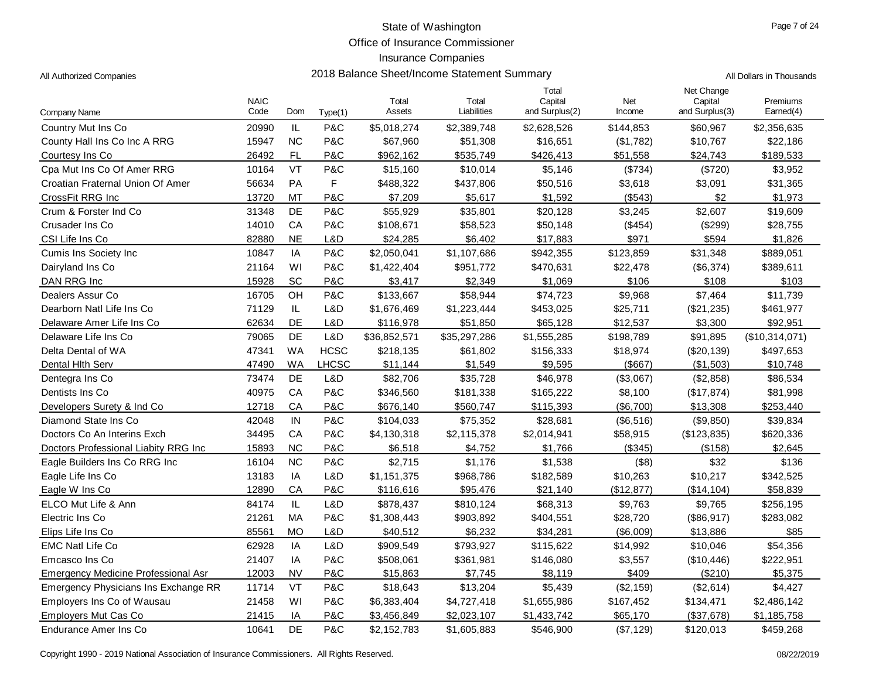Office of Insurance Commissioner

| 2018 Balance Sheet/Income Statement Summary<br>All Authorized Companies | All Dollars in Thousands |
|-------------------------------------------------------------------------|--------------------------|
|-------------------------------------------------------------------------|--------------------------|

| Company Name                               | <b>NAIC</b><br>Code | Dom       | Type(1)      | Total<br>Assets | Total<br>Liabilities | Total<br>Capital<br>and Surplus(2) | Net<br>Income | Net Change<br>Capital<br>and Surplus(3) | Premiums<br>Earned(4) |
|--------------------------------------------|---------------------|-----------|--------------|-----------------|----------------------|------------------------------------|---------------|-----------------------------------------|-----------------------|
| Country Mut Ins Co                         | 20990               | IL        | P&C          | \$5,018,274     | \$2,389,748          | \$2,628,526                        | \$144,853     | \$60,967                                | \$2,356,635           |
| County Hall Ins Co Inc A RRG               | 15947               | <b>NC</b> | P&C          | \$67,960        | \$51,308             | \$16,651                           | (\$1,782)     | \$10,767                                | \$22,186              |
| Courtesy Ins Co                            | 26492               | FL        | P&C          | \$962,162       | \$535,749            | \$426,413                          | \$51,558      | \$24,743                                | \$189,533             |
| Cpa Mut Ins Co Of Amer RRG                 | 10164               | VT        | P&C          | \$15,160        | \$10,014             | \$5,146                            | (\$734)       | (\$720)                                 | \$3,952               |
| Croatian Fraternal Union Of Amer           | 56634               | PA        | F            | \$488,322       | \$437,806            | \$50,516                           | \$3,618       | \$3,091                                 | \$31,365              |
| CrossFit RRG Inc                           | 13720               | MT        | P&C          | \$7,209         | \$5,617              | \$1,592                            | (\$543)       | \$2                                     | \$1,973               |
| Crum & Forster Ind Co                      | 31348               | <b>DE</b> | P&C          | \$55,929        | \$35,801             | \$20,128                           | \$3,245       | \$2,607                                 | \$19,609              |
| Crusader Ins Co                            | 14010               | CA        | P&C          | \$108,671       | \$58,523             | \$50,148                           | (\$454)       | (\$299)                                 | \$28,755              |
| CSI Life Ins Co                            | 82880               | <b>NE</b> | L&D          | \$24,285        | \$6,402              | \$17,883                           | \$971         | \$594                                   | \$1,826               |
| <b>Cumis Ins Society Inc.</b>              | 10847               | IA        | P&C          | \$2,050,041     | \$1,107,686          | \$942,355                          | \$123,859     | \$31,348                                | \$889,051             |
| Dairyland Ins Co                           | 21164               | WI        | P&C          | \$1,422,404     | \$951,772            | \$470,631                          | \$22,478      | (\$6,374)                               | \$389,611             |
| DAN RRG Inc                                | 15928               | SC        | P&C          | \$3,417         | \$2,349              | \$1,069                            | \$106         | \$108                                   | \$103                 |
| Dealers Assur Co                           | 16705               | OH        | P&C          | \$133,667       | \$58,944             | \$74,723                           | \$9,968       | \$7,464                                 | \$11,739              |
| Dearborn Natl Life Ins Co                  | 71129               | IL        | L&D          | \$1,676,469     | \$1,223,444          | \$453,025                          | \$25,711      | (\$21,235)                              | \$461,977             |
| Delaware Amer Life Ins Co                  | 62634               | DE        | L&D          | \$116,978       | \$51,850             | \$65,128                           | \$12,537      | \$3,300                                 | \$92,951              |
| Delaware Life Ins Co                       | 79065               | DE        | L&D          | \$36,852,571    | \$35,297,286         | \$1,555,285                        | \$198,789     | \$91,895                                | (\$10,314,071)        |
| Delta Dental of WA                         | 47341               | <b>WA</b> | <b>HCSC</b>  | \$218,135       | \$61,802             | \$156,333                          | \$18,974      | (\$20,139)                              | \$497,653             |
| Dental Hith Serv                           | 47490               | WA        | <b>LHCSC</b> | \$11,144        | \$1,549              | \$9,595                            | (\$667)       | (\$1,503)                               | \$10,748              |
| Dentegra Ins Co                            | 73474               | DE        | L&D          | \$82,706        | \$35,728             | \$46,978                           | (\$3,067)     | (\$2,858)                               | \$86,534              |
| Dentists Ins Co                            | 40975               | CA        | P&C          | \$346,560       | \$181,338            | \$165,222                          | \$8,100       | (\$17,874)                              | \$81,998              |
| Developers Surety & Ind Co.                | 12718               | CA        | P&C          | \$676,140       | \$560,747            | \$115,393                          | (\$6,700)     | \$13,308                                | \$253,440             |
| Diamond State Ins Co                       | 42048               | IN        | P&C          | \$104,033       | \$75,352             | \$28,681                           | (\$6,516)     | (\$9,850)                               | \$39,834              |
| Doctors Co An Interins Exch                | 34495               | CA        | P&C          | \$4,130,318     | \$2,115,378          | \$2,014,941                        | \$58,915      | (\$123,835)                             | \$620,336             |
| Doctors Professional Liabity RRG Inc       | 15893               | <b>NC</b> | P&C          | \$6,518         | \$4,752              | \$1,766                            | (\$345)       | (\$158)                                 | \$2,645               |
| Eagle Builders Ins Co RRG Inc              | 16104               | <b>NC</b> | P&C          | \$2,715         | \$1,176              | \$1,538                            | (\$8)         | \$32                                    | \$136                 |
| Eagle Life Ins Co                          | 13183               | IA        | L&D          | \$1,151,375     | \$968,786            | \$182,589                          | \$10,263      | \$10,217                                | \$342,525             |
| Eagle W Ins Co                             | 12890               | CA        | P&C          | \$116,616       | \$95,476             | \$21,140                           | (\$12,877)    | (\$14, 104)                             | \$58,839              |
| ELCO Mut Life & Ann                        | 84174               | IL.       | L&D          | \$878,437       | \$810,124            | \$68,313                           | \$9,763       | \$9,765                                 | \$256,195             |
| Electric Ins Co                            | 21261               | МA        | P&C          | \$1,308,443     | \$903,892            | \$404,551                          | \$28,720      | (\$86,917)                              | \$283,082             |
| Elips Life Ins Co                          | 85561               | <b>MO</b> | L&D          | \$40,512        | \$6,232              | \$34,281                           | (\$6,009)     | \$13,886                                | \$85                  |
| <b>EMC Natl Life Co</b>                    | 62928               | IA        | L&D          | \$909,549       | \$793,927            | \$115,622                          | \$14,992      | \$10,046                                | \$54,356              |
| Emcasco Ins Co                             | 21407               | IA        | P&C          | \$508,061       | \$361,981            | \$146,080                          | \$3,557       | (\$10,446)                              | \$222,951             |
| <b>Emergency Medicine Professional Asr</b> | 12003               | <b>NV</b> | P&C          | \$15,863        | \$7,745              | \$8,119                            | \$409         | (\$210)                                 | \$5,375               |
| Emergency Physicians Ins Exchange RR       | 11714               | VT        | P&C          | \$18,643        | \$13,204             | \$5,439                            | $(\$2,159)$   | (\$2,614)                               | \$4,427               |
| Employers Ins Co of Wausau                 | 21458               | WI        | P&C          | \$6,383,404     | \$4,727,418          | \$1,655,986                        | \$167,452     | \$134,471                               | \$2,486,142           |
| Employers Mut Cas Co                       | 21415               | ΙA        | P&C          | \$3,456,849     | \$2,023,107          | \$1,433,742                        | \$65,170      | (\$37,678)                              | \$1,185,758           |
| Endurance Amer Ins Co                      | 10641               | DE        | P&C          | \$2,152,783     | \$1,605,883          | \$546,900                          | (S7, 129)     | \$120,013                               | \$459,268             |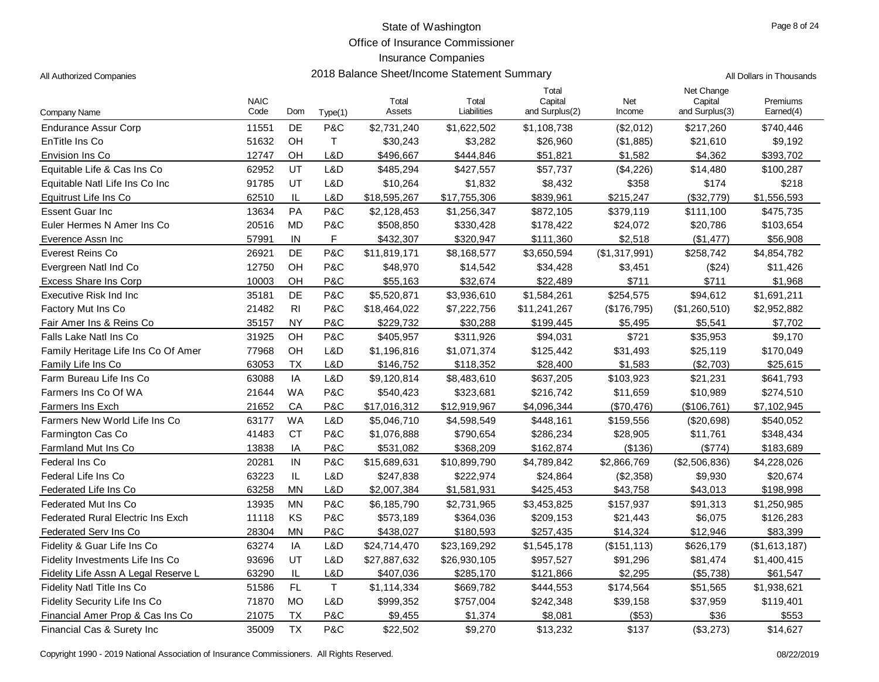Office of Insurance Commissioner

## Insurance Companies

All Authorized Companies **2018 Balance Sheet/Income Statement Summary** All Dollars in Thousands

|                                          | <b>NAIC</b> |                |             | Total        | Total        | Total<br>Capital | Net           | Net Change<br>Capital | Premiums      |
|------------------------------------------|-------------|----------------|-------------|--------------|--------------|------------------|---------------|-----------------------|---------------|
| Company Name                             | Code        | Dom            | Type(1)     | Assets       | Liabilities  | and Surplus(2)   | Income        | and Surplus(3)        | Earned(4)     |
| <b>Endurance Assur Corp</b>              | 11551       | DE             | P&C         | \$2,731,240  | \$1,622,502  | \$1,108,738      | (\$2,012)     | \$217,260             | \$740,446     |
| EnTitle Ins Co                           | 51632       | OH             | $\top$      | \$30,243     | \$3,282      | \$26,960         | ( \$1,885)    | \$21,610              | \$9,192       |
| Envision Ins Co                          | 12747       | OH             | L&D         | \$496,667    | \$444,846    | \$51,821         | \$1,582       | \$4,362               | \$393,702     |
| Equitable Life & Cas Ins Co              | 62952       | UT             | L&D         | \$485,294    | \$427,557    | \$57,737         | (\$4,226)     | \$14,480              | \$100,287     |
| Equitable Natl Life Ins Co Inc           | 91785       | UT             | L&D         | \$10,264     | \$1,832      | \$8,432          | \$358         | \$174                 | \$218         |
| Equitrust Life Ins Co                    | 62510       | IL             | L&D         | \$18,595,267 | \$17,755,306 | \$839,961        | \$215,247     | (\$32,779)            | \$1,556,593   |
| <b>Essent Guar Inc</b>                   | 13634       | PA             | P&C         | \$2,128,453  | \$1,256,347  | \$872,105        | \$379,119     | \$111,100             | \$475,735     |
| Euler Hermes N Amer Ins Co               | 20516       | <b>MD</b>      | P&C         | \$508,850    | \$330,428    | \$178,422        | \$24,072      | \$20,786              | \$103,654     |
| Everence Assn Inc                        | 57991       | IN             | F.          | \$432,307    | \$320,947    | \$111,360        | \$2,518       | (\$1,477)             | \$56,908      |
| Everest Reins Co                         | 26921       | DE             | P&C         | \$11,819,171 | \$8,168,577  | \$3,650,594      | (\$1,317,991) | \$258,742             | \$4,854,782   |
| Evergreen Natl Ind Co                    | 12750       | OH             | P&C         | \$48,970     | \$14,542     | \$34,428         | \$3,451       | (\$24)                | \$11,426      |
| <b>Excess Share Ins Corp</b>             | 10003       | OH             | P&C         | \$55,163     | \$32,674     | \$22,489         | \$711         | \$711                 | \$1,968       |
| Executive Risk Ind Inc                   | 35181       | DE             | P&C         | \$5,520,871  | \$3,936,610  | \$1,584,261      | \$254,575     | \$94,612              | \$1,691,211   |
| Factory Mut Ins Co                       | 21482       | R <sub>l</sub> | P&C         | \$18,464,022 | \$7,222,756  | \$11,241,267     | (\$176,795)   | (\$1,260,510)         | \$2,952,882   |
| Fair Amer Ins & Reins Co                 | 35157       | <b>NY</b>      | P&C         | \$229,732    | \$30,288     | \$199,445        | \$5,495       | \$5,541               | \$7,702       |
| Falls Lake Natl Ins Co                   | 31925       | OH             | P&C         | \$405,957    | \$311,926    | \$94,031         | \$721         | \$35,953              | \$9,170       |
| Family Heritage Life Ins Co Of Amer      | 77968       | OH             | L&D         | \$1,196,816  | \$1,071,374  | \$125,442        | \$31,493      | \$25,119              | \$170,049     |
| Family Life Ins Co                       | 63053       | <b>TX</b>      | L&D         | \$146,752    | \$118,352    | \$28,400         | \$1,583       | (\$2,703)             | \$25,615      |
| Farm Bureau Life Ins Co                  | 63088       | IA             | L&D         | \$9,120,814  | \$8,483,610  | \$637,205        | \$103,923     | \$21,231              | \$641,793     |
| Farmers Ins Co Of WA                     | 21644       | <b>WA</b>      | P&C         | \$540,423    | \$323,681    | \$216,742        | \$11,659      | \$10,989              | \$274,510     |
| Farmers Ins Exch                         | 21652       | CA             | P&C         | \$17,016,312 | \$12,919,967 | \$4,096,344      | (\$70,476)    | (\$106,761)           | \$7,102,945   |
| Farmers New World Life Ins Co            | 63177       | <b>WA</b>      | L&D         | \$5,046,710  | \$4,598,549  | \$448,161        | \$159,556     | (\$20,698)            | \$540,052     |
| <b>Farmington Cas Co</b>                 | 41483       | <b>CT</b>      | P&C         | \$1,076,888  | \$790,654    | \$286,234        | \$28,905      | \$11,761              | \$348,434     |
| Farmland Mut Ins Co                      | 13838       | IA             | P&C         | \$531,082    | \$368,209    | \$162,874        | (\$136)       | (\$774)               | \$183,689     |
| Federal Ins Co                           | 20281       | $\sf IN$       | P&C         | \$15,689,631 | \$10,899,790 | \$4,789,842      | \$2,866,769   | (\$2,506,836)         | \$4,228,026   |
| Federal Life Ins Co                      | 63223       | IL             | L&D         | \$247,838    | \$222,974    | \$24,864         | (\$2,358)     | \$9,930               | \$20,674      |
| Federated Life Ins Co                    | 63258       | <b>MN</b>      | L&D         | \$2,007,384  | \$1,581,931  | \$425,453        | \$43,758      | \$43,013              | \$198,998     |
| Federated Mut Ins Co                     | 13935       | <b>MN</b>      | P&C         | \$6,185,790  | \$2,731,965  | \$3,453,825      | \$157,937     | \$91,313              | \$1,250,985   |
| <b>Federated Rural Electric Ins Exch</b> | 11118       | KS             | P&C         | \$573,189    | \$364,036    | \$209,153        | \$21,443      | \$6,075               | \$126,283     |
| Federated Serv Ins Co                    | 28304       | <b>MN</b>      | P&C         | \$438,027    | \$180,593    | \$257,435        | \$14,324      | \$12,946              | \$83,399      |
| Fidelity & Guar Life Ins Co              | 63274       | IA             | L&D         | \$24,714,470 | \$23,169,292 | \$1,545,178      | (\$151, 113)  | \$626,179             | (\$1,613,187) |
| Fidelity Investments Life Ins Co         | 93696       | UT             | L&D         | \$27,887,632 | \$26,930,105 | \$957,527        | \$91,296      | \$81,474              | \$1,400,415   |
| Fidelity Life Assn A Legal Reserve L     | 63290       | IL             | L&D         | \$407,036    | \$285,170    | \$121,866        | \$2,295       | (\$5,738)             | \$61,547      |
| Fidelity Natl Title Ins Co.              | 51586       | FL             | $\mathsf T$ | \$1,114,334  | \$669,782    | \$444,553        | \$174,564     | \$51,565              | \$1,938,621   |
| Fidelity Security Life Ins Co            | 71870       | <b>MO</b>      | L&D         | \$999,352    | \$757,004    | \$242,348        | \$39,158      | \$37,959              | \$119,401     |
| Financial Amer Prop & Cas Ins Co         | 21075       | <b>TX</b>      | P&C         | \$9,455      | \$1,374      | \$8,081          | (\$53)        | \$36                  | \$553         |
| Financial Cas & Surety Inc               | 35009       | <b>TX</b>      | P&C         | \$22,502     | \$9,270      | \$13,232         | \$137         | (\$3,273)             | \$14,627      |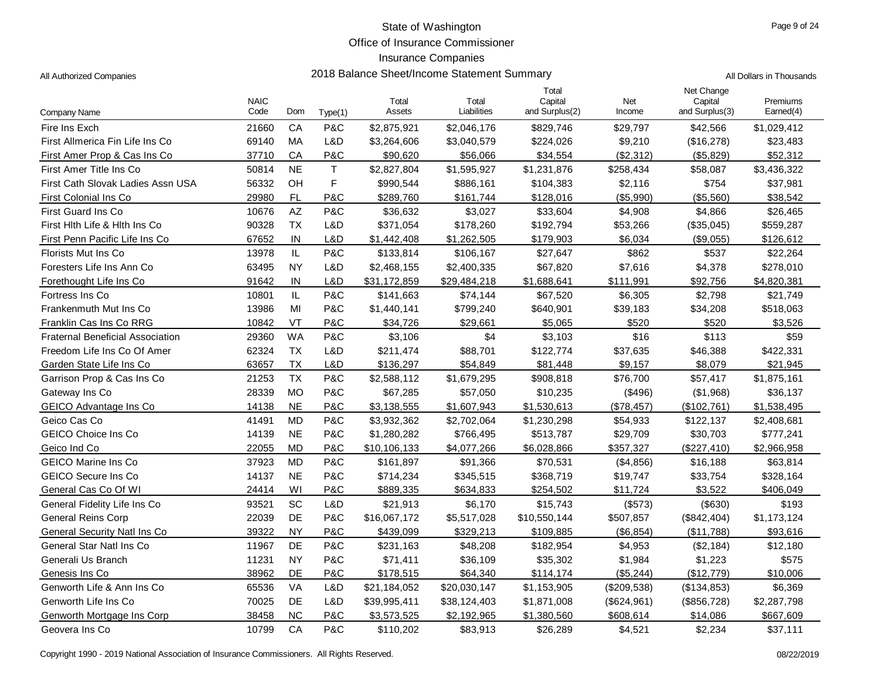Office of Insurance Commissioner

# Insurance Companies

| All Authorized Companies |  |
|--------------------------|--|
|                          |  |

| Company Name                            | <b>NAIC</b><br>Code | Dom                    | Type(1)     | Total<br>Assets | Total<br>Liabilities | Total<br>Capital<br>and Surplus(2) | Net<br>Income | Net Change<br>Capital<br>and Surplus(3) | Premiums<br>Earned(4) |
|-----------------------------------------|---------------------|------------------------|-------------|-----------------|----------------------|------------------------------------|---------------|-----------------------------------------|-----------------------|
| Fire Ins Exch                           | 21660               | CA                     | P&C         | \$2,875,921     | \$2,046,176          | \$829,746                          | \$29,797      | \$42,566                                | \$1,029,412           |
| First Allmerica Fin Life Ins Co         | 69140               | MA                     | L&D         | \$3,264,606     | \$3,040,579          | \$224,026                          | \$9,210       | (\$16,278)                              | \$23,483              |
| First Amer Prop & Cas Ins Co            | 37710               | CA                     | P&C         | \$90,620        | \$56,066             | \$34,554                           | (\$2,312)     | (\$5,829)                               | \$52,312              |
| First Amer Title Ins Co                 | 50814               | <b>NE</b>              | $\mathsf T$ | \$2,827,804     | \$1,595,927          | \$1,231,876                        | \$258,434     | \$58,087                                | \$3,436,322           |
| First Cath Slovak Ladies Assn USA       | 56332               | OH                     | F           | \$990,544       | \$886,161            | \$104,383                          | \$2,116       | \$754                                   | \$37,981              |
| First Colonial Ins Co                   | 29980               | <b>FL</b>              | P&C         | \$289,760       | \$161,744            | \$128,016                          | (\$5,990)     | (\$5,560)                               | \$38,542              |
| <b>First Guard Ins Co</b>               | 10676               | $\mathsf{A}\mathsf{Z}$ | P&C         | \$36,632        | \$3,027              | \$33,604                           | \$4,908       | \$4,866                                 | \$26,465              |
| First Hith Life & Hith Ins Co           | 90328               | <b>TX</b>              | L&D         | \$371,054       | \$178,260            | \$192,794                          | \$53,266      | (\$35,045)                              | \$559,287             |
| First Penn Pacific Life Ins Co          | 67652               | IN                     | L&D         | \$1,442,408     | \$1,262,505          | \$179,903                          | \$6,034       | $(\$9,055)$                             | \$126,612             |
| Florists Mut Ins Co                     | 13978               | IL                     | P&C         | \$133,814       | \$106,167            | \$27,647                           | \$862         | \$537                                   | \$22,264              |
| Foresters Life Ins Ann Co               | 63495               | <b>NY</b>              | L&D         | \$2,468,155     | \$2,400,335          | \$67,820                           | \$7,616       | \$4,378                                 | \$278,010             |
| Forethought Life Ins Co                 | 91642               | IN                     | L&D         | \$31,172,859    | \$29,484,218         | \$1,688,641                        | \$111,991     | \$92,756                                | \$4,820,381           |
| Fortress Ins Co                         | 10801               | IL                     | P&C         | \$141,663       | \$74,144             | \$67,520                           | \$6,305       | \$2,798                                 | \$21,749              |
| Frankenmuth Mut Ins Co                  | 13986               | M <sub>l</sub>         | P&C         | \$1,440,141     | \$799,240            | \$640,901                          | \$39,183      | \$34,208                                | \$518,063             |
| Franklin Cas Ins Co RRG                 | 10842               | VT                     | P&C         | \$34,726        | \$29,661             | \$5,065                            | \$520         | \$520                                   | \$3,526               |
| <b>Fraternal Beneficial Association</b> | 29360               | <b>WA</b>              | P&C         | \$3,106         | \$4                  | \$3,103                            | \$16          | \$113                                   | \$59                  |
| Freedom Life Ins Co Of Amer             | 62324               | <b>TX</b>              | L&D         | \$211,474       | \$88,701             | \$122,774                          | \$37,635      | \$46,388                                | \$422,331             |
| Garden State Life Ins Co                | 63657               | TX                     | L&D         | \$136,297       | \$54,849             | \$81,448                           | \$9,157       | \$8,079                                 | \$21,945              |
| Garrison Prop & Cas Ins Co              | 21253               | <b>TX</b>              | P&C         | \$2,588,112     | \$1,679,295          | \$908,818                          | \$76,700      | \$57,417                                | \$1,875,161           |
| Gateway Ins Co                          | 28339               | <b>MO</b>              | P&C         | \$67,285        | \$57,050             | \$10,235                           | (\$496)       | (\$1,968)                               | \$36,137              |
| GEICO Advantage Ins Co                  | 14138               | <b>NE</b>              | P&C         | \$3,138,555     | \$1,607,943          | \$1,530,613                        | (\$78,457)    | (\$102,761)                             | \$1,538,495           |
| Geico Cas Co                            | 41491               | <b>MD</b>              | P&C         | \$3,932,362     | \$2,702,064          | \$1,230,298                        | \$54,933      | \$122,137                               | \$2,408,681           |
| GEICO Choice Ins Co                     | 14139               | <b>NE</b>              | P&C         | \$1,280,282     | \$766,495            | \$513,787                          | \$29,709      | \$30,703                                | \$777,241             |
| Geico Ind Co                            | 22055               | <b>MD</b>              | P&C         | \$10,106,133    | \$4,077,266          | \$6,028,866                        | \$357,327     | (\$227,410)                             | \$2,966,958           |
| <b>GEICO Marine Ins Co</b>              | 37923               | <b>MD</b>              | P&C         | \$161.897       | \$91,366             | \$70,531                           | (\$4,856)     | \$16,188                                | \$63,814              |
| <b>GEICO Secure Ins Co</b>              | 14137               | <b>NE</b>              | P&C         | \$714,234       | \$345,515            | \$368,719                          | \$19,747      | \$33,754                                | \$328,164             |
| General Cas Co Of WI                    | 24414               | WI                     | P&C         | \$889,335       | \$634,833            | \$254,502                          | \$11,724      | \$3,522                                 | \$406,049             |
| General Fidelity Life Ins Co            | 93521               | SC                     | L&D         | \$21,913        | \$6,170              | \$15,743                           | (\$573)       | (\$630)                                 | \$193                 |
| <b>General Reins Corp</b>               | 22039               | DE                     | P&C         | \$16,067,172    | \$5,517,028          | \$10,550,144                       | \$507,857     | (\$842,404)                             | \$1,173,124           |
| General Security Natl Ins Co            | 39322               | <b>NY</b>              | P&C         | \$439,099       | \$329,213            | \$109,885                          | (\$6,854)     | (\$11,788)                              | \$93,616              |
| General Star Natl Ins Co                | 11967               | <b>DE</b>              | P&C         | \$231,163       | \$48,208             | \$182,954                          | \$4,953       | (\$2,184)                               | \$12,180              |
| Generali Us Branch                      | 11231               | <b>NY</b>              | P&C         | \$71,411        | \$36,109             | \$35,302                           | \$1,984       | \$1,223                                 | \$575                 |
| Genesis Ins Co                          | 38962               | DE                     | P&C         | \$178,515       | \$64,340             | \$114,174                          | (\$5,244)     | (\$12,779)                              | \$10,006              |
| Genworth Life & Ann Ins Co              | 65536               | VA                     | L&D         | \$21,184,052    | \$20,030,147         | \$1,153,905                        | (\$209,538)   | (\$134,853)                             | \$6,369               |
| Genworth Life Ins Co                    | 70025               | <b>DE</b>              | L&D         | \$39,995,411    | \$38,124,403         | \$1,871,008                        | (\$624,961)   | (\$856,728)                             | \$2,287,798           |
| Genworth Mortgage Ins Corp              | 38458               | <b>NC</b>              | P&C         | \$3,573,525     | \$2,192,965          | \$1,380,560                        | \$608,614     | \$14,086                                | \$667,609             |
| Geovera Ins Co                          | 10799               | CA                     | P&C         | \$110,202       | \$83,913             | \$26,289                           | \$4,521       | \$2,234                                 | \$37,111              |

Copyright 1990 - 2019 National Association of Insurance Commissioners. All Rights Reserved. 08/22/2019 Commissioners and Rights Reserved.

s and the Companies 2018 Balance Sheet/Income Statement Summary and the Companies of the Dollars in Thousands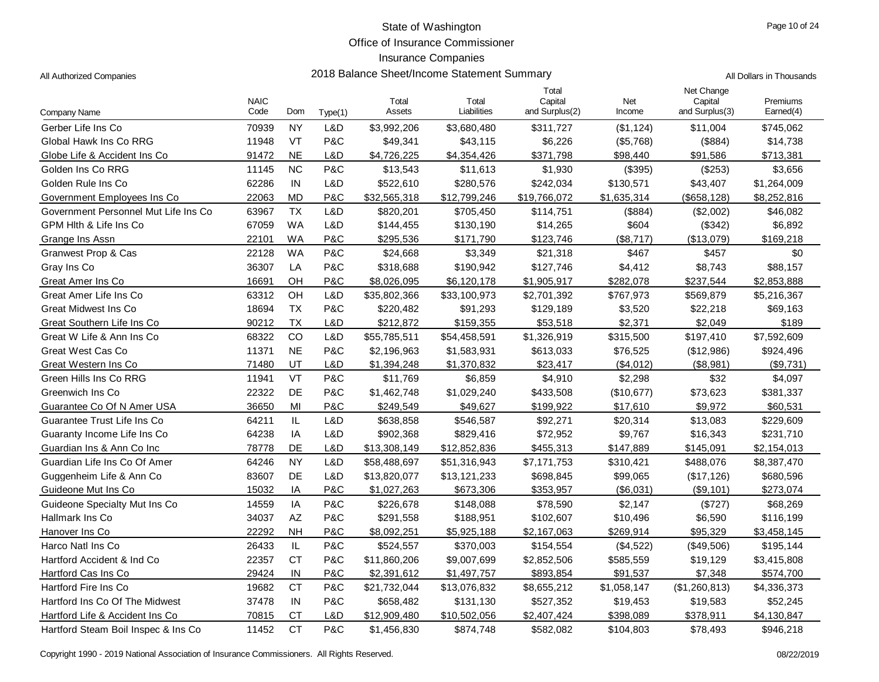Office of Insurance Commissioner

| All Dollars in Thousands |
|--------------------------|
|                          |

| Company Name                         | <b>NAIC</b><br>Code | Dom                    | Type(1) | Total<br>Assets | Total<br>Liabilities | Total<br>Capital<br>and Surplus(2) | Net<br>Income | Net Change<br>Capital<br>and Surplus(3) | Premiums<br>Earned(4) |
|--------------------------------------|---------------------|------------------------|---------|-----------------|----------------------|------------------------------------|---------------|-----------------------------------------|-----------------------|
| Gerber Life Ins Co                   | 70939               | <b>NY</b>              | L&D     | \$3,992,206     | \$3,680,480          | \$311,727                          | (\$1, 124)    | \$11,004                                | \$745,062             |
| Global Hawk Ins Co RRG               | 11948               | VT                     | P&C     | \$49,341        | \$43,115             | \$6,226                            | (\$5,768)     | (\$884)                                 | \$14,738              |
| Globe Life & Accident Ins Co         | 91472               | <b>NE</b>              | L&D     | \$4,726,225     | \$4,354,426          | \$371,798                          | \$98,440      | \$91,586                                | \$713,381             |
| Golden Ins Co RRG                    | 11145               | <b>NC</b>              | P&C     | \$13,543        | \$11,613             | \$1,930                            | (\$395)       | (\$253)                                 | \$3,656               |
| Golden Rule Ins Co                   | 62286               | IN                     | L&D     | \$522,610       | \$280,576            | \$242,034                          | \$130,571     | \$43,407                                | \$1,264,009           |
| Government Employees Ins Co          | 22063               | <b>MD</b>              | P&C     | \$32,565,318    | \$12,799,246         | \$19,766,072                       | \$1,635,314   | (\$658, 128)                            | \$8,252,816           |
| Government Personnel Mut Life Ins Co | 63967               | <b>TX</b>              | L&D     | \$820,201       | \$705,450            | \$114,751                          | (\$884)       | (\$2,002)                               | \$46,082              |
| GPM Hith & Life Ins Co.              | 67059               | <b>WA</b>              | L&D     | \$144,455       | \$130,190            | \$14,265                           | \$604         | (\$342)                                 | \$6,892               |
| Grange Ins Assn                      | 22101               | <b>WA</b>              | P&C     | \$295,536       | \$171,790            | \$123,746                          | (\$8,717)     | (\$13,079)                              | \$169,218             |
| Granwest Prop & Cas                  | 22128               | <b>WA</b>              | P&C     | \$24,668        | \$3,349              | \$21,318                           | \$467         | \$457                                   | \$0                   |
| Gray Ins Co                          | 36307               | LA                     | P&C     | \$318,688       | \$190,942            | \$127,746                          | \$4,412       | \$8,743                                 | \$88,157              |
| Great Amer Ins Co                    | 16691               | OH                     | P&C     | \$8,026,095     | \$6,120,178          | \$1,905,917                        | \$282,078     | \$237,544                               | \$2,853,888           |
| Great Amer Life Ins Co               | 63312               | OH                     | L&D     | \$35,802,366    | \$33,100,973         | \$2,701,392                        | \$767,973     | \$569,879                               | \$5,216,367           |
| Great Midwest Ins Co                 | 18694               | <b>TX</b>              | P&C     | \$220,482       | \$91,293             | \$129,189                          | \$3,520       | \$22,218                                | \$69,163              |
| Great Southern Life Ins Co           | 90212               | <b>TX</b>              | L&D     | \$212,872       | \$159,355            | \$53,518                           | \$2,371       | \$2,049                                 | \$189                 |
| Great W Life & Ann Ins Co            | 68322               | CO                     | L&D     | \$55,785,511    | \$54,458,591         | \$1,326,919                        | \$315,500     | \$197,410                               | \$7,592,609           |
| Great West Cas Co                    | 11371               | <b>NE</b>              | P&C     | \$2,196,963     | \$1,583,931          | \$613,033                          | \$76,525      | (\$12,986)                              | \$924,496             |
| Great Western Ins Co                 | 71480               | UT                     | L&D     | \$1,394,248     | \$1,370,832          | \$23,417                           | ( \$4,012)    | (\$8,981)                               | (\$9,731)             |
| Green Hills Ins Co RRG               | 11941               | VT                     | P&C     | \$11,769        | \$6,859              | \$4,910                            | \$2,298       | \$32                                    | \$4,097               |
| Greenwich Ins Co                     | 22322               | DE                     | P&C     | \$1,462,748     | \$1,029,240          | \$433,508                          | (\$10,677)    | \$73,623                                | \$381,337             |
| Guarantee Co Of N Amer USA           | 36650               | MI                     | P&C     | \$249,549       | \$49,627             | \$199,922                          | \$17,610      | \$9,972                                 | \$60,531              |
| Guarantee Trust Life Ins Co          | 64211               | IL                     | L&D     | \$638,858       | \$546,587            | \$92,271                           | \$20,314      | \$13,083                                | \$229,609             |
| Guaranty Income Life Ins Co          | 64238               | IA                     | L&D     | \$902,368       | \$829,416            | \$72,952                           | \$9,767       | \$16,343                                | \$231,710             |
| Guardian Ins & Ann Co Inc            | 78778               | DE                     | L&D     | \$13,308,149    | \$12,852,836         | \$455,313                          | \$147,889     | \$145,091                               | \$2,154,013           |
| Guardian Life Ins Co Of Amer         | 64246               | <b>NY</b>              | L&D     | \$58,488,697    | \$51,316,943         | \$7,171,753                        | \$310,421     | \$488,076                               | \$8,387,470           |
| Guggenheim Life & Ann Co             | 83607               | DE                     | L&D     | \$13,820,077    | \$13,121,233         | \$698,845                          | \$99,065      | (\$17, 126)                             | \$680,596             |
| Guideone Mut Ins Co                  | 15032               | IA                     | P&C     | \$1,027,263     | \$673,306            | \$353,957                          | (\$6,031)     | (\$9,101)                               | \$273,074             |
| Guideone Specialty Mut Ins Co        | 14559               | IA                     | P&C     | \$226,678       | \$148,088            | \$78,590                           | \$2,147       | (\$727)                                 | \$68,269              |
| Hallmark Ins Co                      | 34037               | $\mathsf{A}\mathsf{Z}$ | P&C     | \$291,558       | \$188,951            | \$102,607                          | \$10,496      | \$6,590                                 | \$116,199             |
| Hanover Ins Co                       | 22292               | <b>NH</b>              | P&C     | \$8,092,251     | \$5,925,188          | \$2,167,063                        | \$269,914     | \$95,329                                | \$3,458,145           |
| Harco Natl Ins Co                    | 26433               | IL                     | P&C     | \$524,557       | \$370,003            | \$154,554                          | (\$4,522)     | (\$49,506)                              | \$195,144             |
| Hartford Accident & Ind Co           | 22357               | <b>CT</b>              | P&C     | \$11,860,206    | \$9,007,699          | \$2,852,506                        | \$585,559     | \$19,129                                | \$3,415,808           |
| Hartford Cas Ins Co                  | 29424               | IN                     | P&C     | \$2,391,612     | \$1,497,757          | \$893,854                          | \$91,537      | \$7,348                                 | \$574,700             |
| <b>Hartford Fire Ins Co</b>          | 19682               | <b>CT</b>              | P&C     | \$21,732,044    | \$13,076,832         | \$8,655,212                        | \$1,058,147   | (\$1,260,813)                           | \$4,336,373           |
| Hartford Ins Co Of The Midwest       | 37478               | IN                     | P&C     | \$658,482       | \$131,130            | \$527,352                          | \$19,453      | \$19,583                                | \$52,245              |
| Hartford Life & Accident Ins Co      | 70815               | <b>CT</b>              | L&D     | \$12,909,480    | \$10,502,056         | \$2,407,424                        | \$398,089     | \$378,911                               | \$4,130,847           |
| Hartford Steam Boil Inspec & Ins Co  | 11452               | <b>CT</b>              | P&C     | \$1,456,830     | \$874,748            | \$582,082                          | \$104,803     | \$78.493                                | \$946,218             |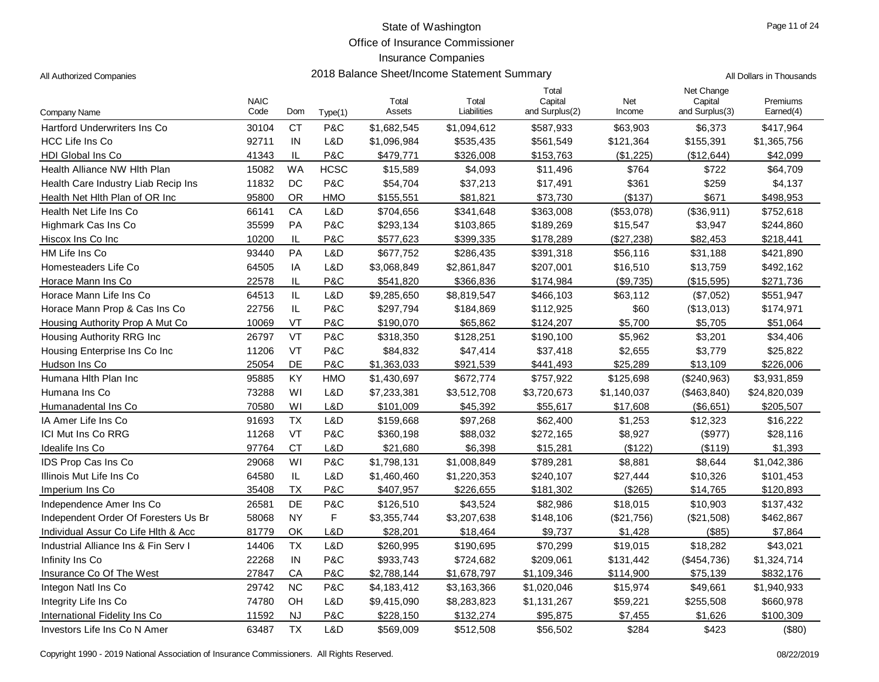Office of Insurance Commissioner

## Insurance Companies

| All Authorized Companies             | 2018 Balance Sheet/Income Statement Summary |               |             |                 |                      |                                    | All Dollars in Thousands |                                         |                       |
|--------------------------------------|---------------------------------------------|---------------|-------------|-----------------|----------------------|------------------------------------|--------------------------|-----------------------------------------|-----------------------|
| Company Name                         | <b>NAIC</b><br>Code                         | Dom           | Type(1)     | Total<br>Assets | Total<br>Liabilities | Total<br>Capital<br>and Surplus(2) | Net<br>Income            | Net Change<br>Capital<br>and Surplus(3) | Premiums<br>Earned(4) |
| <b>Hartford Underwriters Ins Co</b>  | 30104                                       | <b>CT</b>     | P&C         | \$1,682,545     | \$1,094,612          | \$587,933                          | \$63,903                 | \$6,373                                 | \$417,964             |
| <b>HCC Life Ins Co</b>               | 92711                                       | IN            | L&D         | \$1,096,984     | \$535,435            | \$561,549                          | \$121,364                | \$155,391                               | \$1,365,756           |
| <b>HDI Global Ins Co</b>             | 41343                                       | IL            | P&C         | \$479,771       | \$326,008            | \$153,763                          | (\$1,225)                | (\$12,644)                              | \$42,099              |
| Health Alliance NW Hith Plan         | 15082                                       | <b>WA</b>     | <b>HCSC</b> | \$15,589        | \$4,093              | \$11,496                           | \$764                    | \$722                                   | \$64,709              |
| Health Care Industry Liab Recip Ins  | 11832                                       | <b>DC</b>     | P&C         | \$54,704        | \$37,213             | \$17,491                           | \$361                    | \$259                                   | \$4,137               |
| Health Net Hith Plan of OR Inc       | 95800                                       | 0R            | <b>HMO</b>  | \$155,551       | \$81,821             | \$73,730                           | (\$137)                  | \$671                                   | \$498,953             |
| Health Net Life Ins Co               | 66141                                       | CA            | L&D         | \$704,656       | \$341,648            | \$363,008                          | (\$53,078)               | (\$36,911)                              | \$752,618             |
| Highmark Cas Ins Co                  | 35599                                       | PA            | P&C         | \$293,134       | \$103,865            | \$189,269                          | \$15,547                 | \$3,947                                 | \$244,860             |
| Hiscox Ins Co Inc                    | 10200                                       | IL            | P&C         | \$577,623       | \$399,335            | \$178,289                          | (\$27,238)               | \$82,453                                | \$218,441             |
| HM Life Ins Co                       | 93440                                       | PA            | L&D         | \$677,752       | \$286,435            | \$391,318                          | \$56,116                 | \$31,188                                | \$421,890             |
| Homesteaders Life Co                 | 64505                                       | IA            | L&D         | \$3,068,849     | \$2,861,847          | \$207,001                          | \$16,510                 | \$13,759                                | \$492,162             |
| Horace Mann Ins Co                   | 22578                                       | IL            | P&C         | \$541,820       | \$366,836            | \$174,984                          | (\$9,735)                | (\$15,595)                              | \$271,736             |
| Horace Mann Life Ins Co              | 64513                                       | $\mathsf{IL}$ | L&D         | \$9,285,650     | \$8,819,547          | \$466,103                          | \$63,112                 | (\$7,052)                               | \$551,947             |
| Horace Mann Prop & Cas Ins Co        | 22756                                       | $\sf IL$      | P&C         | \$297,794       | \$184,869            | \$112,925                          | \$60                     | (\$13,013)                              | \$174,971             |
| Housing Authority Prop A Mut Co      | 10069                                       | VT            | P&C         | \$190,070       | \$65,862             | \$124,207                          | \$5,700                  | \$5,705                                 | \$51,064              |
| Housing Authority RRG Inc            | 26797                                       | VT            | P&C         | \$318,350       | \$128,251            | \$190,100                          | \$5,962                  | \$3,201                                 | \$34,406              |
| Housing Enterprise Ins Co Inc        | 11206                                       | VT            | P&C         | \$84,832        | \$47,414             | \$37,418                           | \$2,655                  | \$3,779                                 | \$25,822              |
| Hudson Ins Co                        | 25054                                       | <b>DE</b>     | P&C         | \$1,363,033     | \$921,539            | \$441,493                          | \$25,289                 | \$13,109                                | \$226,006             |
| Humana Hith Plan Inc                 | 95885                                       | KY            | <b>HMO</b>  | \$1,430,697     | \$672,774            | \$757,922                          | \$125,698                | (\$240,963)                             | \$3,931,859           |
| Humana Ins Co                        | 73288                                       | WI            | L&D         | \$7,233,381     | \$3,512,708          | \$3,720,673                        | \$1,140,037              | (\$463,840)                             | \$24,820,039          |
| Humanadental Ins Co                  | 70580                                       | WI            | L&D         | \$101,009       | \$45,392             | \$55,617                           | \$17,608                 | (\$6,651)                               | \$205,507             |
| IA Amer Life Ins Co                  | 91693                                       | <b>TX</b>     | L&D         | \$159,668       | \$97,268             | \$62,400                           | \$1,253                  | \$12,323                                | \$16,222              |
| ICI Mut Ins Co RRG                   | 11268                                       | VT            | P&C         | \$360,198       | \$88,032             | \$272,165                          | \$8,927                  | (\$977)                                 | \$28,116              |
| Idealife Ins Co                      | 97764                                       | <b>CT</b>     | L&D         | \$21,680        | \$6,398              | \$15,281                           | (\$122)                  | (\$119)                                 | \$1,393               |
| <b>IDS Prop Cas Ins Co</b>           | 29068                                       | WI            | P&C         | \$1,798,131     | \$1,008,849          | \$789,281                          | \$8,881                  | \$8,644                                 | \$1,042,386           |
| Illinois Mut Life Ins Co             | 64580                                       | $\mathsf{IL}$ | L&D         | \$1,460,460     | \$1,220,353          | \$240,107                          | \$27,444                 | \$10,326                                | \$101,453             |
| Imperium Ins Co                      | 35408                                       | <b>TX</b>     | P&C         | \$407,957       | \$226,655            | \$181,302                          | (\$265)                  | \$14,765                                | \$120,893             |
| Independence Amer Ins Co             | 26581                                       | DE            | P&C         | \$126,510       | \$43,524             | \$82,986                           | \$18,015                 | \$10,903                                | \$137,432             |
| Independent Order Of Foresters Us Br | 58068                                       | <b>NY</b>     | F           | \$3,355,744     | \$3,207,638          | \$148,106                          | (\$21,756)               | (\$21,508)                              | \$462,867             |
| Individual Assur Co Life Hith & Acc  | 81779                                       | OK            | L&D         | \$28,201        | \$18,464             | \$9,737                            | \$1,428                  | (\$85)                                  | \$7,864               |
| Industrial Alliance Ins & Fin Serv I | 14406                                       | <b>TX</b>     | L&D         | \$260,995       | \$190,695            | \$70,299                           | \$19,015                 | \$18,282                                | \$43,021              |
| Infinity Ins Co                      | 22268                                       | IN            | P&C         | \$933,743       | \$724,682            | \$209,061                          | \$131,442                | (\$454,736)                             | \$1,324,714           |
| Insurance Co Of The West             | 27847                                       | CA            | P&C         | \$2,788,144     | \$1,678,797          | \$1,109,346                        | \$114,900                | \$75,139                                | \$832,176             |
| Integon Natl Ins Co                  | 29742                                       | NC            | P&C         | \$4,183,412     | \$3,163,366          | \$1,020,046                        | \$15,974                 | \$49,661                                | \$1,940,933           |
| Integrity Life Ins Co                | 74780                                       | OH            | L&D         | \$9,415,090     | \$8,283,823          | \$1,131,267                        | \$59,221                 | \$255,508                               | \$660,978             |
| International Fidelity Ins Co        | 11592                                       | <b>NJ</b>     | P&C         | \$228,150       | \$132,274            | \$95,875                           | \$7,455                  | \$1,626                                 | \$100,309             |
| Investors Life Ins Co N Amer         | 63487                                       | <b>TX</b>     | L&D         | \$569,009       | \$512,508            | \$56,502                           | \$284                    | \$423                                   | (\$80)                |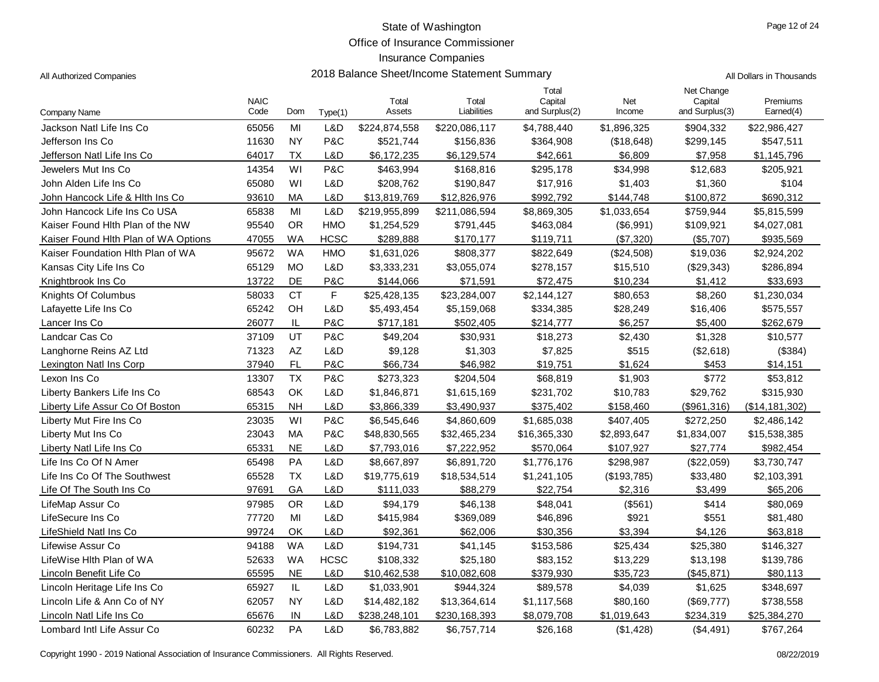Office of Insurance Commissioner

## Insurance Companies

| All Dollars in Thousands |
|--------------------------|
|                          |

| Company Name                         | <b>NAIC</b><br>Code | Dom       | Type(1)     | Total<br>Assets | Total<br>Liabilities | Total<br>Capital<br>and Surplus(2) | Net<br>Income | Net Change<br>Capital<br>and Surplus(3) | Premiums<br>Earned(4) |
|--------------------------------------|---------------------|-----------|-------------|-----------------|----------------------|------------------------------------|---------------|-----------------------------------------|-----------------------|
| Jackson Natl Life Ins Co             | 65056               | MI        | L&D         | \$224,874,558   | \$220,086,117        | \$4,788,440                        | \$1,896,325   | \$904,332                               | \$22,986,427          |
| Jefferson Ins Co                     | 11630               | <b>NY</b> | P&C         | \$521,744       | \$156,836            | \$364,908                          | (\$18,648)    | \$299,145                               | \$547,511             |
| Jefferson Natl Life Ins Co           | 64017               | <b>TX</b> | L&D         | \$6,172,235     | \$6,129,574          | \$42,661                           | \$6,809       | \$7,958                                 | \$1,145,796           |
| Jewelers Mut Ins Co                  | 14354               | WI        | P&C         | \$463,994       | \$168,816            | \$295,178                          | \$34,998      | \$12,683                                | \$205,921             |
| John Alden Life Ins Co               | 65080               | WI        | L&D         | \$208,762       | \$190,847            | \$17,916                           | \$1,403       | \$1,360                                 | \$104                 |
| John Hancock Life & Hith Ins Co      | 93610               | MA        | L&D         | \$13,819,769    | \$12,826,976         | \$992,792                          | \$144,748     | \$100,872                               | \$690,312             |
| John Hancock Life Ins Co USA         | 65838               | MI        | L&D         | \$219,955,899   | \$211,086,594        | \$8,869,305                        | \$1,033,654   | \$759,944                               | \$5,815,599           |
| Kaiser Found Hith Plan of the NW     | 95540               | <b>OR</b> | <b>HMO</b>  | \$1,254,529     | \$791,445            | \$463,084                          | (\$6,991)     | \$109,921                               | \$4,027,081           |
| Kaiser Found Hith Plan of WA Options | 47055               | <b>WA</b> | <b>HCSC</b> | \$289,888       | \$170,177            | \$119,711                          | (\$7,320)     | (\$5,707)                               | \$935,569             |
| Kaiser Foundation Hith Plan of WA    | 95672               | <b>WA</b> | <b>HMO</b>  | \$1,631,026     | \$808,377            | \$822,649                          | (\$24,508)    | \$19,036                                | \$2,924,202           |
| Kansas City Life Ins Co              | 65129               | <b>MO</b> | L&D         | \$3,333,231     | \$3,055,074          | \$278,157                          | \$15,510      | (\$29,343)                              | \$286,894             |
| Knightbrook Ins Co                   | 13722               | DE        | P&C         | \$144,066       | \$71,591             | \$72,475                           | \$10,234      | \$1,412                                 | \$33,693              |
| Knights Of Columbus                  | 58033               | <b>CT</b> | F           | \$25,428,135    | \$23,284,007         | \$2,144,127                        | \$80,653      | \$8,260                                 | \$1,230,034           |
| Lafayette Life Ins Co                | 65242               | OH        | L&D         | \$5,493,454     | \$5,159,068          | \$334,385                          | \$28,249      | \$16,406                                | \$575,557             |
| Lancer Ins Co                        | 26077               | IL        | P&C         | \$717,181       | \$502,405            | \$214,777                          | \$6,257       | \$5,400                                 | \$262,679             |
| Landcar Cas Co                       | 37109               | UT        | P&C         | \$49,204        | \$30,931             | \$18,273                           | \$2,430       | \$1,328                                 | \$10,577              |
| Langhorne Reins AZ Ltd               | 71323               | <b>AZ</b> | L&D         | \$9,128         | \$1,303              | \$7,825                            | \$515         | (\$2,618)                               | (\$384)               |
| Lexington Natl Ins Corp              | 37940               | FL        | P&C         | \$66,734        | \$46,982             | \$19,751                           | \$1,624       | \$453                                   | \$14,151              |
| Lexon Ins Co                         | 13307               | <b>TX</b> | P&C         | \$273,323       | \$204,504            | \$68,819                           | \$1,903       | \$772                                   | \$53,812              |
| Liberty Bankers Life Ins Co          | 68543               | OK        | L&D         | \$1,846,871     | \$1,615,169          | \$231,702                          | \$10,783      | \$29,762                                | \$315,930             |
| Liberty Life Assur Co Of Boston      | 65315               | <b>NH</b> | L&D         | \$3,866,339     | \$3,490,937          | \$375,402                          | \$158,460     | (\$961,316)                             | (\$14,181,302)        |
| Liberty Mut Fire Ins Co              | 23035               | WI        | P&C         | \$6,545,646     | \$4,860,609          | \$1,685,038                        | \$407,405     | \$272,250                               | \$2,486,142           |
| Liberty Mut Ins Co                   | 23043               | MA        | P&C         | \$48,830,565    | \$32,465,234         | \$16,365,330                       | \$2,893,647   | \$1,834,007                             | \$15,538,385          |
| Liberty Natl Life Ins Co             | 65331               | <b>NE</b> | L&D         | \$7,793,016     | \$7,222,952          | \$570,064                          | \$107,927     | \$27,774                                | \$982,454             |
| Life Ins Co Of N Amer                | 65498               | PA        | L&D         | \$8,667,897     | \$6,891,720          | \$1,776,176                        | \$298,987     | (\$22,059)                              | \$3,730,747           |
| Life Ins Co Of The Southwest         | 65528               | <b>TX</b> | L&D         | \$19,775,619    | \$18,534,514         | \$1,241,105                        | (\$193,785)   | \$33,480                                | \$2,103,391           |
| Life Of The South Ins Co             | 97691               | GA        | L&D         | \$111,033       | \$88,279             | \$22,754                           | \$2,316       | \$3,499                                 | \$65,206              |
| LifeMap Assur Co                     | 97985               | <b>OR</b> | L&D         | \$94,179        | \$46,138             | \$48,041                           | (\$561)       | \$414                                   | \$80,069              |
| LifeSecure Ins Co                    | 77720               | MI        | L&D         | \$415,984       | \$369,089            | \$46,896                           | \$921         | \$551                                   | \$81,480              |
| LifeShield Natl Ins Co               | 99724               | OK        | L&D         | \$92,361        | \$62,006             | \$30,356                           | \$3,394       | \$4,126                                 | \$63,818              |
| Lifewise Assur Co                    | 94188               | <b>WA</b> | L&D         | \$194,731       | \$41,145             | \$153,586                          | \$25,434      | \$25,380                                | \$146,327             |
| LifeWise Hith Plan of WA             | 52633               | <b>WA</b> | <b>HCSC</b> | \$108,332       | \$25,180             | \$83,152                           | \$13,229      | \$13,198                                | \$139,786             |
| Lincoln Benefit Life Co              | 65595               | <b>NE</b> | L&D         | \$10,462,538    | \$10,082,608         | \$379,930                          | \$35,723      | (\$45,871)                              | \$80,113              |
| Lincoln Heritage Life Ins Co         | 65927               | IL        | L&D         | \$1,033,901     | \$944,324            | \$89,578                           | \$4,039       | \$1,625                                 | \$348,697             |
| Lincoln Life & Ann Co of NY          | 62057               | <b>NY</b> | L&D         | \$14,482,182    | \$13,364,614         | \$1,117,568                        | \$80,160      | (\$69,777)                              | \$738,558             |
| Lincoln Natl Life Ins Co             | 65676               | IN        | L&D         | \$238,248,101   | \$230,168,393        | \$8,079,708                        | \$1,019,643   | \$234,319                               | \$25,384,270          |
| Lombard Intl Life Assur Co           | 60232               | PA        | L&D         | \$6,783,882     | \$6,757,714          | \$26,168                           | (\$1,428)     | (\$4,491)                               | \$767,264             |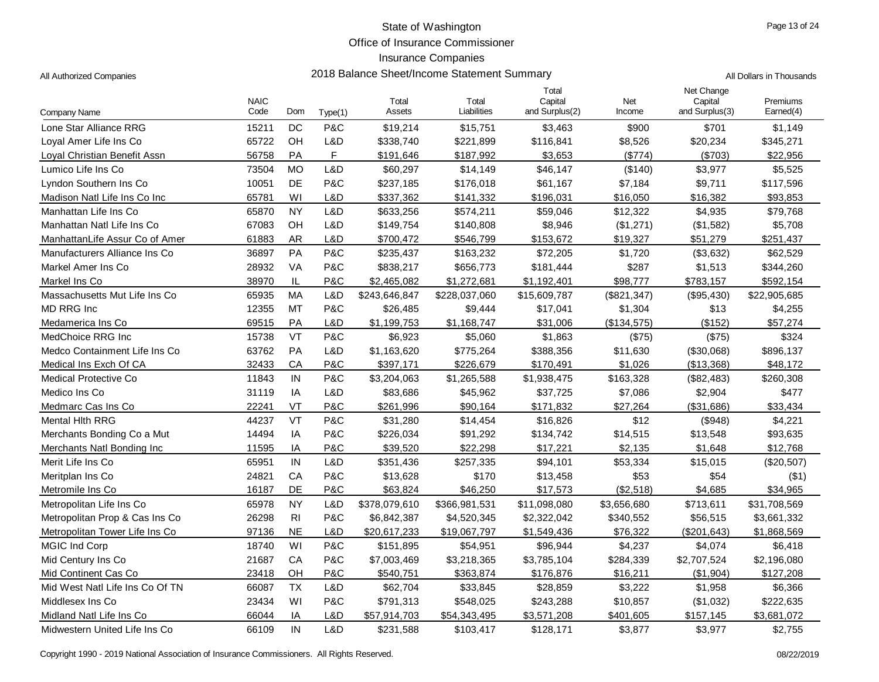Office of Insurance Commissioner

## Insurance Companies

| All Authorized Companies | 2018 Balance Sheet/Income Statement Summary | All Dollars in Thousands |
|--------------------------|---------------------------------------------|--------------------------|
|--------------------------|---------------------------------------------|--------------------------|

| Company Name                    | <b>NAIC</b><br>Code | Dom            | Type(1) | Total<br>Assets | Total<br>Liabilities | Total<br>Capital<br>and Surplus(2) | Net<br>Income | Net Change<br>Capital<br>and Surplus(3) | Premiums<br>Earned(4) |
|---------------------------------|---------------------|----------------|---------|-----------------|----------------------|------------------------------------|---------------|-----------------------------------------|-----------------------|
| Lone Star Alliance RRG          | 15211               | DC             | P&C     | \$19,214        | \$15,751             | \$3,463                            | \$900         | \$701                                   | \$1,149               |
| Loval Amer Life Ins Co          | 65722               | OH             | L&D     | \$338,740       | \$221,899            | \$116,841                          | \$8,526       | \$20,234                                | \$345,271             |
| Loyal Christian Benefit Assn    | 56758               | PA             | F.      | \$191,646       | \$187,992            | \$3,653                            | (\$774)       | (S703)                                  | \$22,956              |
| Lumico Life Ins Co              | 73504               | <b>MO</b>      | L&D     | \$60,297        | \$14,149             | \$46,147                           | (\$140)       | \$3,977                                 | \$5,525               |
| Lyndon Southern Ins Co          | 10051               | DE             | P&C     | \$237,185       | \$176,018            | \$61,167                           | \$7,184       | \$9,711                                 | \$117,596             |
| Madison Natl Life Ins Co Inc    | 65781               | WI             | L&D     | \$337,362       | \$141,332            | \$196,031                          | \$16,050      | \$16,382                                | \$93,853              |
| Manhattan Life Ins Co           | 65870               | <b>NY</b>      | L&D     | \$633,256       | \$574,211            | \$59,046                           | \$12,322      | \$4,935                                 | \$79,768              |
| Manhattan Natl Life Ins Co      | 67083               | OH             | L&D     | \$149,754       | \$140,808            | \$8,946                            | (\$1,271)     | (\$1,582)                               | \$5,708               |
| ManhattanLife Assur Co of Amer  | 61883               | <b>AR</b>      | L&D     | \$700,472       | \$546,799            | \$153,672                          | \$19,327      | \$51,279                                | \$251,437             |
| Manufacturers Alliance Ins Co   | 36897               | PA             | P&C     | \$235,437       | \$163,232            | \$72,205                           | \$1,720       | (\$3,632)                               | \$62,529              |
| Markel Amer Ins Co              | 28932               | <b>VA</b>      | P&C     | \$838,217       | \$656,773            | \$181,444                          | \$287         | \$1,513                                 | \$344,260             |
| Markel Ins Co                   | 38970               | IL             | P&C     | \$2,465,082     | \$1,272,681          | \$1,192,401                        | \$98,777      | \$783,157                               | \$592,154             |
| Massachusetts Mut Life Ins Co   | 65935               | MA             | L&D     | \$243,646,847   | \$228,037,060        | \$15,609,787                       | (\$821,347)   | (\$95,430)                              | \$22,905,685          |
| <b>MD RRG Inc</b>               | 12355               | MT             | P&C     | \$26,485        | \$9,444              | \$17,041                           | \$1,304       | \$13                                    | \$4,255               |
| Medamerica Ins Co               | 69515               | PA             | L&D     | \$1,199,753     | \$1,168,747          | \$31,006                           | (\$134,575)   | (\$152)                                 | \$57,274              |
| MedChoice RRG Inc               | 15738               | VT             | P&C     | \$6,923         | \$5,060              | \$1,863                            | (\$75)        | (\$75)                                  | \$324                 |
| Medco Containment Life Ins Co   | 63762               | PA             | L&D     | \$1,163,620     | \$775,264            | \$388,356                          | \$11,630      | (\$30,068)                              | \$896,137             |
| Medical Ins Exch Of CA          | 32433               | CA             | P&C     | \$397,171       | \$226,679            | \$170,491                          | \$1,026       | (\$13,368)                              | \$48,172              |
| <b>Medical Protective Co</b>    | 11843               | IN             | P&C     | \$3,204,063     | \$1,265,588          | \$1,938,475                        | \$163,328     | (\$82,483)                              | \$260,308             |
| Medico Ins Co                   | 31119               | IA             | L&D     | \$83,686        | \$45,962             | \$37,725                           | \$7,086       | \$2,904                                 | \$477                 |
| Medmarc Cas Ins Co              | 22241               | <b>VT</b>      | P&C     | \$261,996       | \$90,164             | \$171,832                          | \$27,264      | (\$31,686)                              | \$33,434              |
| <b>Mental Hith RRG</b>          | 44237               | <b>VT</b>      | P&C     | \$31,280        | \$14,454             | \$16,826                           | \$12          | (\$948)                                 | \$4,221               |
| Merchants Bonding Co a Mut      | 14494               | IA             | P&C     | \$226,034       | \$91,292             | \$134,742                          | \$14,515      | \$13,548                                | \$93,635              |
| Merchants Natl Bonding Inc      | 11595               | IA             | P&C     | \$39,520        | \$22,298             | \$17,221                           | \$2,135       | \$1,648                                 | \$12,768              |
| Merit Life Ins Co               | 65951               | IN             | L&D     | \$351,436       | \$257,335            | \$94,101                           | \$53,334      | \$15,015                                | $(\$20,507)$          |
| Meritplan Ins Co                | 24821               | CA             | P&C     | \$13,628        | \$170                | \$13,458                           | \$53          | \$54                                    | ( \$1)                |
| Metromile Ins Co                | 16187               | DE             | P&C     | \$63,824        | \$46,250             | \$17,573                           | (\$2,518)     | \$4,685                                 | \$34,965              |
| Metropolitan Life Ins Co        | 65978               | <b>NY</b>      | L&D     | \$378,079,610   | \$366,981,531        | \$11,098,080                       | \$3,656,680   | \$713,611                               | \$31,708,569          |
| Metropolitan Prop & Cas Ins Co  | 26298               | R <sub>l</sub> | P&C     | \$6,842,387     | \$4,520,345          | \$2,322,042                        | \$340,552     | \$56,515                                | \$3,661,332           |
| Metropolitan Tower Life Ins Co  | 97136               | <b>NE</b>      | L&D     | \$20,617,233    | \$19,067,797         | \$1,549,436                        | \$76,322      | (\$201,643)                             | \$1,868,569           |
| MGIC Ind Corp                   | 18740               | WI             | P&C     | \$151,895       | \$54,951             | \$96,944                           | \$4,237       | \$4,074                                 | \$6,418               |
| Mid Century Ins Co              | 21687               | CA             | P&C     | \$7,003,469     | \$3,218,365          | \$3,785,104                        | \$284,339     | \$2,707,524                             | \$2,196,080           |
| Mid Continent Cas Co            | 23418               | OH             | P&C     | \$540,751       | \$363,874            | \$176,876                          | \$16,211      | (\$1,904)                               | \$127,208             |
| Mid West Natl Life Ins Co Of TN | 66087               | <b>TX</b>      | L&D     | \$62,704        | \$33,845             | \$28,859                           | \$3,222       | \$1,958                                 | \$6,366               |
| Middlesex Ins Co                | 23434               | WI             | P&C     | \$791,313       | \$548,025            | \$243,288                          | \$10,857      | (\$1,032)                               | \$222,635             |
| Midland Natl Life Ins Co        | 66044               | IA             | L&D     | \$57,914,703    | \$54,343,495         | \$3,571,208                        | \$401,605     | \$157,145                               | \$3,681,072           |
| Midwestern United Life Ins Co   | 66109               | IN             | L&D     | \$231,588       | \$103,417            | \$128,171                          | \$3,877       | \$3,977                                 | \$2,755               |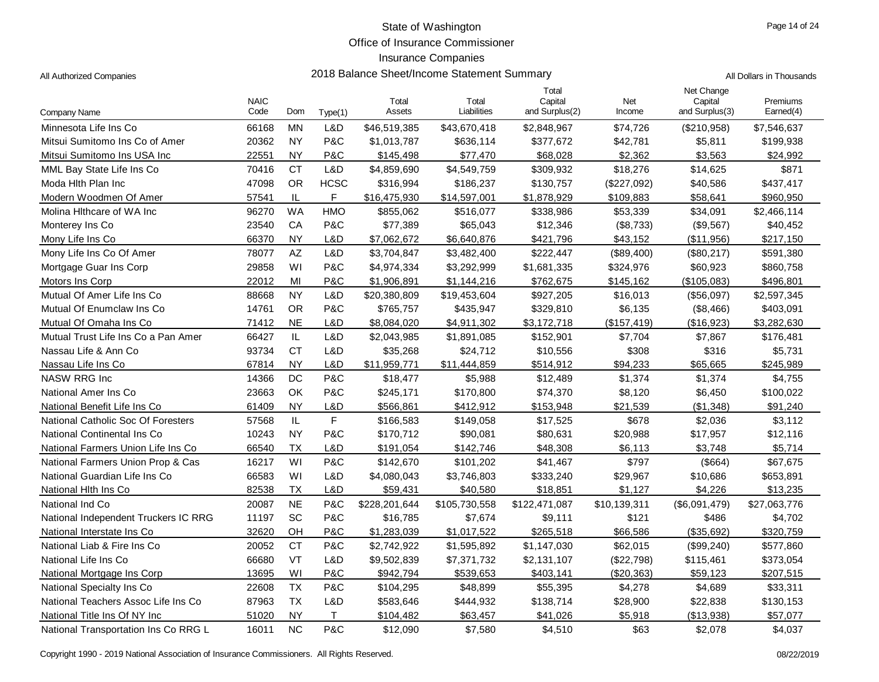Office of Insurance Commissioner

## Insurance Companies

All Authorized Companies **2018 Balance Sheet/Income Statement Summary** All Dollars in Thousands

|                                      | <b>NAIC</b> |                        |              | Total         | Total         | Total<br>Capital | Net          | Net Change<br>Capital | Premiums     |
|--------------------------------------|-------------|------------------------|--------------|---------------|---------------|------------------|--------------|-----------------------|--------------|
| Company Name                         | Code        | Dom                    | Type(1)      | Assets        | Liabilities   | and Surplus(2)   | Income       | and Surplus(3)        | Earned(4)    |
| Minnesota Life Ins Co                | 66168       | <b>MN</b>              | L&D          | \$46,519,385  | \$43,670,418  | \$2,848,967      | \$74,726     | (\$210,958)           | \$7,546,637  |
| Mitsui Sumitomo Ins Co of Amer       | 20362       | <b>NY</b>              | P&C          | \$1,013,787   | \$636,114     | \$377,672        | \$42,781     | \$5,811               | \$199,938    |
| Mitsui Sumitomo Ins USA Inc          | 22551       | <b>NY</b>              | P&C          | \$145,498     | \$77,470      | \$68,028         | \$2,362      | \$3,563               | \$24,992     |
| MML Bay State Life Ins Co            | 70416       | <b>CT</b>              | L&D          | \$4,859,690   | \$4,549,759   | \$309,932        | \$18,276     | \$14,625              | \$871        |
| Moda Hith Plan Inc                   | 47098       | <b>OR</b>              | <b>HCSC</b>  | \$316,994     | \$186,237     | \$130,757        | (\$227,092)  | \$40,586              | \$437,417    |
| Modern Woodmen Of Amer               | 57541       | $\mathsf{IL}$          | F            | \$16,475,930  | \$14,597,001  | \$1,878,929      | \$109,883    | \$58.641              | \$960,950    |
| Molina Hithcare of WA Inc            | 96270       | <b>WA</b>              | <b>HMO</b>   | \$855,062     | \$516,077     | \$338,986        | \$53,339     | \$34,091              | \$2,466,114  |
| Monterey Ins Co.                     | 23540       | CA                     | P&C          | \$77,389      | \$65,043      | \$12,346         | (\$8,733)    | (\$9,567)             | \$40,452     |
| Mony Life Ins Co                     | 66370       | <b>NY</b>              | L&D          | \$7,062,672   | \$6,640,876   | \$421,796        | \$43,152     | (\$11,956)            | \$217,150    |
| Mony Life Ins Co Of Amer             | 78077       | $\mathsf{A}\mathsf{Z}$ | L&D          | \$3,704,847   | \$3,482,400   | \$222,447        | (\$89,400)   | (\$80,217)            | \$591,380    |
| Mortgage Guar Ins Corp               | 29858       | WI                     | P&C          | \$4,974,334   | \$3,292,999   | \$1,681,335      | \$324,976    | \$60,923              | \$860,758    |
| Motors Ins Corp                      | 22012       | MI                     | P&C          | \$1,906,891   | \$1,144,216   | \$762,675        | \$145,162    | (\$105,083)           | \$496,801    |
| Mutual Of Amer Life Ins Co           | 88668       | <b>NY</b>              | L&D          | \$20,380,809  | \$19,453,604  | \$927,205        | \$16,013     | (\$56,097)            | \$2,597,345  |
| Mutual Of Enumclaw Ins Co            | 14761       | <b>OR</b>              | P&C          | \$765,757     | \$435,947     | \$329,810        | \$6,135      | (\$8,466)             | \$403,091    |
| Mutual Of Omaha Ins Co               | 71412       | <b>NE</b>              | L&D          | \$8,084,020   | \$4,911,302   | \$3,172,718      | (\$157,419)  | (\$16,923)            | \$3,282,630  |
| Mutual Trust Life Ins Co a Pan Amer  | 66427       | $\mathsf{IL}$          | L&D          | \$2,043,985   | \$1,891,085   | \$152,901        | \$7,704      | \$7,867               | \$176,481    |
| Nassau Life & Ann Co                 | 93734       | <b>CT</b>              | L&D          | \$35,268      | \$24,712      | \$10,556         | \$308        | \$316                 | \$5,731      |
| Nassau Life Ins Co                   | 67814       | <b>NY</b>              | L&D          | \$11,959,771  | \$11,444,859  | \$514,912        | \$94,233     | \$65,665              | \$245,989    |
| <b>NASW RRG Inc</b>                  | 14366       | DC                     | P&C          | \$18,477      | \$5,988       | \$12,489         | \$1,374      | \$1,374               | \$4,755      |
| National Amer Ins Co                 | 23663       | OK                     | P&C          | \$245,171     | \$170,800     | \$74,370         | \$8,120      | \$6,450               | \$100,022    |
| National Benefit Life Ins Co         | 61409       | <b>NY</b>              | L&D          | \$566,861     | \$412,912     | \$153,948        | \$21,539     | (\$1,348)             | \$91,240     |
| National Catholic Soc Of Foresters   | 57568       | IL                     | $\mathsf F$  | \$166,583     | \$149,058     | \$17,525         | \$678        | \$2,036               | \$3,112      |
| National Continental Ins Co          | 10243       | <b>NY</b>              | P&C          | \$170,712     | \$90,081      | \$80,631         | \$20,988     | \$17,957              | \$12,116     |
| National Farmers Union Life Ins Co   | 66540       | <b>TX</b>              | L&D          | \$191,054     | \$142,746     | \$48,308         | \$6,113      | \$3,748               | \$5,714      |
| National Farmers Union Prop & Cas    | 16217       | WI                     | P&C          | \$142,670     | \$101,202     | \$41,467         | \$797        | (\$664)               | \$67,675     |
| National Guardian Life Ins Co        | 66583       | WI                     | L&D          | \$4,080,043   | \$3,746,803   | \$333,240        | \$29,967     | \$10,686              | \$653,891    |
| National Hith Ins Co                 | 82538       | <b>TX</b>              | L&D          | \$59,431      | \$40,580      | \$18,851         | \$1,127      | \$4,226               | \$13,235     |
| National Ind Co                      | 20087       | NE                     | P&C          | \$228,201,644 | \$105,730,558 | \$122,471,087    | \$10,139,311 | (\$6,091,479)         | \$27,063,776 |
| National Independent Truckers IC RRG | 11197       | <b>SC</b>              | P&C          | \$16,785      | \$7,674       | \$9,111          | \$121        | \$486                 | \$4,702      |
| National Interstate Ins Co           | 32620       | OH                     | P&C          | \$1,283,039   | \$1,017,522   | \$265,518        | \$66,586     | (\$35,692)            | \$320,759    |
| National Liab & Fire Ins Co          | 20052       | <b>CT</b>              | P&C          | \$2,742,922   | \$1,595,892   | \$1,147,030      | \$62,015     | (\$99,240)            | \$577,860    |
| National Life Ins Co                 | 66680       | VT                     | L&D          | \$9,502,839   | \$7,371,732   | \$2,131,107      | (\$22,798)   | \$115,461             | \$373,054    |
| National Mortgage Ins Corp           | 13695       | WI                     | P&C          | \$942,794     | \$539,653     | \$403,141        | (\$20,363)   | \$59,123              | \$207,515    |
| National Specialty Ins Co.           | 22608       | <b>TX</b>              | P&C          | \$104,295     | \$48,899      | \$55,395         | \$4,278      | \$4,689               | \$33,311     |
| National Teachers Assoc Life Ins Co  | 87963       | <b>TX</b>              | L&D          | \$583,646     | \$444,932     | \$138,714        | \$28,900     | \$22,838              | \$130,153    |
| National Title Ins Of NY Inc         | 51020       | <b>NY</b>              | $\mathsf{T}$ | \$104,482     | \$63,457      | \$41,026         | \$5,918      | (\$13,938)            | \$57,077     |
| National Transportation Ins Co RRG L | 16011       | <b>NC</b>              | P&C          | \$12,090      | \$7,580       | \$4,510          | \$63         | \$2,078               | \$4,037      |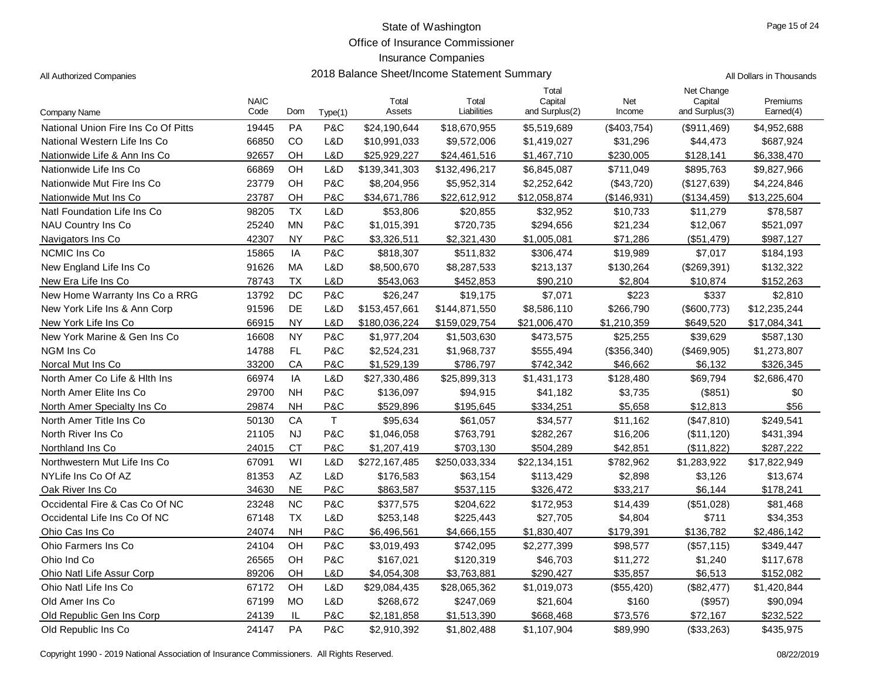Office of Insurance Commissioner

Insurance Companies

| All Authorized Companies | 2018 Balance Sheet/Income Statement Summary | All Dollars in Thousands |
|--------------------------|---------------------------------------------|--------------------------|
|--------------------------|---------------------------------------------|--------------------------|

|                                     | <b>NAIC</b> |           |             | Total         | Total         | Total<br>Capital | Net         | Net Change<br>Capital | Premiums     |
|-------------------------------------|-------------|-----------|-------------|---------------|---------------|------------------|-------------|-----------------------|--------------|
| <b>Company Name</b>                 | Code        | Dom       | Type(1)     | Assets        | Liabilities   | and Surplus(2)   | Income      | and Surplus(3)        | Earned(4)    |
| National Union Fire Ins Co Of Pitts | 19445       | <b>PA</b> | P&C         | \$24,190,644  | \$18,670,955  | \$5,519,689      | (\$403,754) | (\$911,469)           | \$4,952,688  |
| National Western Life Ins Co        | 66850       | CO        | L&D         | \$10,991,033  | \$9,572,006   | \$1,419,027      | \$31,296    | \$44,473              | \$687,924    |
| Nationwide Life & Ann Ins Co        | 92657       | OH        | L&D         | \$25,929,227  | \$24,461,516  | \$1,467,710      | \$230,005   | \$128,141             | \$6,338,470  |
| Nationwide Life Ins Co              | 66869       | OH        | L&D         | \$139,341,303 | \$132,496,217 | \$6,845,087      | \$711,049   | \$895,763             | \$9,827,966  |
| Nationwide Mut Fire Ins Co          | 23779       | OH        | P&C         | \$8,204,956   | \$5,952,314   | \$2,252,642      | (\$43,720)  | (\$127,639)           | \$4,224,846  |
| Nationwide Mut Ins Co               | 23787       | OH        | P&C         | \$34,671,786  | \$22,612,912  | \$12,058,874     | (\$146,931) | (\$134,459)           | \$13,225,604 |
| Natl Foundation Life Ins Co         | 98205       | <b>TX</b> | L&D         | \$53,806      | \$20,855      | \$32,952         | \$10,733    | \$11,279              | \$78,587     |
| NAU Country Ins Co                  | 25240       | <b>MN</b> | P&C         | \$1,015,391   | \$720,735     | \$294,656        | \$21,234    | \$12,067              | \$521,097    |
| Navigators Ins Co.                  | 42307       | <b>NY</b> | P&C         | \$3,326,511   | \$2,321,430   | \$1,005,081      | \$71,286    | (\$51,479)            | \$987,127    |
| NCMIC Ins Co                        | 15865       | IA        | P&C         | \$818,307     | \$511,832     | \$306,474        | \$19,989    | \$7,017               | \$184,193    |
| New England Life Ins Co             | 91626       | MA        | L&D         | \$8,500,670   | \$8,287,533   | \$213,137        | \$130,264   | (\$269,391)           | \$132,322    |
| New Era Life Ins Co                 | 78743       | <b>TX</b> | L&D         | \$543,063     | \$452,853     | \$90,210         | \$2,804     | \$10,874              | \$152,263    |
| New Home Warranty Ins Co a RRG      | 13792       | DC        | P&C         | \$26,247      | \$19,175      | \$7,071          | \$223       | \$337                 | \$2,810      |
| New York Life Ins & Ann Corp        | 91596       | DE        | L&D         | \$153,457,661 | \$144,871,550 | \$8,586,110      | \$266,790   | (\$600,773)           | \$12,235,244 |
| New York Life Ins Co                | 66915       | <b>NY</b> | L&D         | \$180,036,224 | \$159,029,754 | \$21,006,470     | \$1,210,359 | \$649,520             | \$17,084,341 |
| New York Marine & Gen Ins Co        | 16608       | <b>NY</b> | P&C         | \$1,977,204   | \$1,503,630   | \$473,575        | \$25,255    | \$39,629              | \$587,130    |
| NGM Ins Co                          | 14788       | FL        | P&C         | \$2,524,231   | \$1,968,737   | \$555,494        | (\$356,340) | (\$469,905)           | \$1,273,807  |
| Norcal Mut Ins Co                   | 33200       | CA        | P&C         | \$1,529,139   | \$786,797     | \$742,342        | \$46,662    | \$6,132               | \$326,345    |
| North Amer Co Life & Hith Ins       | 66974       | IA        | L&D         | \$27,330,486  | \$25,899,313  | \$1,431,173      | \$128,480   | \$69,794              | \$2,686,470  |
| North Amer Elite Ins Co             | 29700       | <b>NH</b> | P&C         | \$136,097     | \$94,915      | \$41,182         | \$3,735     | (\$851)               | \$0          |
| North Amer Specialty Ins Co.        | 29874       | <b>NH</b> | P&C         | \$529,896     | \$195,645     | \$334,251        | \$5,658     | \$12,813              | \$56         |
| North Amer Title Ins Co             | 50130       | CA        | $\mathsf T$ | \$95,634      | \$61,057      | \$34,577         | \$11,162    | (\$47,810)            | \$249,541    |
| North River Ins Co.                 | 21105       | <b>NJ</b> | P&C         | \$1,046,058   | \$763,791     | \$282,267        | \$16,206    | (\$11,120)            | \$431,394    |
| Northland Ins Co                    | 24015       | <b>CT</b> | P&C         | \$1,207,419   | \$703,130     | \$504,289        | \$42,851    | (\$11,822)            | \$287,222    |
| Northwestern Mut Life Ins Co        | 67091       | WI        | L&D         | \$272,167,485 | \$250,033,334 | \$22,134,151     | \$782,962   | \$1,283,922           | \$17,822,949 |
| NYLife Ins Co Of AZ                 | 81353       | AZ        | L&D         | \$176,583     | \$63,154      | \$113,429        | \$2,898     | \$3,126               | \$13,674     |
| Oak River Ins Co                    | 34630       | <b>NE</b> | P&C         | \$863,587     | \$537,115     | \$326,472        | \$33,217    | \$6,144               | \$178,241    |
| Occidental Fire & Cas Co Of NC      | 23248       | NC        | P&C         | \$377,575     | \$204,622     | \$172,953        | \$14,439    | (\$51,028)            | \$81,468     |
| Occidental Life Ins Co Of NC        | 67148       | <b>TX</b> | L&D         | \$253,148     | \$225,443     | \$27,705         | \$4,804     | \$711                 | \$34,353     |
| Ohio Cas Ins Co                     | 24074       | <b>NH</b> | P&C         | \$6,496,561   | \$4,666,155   | \$1,830,407      | \$179,391   | \$136,782             | \$2,486,142  |
| Ohio Farmers Ins Co                 | 24104       | <b>OH</b> | P&C         | \$3,019,493   | \$742,095     | \$2,277,399      | \$98,577    | (\$57,115)            | \$349,447    |
| Ohio Ind Co                         | 26565       | OH        | P&C         | \$167,021     | \$120,319     | \$46,703         | \$11,272    | \$1,240               | \$117,678    |
| Ohio Natl Life Assur Corp           | 89206       | OH        | L&D         | \$4,054,308   | \$3,763,881   | \$290,427        | \$35,857    | \$6,513               | \$152,082    |
| Ohio Natl Life Ins Co               | 67172       | OH        | L&D         | \$29,084,435  | \$28,065,362  | \$1,019,073      | (\$55,420)  | (\$82,477)            | \$1,420,844  |
| Old Amer Ins Co.                    | 67199       | <b>MO</b> | L&D         | \$268,672     | \$247,069     | \$21,604         | \$160       | (\$957)               | \$90,094     |
| Old Republic Gen Ins Corp           | 24139       | IL        | P&C         | \$2,181,858   | \$1,513,390   | \$668,468        | \$73,576    | \$72,167              | \$232,522    |
| Old Republic Ins Co                 | 24147       | PA        | P&C         | \$2,910,392   | \$1,802,488   | \$1,107,904      | \$89,990    | (\$33,263)            | \$435,975    |

Copyright 1990 - 2019 National Association of Insurance Commissioners. All Rights Reserved. 08/22/2019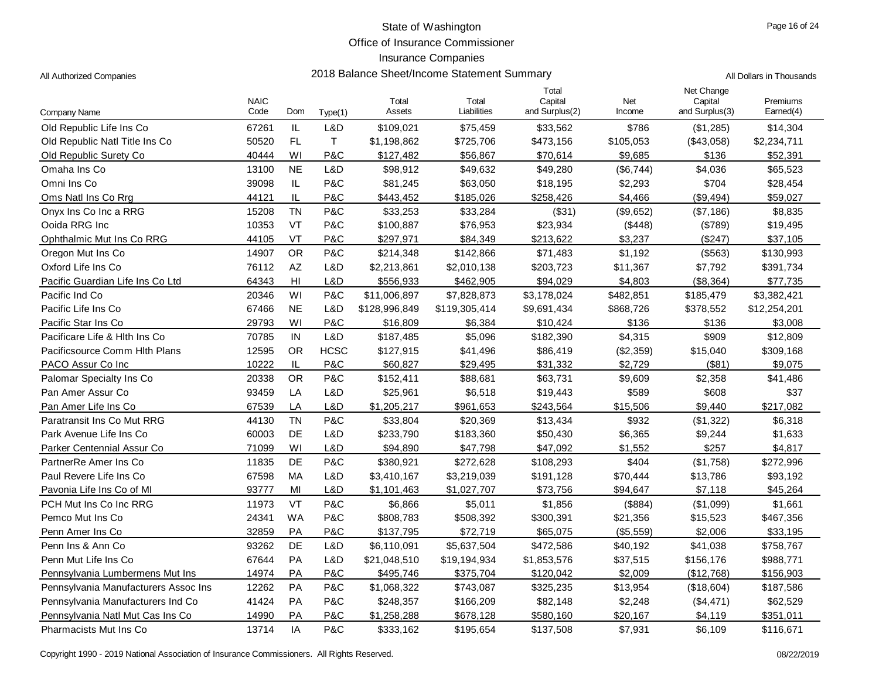Office of Insurance Commissioner

| All Dollars in Thousands |
|--------------------------|
|                          |

| Company Name                         | <b>NAIC</b><br>Code | Dom                               | Type(1)     | Total<br>Assets | Total<br>Liabilities | Total<br>Capital<br>and Surplus(2) | Net<br>Income | Net Change<br>Capital<br>and Surplus(3) | Premiums<br>Earned(4) |
|--------------------------------------|---------------------|-----------------------------------|-------------|-----------------|----------------------|------------------------------------|---------------|-----------------------------------------|-----------------------|
| Old Republic Life Ins Co             | 67261               | $\ensuremath{\mathsf{IL}}\xspace$ | L&D         | \$109,021       | \$75,459             | \$33,562                           | \$786         | (\$1,285)                               | \$14,304              |
| Old Republic Natl Title Ins Co       | 50520               | FL                                | $\top$      | \$1,198,862     | \$725,706            | \$473,156                          | \$105,053     | (\$43,058)                              | \$2,234,711           |
| Old Republic Surety Co               | 40444               | WI                                | P&C         | \$127,482       | \$56,867             | \$70,614                           | \$9,685       | \$136                                   | \$52,391              |
| Omaha Ins Co                         | 13100               | <b>NE</b>                         | L&D         | \$98,912        | \$49,632             | \$49,280                           | (\$6,744)     | \$4,036                                 | \$65,523              |
| Omni Ins Co                          | 39098               | IL                                | P&C         | \$81,245        | \$63,050             | \$18,195                           | \$2,293       | \$704                                   | \$28,454              |
| Oms Natl Ins Co Rrg                  | 44121               | IL                                | P&C         | \$443,452       | \$185,026            | \$258,426                          | \$4,466       | $(\$9,494)$                             | \$59,027              |
| Onyx Ins Co Inc a RRG                | 15208               | <b>TN</b>                         | P&C         | \$33,253        | \$33,284             | (\$31)                             | (\$9,652)     | (\$7,186)                               | \$8,835               |
| Ooida RRG Inc                        | 10353               | VT                                | P&C         | \$100,887       | \$76,953             | \$23,934                           | (\$448)       | (\$789)                                 | \$19,495              |
| Ophthalmic Mut Ins Co RRG            | 44105               | VT                                | P&C         | \$297,971       | \$84,349             | \$213,622                          | \$3,237       | (S247)                                  | \$37,105              |
| Oregon Mut Ins Co                    | 14907               | <b>OR</b>                         | P&C         | \$214,348       | \$142,866            | \$71,483                           | \$1,192       | (\$563)                                 | \$130,993             |
| Oxford Life Ins Co                   | 76112               | AZ                                | L&D         | \$2,213,861     | \$2,010,138          | \$203,723                          | \$11,367      | \$7,792                                 | \$391,734             |
| Pacific Guardian Life Ins Co Ltd     | 64343               | H <sub>II</sub>                   | L&D         | \$556,933       | \$462,905            | \$94,029                           | \$4,803       | (\$8,364)                               | \$77,735              |
| Pacific Ind Co                       | 20346               | WI                                | P&C         | \$11,006,897    | \$7,828,873          | \$3,178,024                        | \$482,851     | \$185,479                               | \$3,382,421           |
| Pacific Life Ins Co                  | 67466               | <b>NE</b>                         | L&D         | \$128,996,849   | \$119,305,414        | \$9,691,434                        | \$868,726     | \$378,552                               | \$12,254,201          |
| Pacific Star Ins Co                  | 29793               | WI                                | P&C         | \$16,809        | \$6,384              | \$10,424                           | \$136         | \$136                                   | \$3,008               |
| Pacificare Life & Hith Ins Co        | 70785               | IN                                | L&D         | \$187,485       | \$5,096              | \$182,390                          | \$4,315       | \$909                                   | \$12,809              |
| Pacificsource Comm Hith Plans        | 12595               | <b>OR</b>                         | <b>HCSC</b> | \$127,915       | \$41,496             | \$86,419                           | (\$2,359)     | \$15,040                                | \$309,168             |
| PACO Assur Co Inc                    | 10222               | IL                                | P&C         | \$60,827        | \$29,495             | \$31,332                           | \$2,729       | (\$81)                                  | \$9,075               |
| Palomar Specialty Ins Co             | 20338               | <b>OR</b>                         | P&C         | \$152,411       | \$88,681             | \$63,731                           | \$9,609       | \$2,358                                 | \$41,486              |
| Pan Amer Assur Co                    | 93459               | LA                                | L&D         | \$25,961        | \$6,518              | \$19,443                           | \$589         | \$608                                   | \$37                  |
| Pan Amer Life Ins Co                 | 67539               | LA                                | L&D         | \$1,205,217     | \$961,653            | \$243,564                          | \$15,506      | \$9,440                                 | \$217,082             |
| Paratransit Ins Co Mut RRG           | 44130               | <b>TN</b>                         | P&C         | \$33,804        | \$20,369             | \$13,434                           | \$932         | (\$1,322)                               | \$6,318               |
| Park Avenue Life Ins Co              | 60003               | DE                                | L&D         | \$233,790       | \$183,360            | \$50,430                           | \$6,365       | \$9,244                                 | \$1,633               |
| Parker Centennial Assur Co           | 71099               | WI                                | L&D         | \$94,890        | \$47,798             | \$47,092                           | \$1,552       | \$257                                   | \$4,817               |
| PartnerRe Amer Ins Co                | 11835               | DE                                | P&C         | \$380,921       | \$272,628            | \$108,293                          | \$404         | (\$1,758)                               | \$272,996             |
| Paul Revere Life Ins Co              | 67598               | МA                                | L&D         | \$3,410,167     | \$3,219,039          | \$191,128                          | \$70,444      | \$13,786                                | \$93,192              |
| Pavonia Life Ins Co of MI            | 93777               | MI                                | L&D         | \$1,101,463     | \$1,027,707          | \$73,756                           | \$94,647      | \$7,118                                 | \$45,264              |
| PCH Mut Ins Co Inc RRG               | 11973               | VT                                | P&C         | \$6,866         | \$5,011              | \$1,856                            | (\$884)       | (\$1,099)                               | \$1,661               |
| Pemco Mut Ins Co                     | 24341               | <b>WA</b>                         | P&C         | \$808,783       | \$508,392            | \$300,391                          | \$21,356      | \$15,523                                | \$467,356             |
| Penn Amer Ins Co                     | 32859               | PA                                | P&C         | \$137,795       | \$72,719             | \$65,075                           | (\$5,559)     | \$2,006                                 | \$33,195              |
| Penn Ins & Ann Co                    | 93262               | DE                                | L&D         | \$6,110,091     | \$5,637,504          | \$472,586                          | \$40,192      | \$41,038                                | \$758,767             |
| Penn Mut Life Ins Co                 | 67644               | PA                                | L&D         | \$21,048,510    | \$19,194,934         | \$1,853,576                        | \$37,515      | \$156,176                               | \$988,771             |
| Pennsylvania Lumbermens Mut Ins      | 14974               | PA                                | P&C         | \$495,746       | \$375,704            | \$120,042                          | \$2,009       | (\$12,768)                              | \$156,903             |
| Pennsylvania Manufacturers Assoc Ins | 12262               | PA                                | P&C         | \$1,068,322     | \$743,087            | \$325,235                          | \$13,954      | (\$18,604)                              | \$187,586             |
| Pennsylvania Manufacturers Ind Co    | 41424               | PA                                | P&C         | \$248,357       | \$166,209            | \$82,148                           | \$2,248       | (\$4,471)                               | \$62,529              |
| Pennsylvania Natl Mut Cas Ins Co     | 14990               | PA                                | P&C         | \$1,258,288     | \$678,128            | \$580,160                          | \$20,167      | \$4,119                                 | \$351,011             |
| Pharmacists Mut Ins Co               | 13714               | IA                                | P&C         | \$333,162       | \$195,654            | \$137,508                          | \$7,931       | \$6,109                                 | \$116,671             |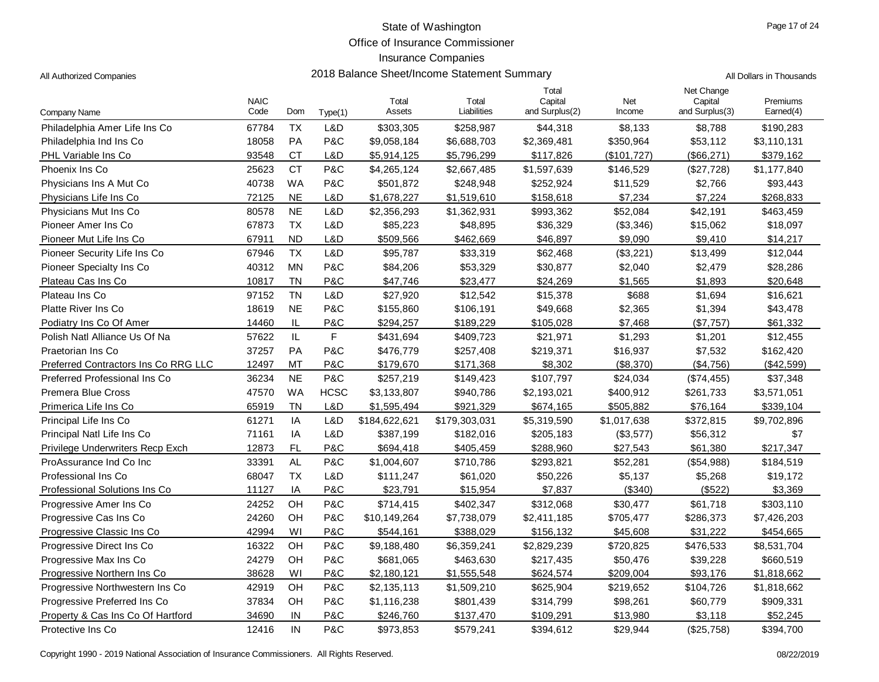Office of Insurance Commissioner

# Insurance Companies

| 2018 Balance Sheet/Income Statement Summary<br>All Authorized Companies | All Dollars in Thousands |  |
|-------------------------------------------------------------------------|--------------------------|--|
|-------------------------------------------------------------------------|--------------------------|--|

| Company Name                         | <b>NAIC</b><br>Code | Dom           | Type(1)     | Total<br>Assets | Total<br>Liabilities | Total<br>Capital<br>and Surplus(2) | Net<br>Income | Net Change<br>Capital<br>and Surplus(3) | Premiums<br>Earned(4) |
|--------------------------------------|---------------------|---------------|-------------|-----------------|----------------------|------------------------------------|---------------|-----------------------------------------|-----------------------|
| Philadelphia Amer Life Ins Co        | 67784               | <b>TX</b>     | L&D         | \$303,305       | \$258,987            | \$44,318                           | \$8,133       | \$8,788                                 | \$190,283             |
| Philadelphia Ind Ins Co.             | 18058               | PA            | P&C         | \$9,058,184     | \$6,688,703          | \$2,369,481                        | \$350,964     | \$53,112                                | \$3,110,131           |
| PHL Variable Ins Co                  | 93548               | <b>CT</b>     | L&D         | \$5,914,125     | \$5,796,299          | \$117,826                          | $(\$101,727)$ | (\$66, 271)                             | \$379,162             |
| Phoenix Ins Co                       | 25623               | <b>CT</b>     | P&C         | \$4,265,124     | \$2,667,485          | \$1,597,639                        | \$146,529     | (\$27,728)                              | \$1,177,840           |
| Physicians Ins A Mut Co.             | 40738               | <b>WA</b>     | P&C         | \$501,872       | \$248,948            | \$252,924                          | \$11,529      | \$2,766                                 | \$93,443              |
| Physicians Life Ins Co               | 72125               | <b>NE</b>     | L&D         | \$1,678,227     | \$1,519,610          | \$158,618                          | \$7,234       | \$7,224                                 | \$268,833             |
| Physicians Mut Ins Co                | 80578               | <b>NE</b>     | L&D         | \$2,356,293     | \$1,362,931          | \$993,362                          | \$52,084      | \$42,191                                | \$463,459             |
| Pioneer Amer Ins Co                  | 67873               | <b>TX</b>     | L&D         | \$85,223        | \$48,895             | \$36,329                           | (\$3,346)     | \$15,062                                | \$18,097              |
| Pioneer Mut Life Ins Co              | 67911               | <b>ND</b>     | L&D         | \$509,566       | \$462,669            | \$46,897                           | \$9,090       | \$9,410                                 | \$14,217              |
| Pioneer Security Life Ins Co         | 67946               | <b>TX</b>     | L&D         | \$95,787        | \$33,319             | \$62,468                           | (\$3,221)     | \$13,499                                | \$12,044              |
| Pioneer Specialty Ins Co.            | 40312               | <b>MN</b>     | P&C         | \$84,206        | \$53,329             | \$30,877                           | \$2,040       | \$2,479                                 | \$28,286              |
| Plateau Cas Ins Co                   | 10817               | <b>TN</b>     | P&C         | \$47,746        | \$23,477             | \$24,269                           | \$1,565       | \$1,893                                 | \$20,648              |
| Plateau Ins Co                       | 97152               | <b>TN</b>     | L&D         | \$27,920        | \$12,542             | \$15,378                           | \$688         | \$1,694                                 | \$16,621              |
| Platte River Ins Co                  | 18619               | <b>NE</b>     | P&C         | \$155,860       | \$106,191            | \$49,668                           | \$2,365       | \$1,394                                 | \$43,478              |
| Podiatry Ins Co Of Amer              | 14460               | IL            | P&C         | \$294,257       | \$189,229            | \$105,028                          | \$7,468       | (\$7,757)                               | \$61,332              |
| Polish Natl Alliance Us Of Na        | 57622               | $\mathsf{IL}$ | F           | \$431,694       | \$409,723            | \$21,971                           | \$1,293       | \$1,201                                 | \$12,455              |
| Praetorian Ins Co                    | 37257               | PA            | P&C         | \$476,779       | \$257,408            | \$219,371                          | \$16,937      | \$7,532                                 | \$162,420             |
| Preferred Contractors Ins Co RRG LLC | 12497               | MT            | P&C         | \$179,670       | \$171,368            | \$8,302                            | (\$8,370)     | $(\$4,756)$                             | (\$42,599)            |
| Preferred Professional Ins Co        | 36234               | <b>NE</b>     | P&C         | \$257,219       | \$149,423            | \$107,797                          | \$24,034      | (\$74,455)                              | \$37,348              |
| <b>Premera Blue Cross</b>            | 47570               | <b>WA</b>     | <b>HCSC</b> | \$3,133,807     | \$940,786            | \$2,193,021                        | \$400,912     | \$261,733                               | \$3,571,051           |
| Primerica Life Ins Co                | 65919               | <b>TN</b>     | L&D         | \$1,595,494     | \$921,329            | \$674,165                          | \$505,882     | \$76,164                                | \$339,104             |
| Principal Life Ins Co                | 61271               | IA            | L&D         | \$184,622,621   | \$179,303,031        | \$5,319,590                        | \$1,017,638   | \$372,815                               | \$9,702,896           |
| Principal Natl Life Ins Co           | 71161               | IA            | L&D         | \$387,199       | \$182,016            | \$205,183                          | (\$3,577)     | \$56,312                                | \$7                   |
| Privilege Underwriters Recp Exch     | 12873               | <b>FL</b>     | P&C         | \$694,418       | \$405,459            | \$288,960                          | \$27,543      | \$61,380                                | \$217,347             |
| ProAssurance Ind Co Inc              | 33391               | <b>AL</b>     | P&C         | \$1,004,607     | \$710,786            | \$293,821                          | \$52,281      | (\$54,988)                              | \$184,519             |
| Professional Ins Co                  | 68047               | <b>TX</b>     | L&D         | \$111,247       | \$61,020             | \$50,226                           | \$5,137       | \$5,268                                 | \$19,172              |
| Professional Solutions Ins Co        | 11127               | IA            | P&C         | \$23,791        | \$15,954             | \$7,837                            | (\$340)       | (\$522)                                 | \$3,369               |
| Progressive Amer Ins Co              | 24252               | OH            | P&C         | \$714,415       | \$402,347            | \$312,068                          | \$30,477      | \$61,718                                | \$303,110             |
| Progressive Cas Ins Co               | 24260               | OH            | P&C         | \$10,149,264    | \$7,738,079          | \$2,411,185                        | \$705,477     | \$286,373                               | \$7,426,203           |
| Progressive Classic Ins Co           | 42994               | WI            | P&C         | \$544,161       | \$388.029            | \$156,132                          | \$45,608      | \$31,222                                | \$454,665             |
| Progressive Direct Ins Co            | 16322               | OH            | P&C         | \$9,188,480     | \$6,359,241          | \$2,829,239                        | \$720,825     | \$476,533                               | \$8,531,704           |
| Progressive Max Ins Co               | 24279               | OH            | P&C         | \$681,065       | \$463,630            | \$217,435                          | \$50,476      | \$39,228                                | \$660,519             |
| Progressive Northern Ins Co          | 38628               | WI            | P&C         | \$2,180,121     | \$1,555,548          | \$624,574                          | \$209,004     | \$93,176                                | \$1,818,662           |
| Progressive Northwestern Ins Co.     | 42919               | OH            | P&C         | \$2,135,113     | \$1,509,210          | \$625,904                          | \$219,652     | \$104,726                               | \$1,818,662           |
| Progressive Preferred Ins Co         | 37834               | OH            | P&C         | \$1,116,238     | \$801,439            | \$314,799                          | \$98,261      | \$60,779                                | \$909,331             |
| Property & Cas Ins Co Of Hartford    | 34690               | IN            | P&C         | \$246,760       | \$137,470            | \$109,291                          | \$13,980      | \$3,118                                 | \$52,245              |
| Protective Ins Co                    | 12416               | IN            | P&C         | \$973,853       | \$579,241            | \$394,612                          | \$29,944      | (\$25,758)                              | \$394,700             |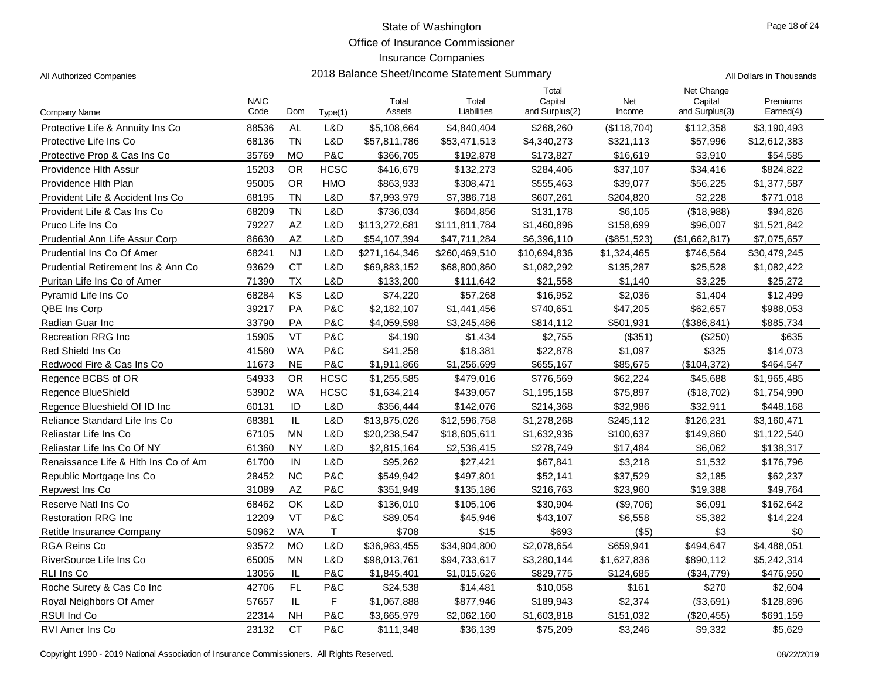Office of Insurance Commissioner

| All Dollars in Thousands |
|--------------------------|
|                          |

| Company Name                         | <b>NAIC</b><br>Code | Dom                    | Type(1)     | Total<br>Assets | Total<br>Liabilities | Total<br>Capital<br>and Surplus(2) | Net<br>Income | Net Change<br>Capital<br>and Surplus(3) | Premiums<br>Earned(4) |
|--------------------------------------|---------------------|------------------------|-------------|-----------------|----------------------|------------------------------------|---------------|-----------------------------------------|-----------------------|
| Protective Life & Annuity Ins Co     | 88536               | AL                     | L&D         | \$5,108,664     | \$4,840,404          | \$268,260                          | (\$118,704)   | \$112,358                               | \$3,190,493           |
| Protective Life Ins Co               | 68136               | <b>TN</b>              | L&D         | \$57,811,786    | \$53,471,513         | \$4,340,273                        | \$321,113     | \$57,996                                | \$12,612,383          |
| Protective Prop & Cas Ins Co         | 35769               | МO                     | P&C         | \$366,705       | \$192,878            | \$173,827                          | \$16,619      | \$3,910                                 | \$54,585              |
| Providence Hith Assur                | 15203               | <b>OR</b>              | <b>HCSC</b> | \$416,679       | \$132,273            | \$284,406                          | \$37,107      | \$34,416                                | \$824,822             |
| Providence Hith Plan                 | 95005               | <b>OR</b>              | HMO         | \$863,933       | \$308,471            | \$555,463                          | \$39,077      | \$56,225                                | \$1,377,587           |
| Provident Life & Accident Ins Co     | 68195               | <b>TN</b>              | L&D         | \$7,993,979     | \$7,386,718          | \$607,261                          | \$204,820     | \$2,228                                 | \$771,018             |
| Provident Life & Cas Ins Co          | 68209               | <b>TN</b>              | L&D         | \$736,034       | \$604,856            | \$131,178                          | \$6,105       | (\$18,988)                              | \$94,826              |
| Pruco Life Ins Co                    | 79227               | $\mathsf{A}\mathsf{Z}$ | L&D         | \$113,272,681   | \$111,811,784        | \$1,460,896                        | \$158,699     | \$96,007                                | \$1,521,842           |
| Prudential Ann Life Assur Corp       | 86630               | <b>AZ</b>              | L&D         | \$54,107,394    | \$47,711,284         | \$6,396,110                        | (\$851,523)   | (\$1,662,817)                           | \$7,075,657           |
| Prudential Ins Co Of Amer            | 68241               | <b>NJ</b>              | L&D         | \$271,164,346   | \$260,469,510        | \$10,694,836                       | \$1,324,465   | \$746,564                               | \$30,479,245          |
| Prudential Retirement Ins & Ann Co.  | 93629               | <b>CT</b>              | L&D         | \$69,883,152    | \$68,800,860         | \$1,082,292                        | \$135,287     | \$25,528                                | \$1,082,422           |
| Puritan Life Ins Co of Amer          | 71390               | ТX                     | L&D         | \$133,200       | \$111,642            | \$21,558                           | \$1,140       | \$3,225                                 | \$25,272              |
| Pyramid Life Ins Co                  | 68284               | KS                     | L&D         | \$74,220        | \$57,268             | \$16,952                           | \$2,036       | \$1,404                                 | \$12,499              |
| QBE Ins Corp                         | 39217               | PA                     | P&C         | \$2,182,107     | \$1,441,456          | \$740,651                          | \$47,205      | \$62,657                                | \$988,053             |
| Radian Guar Inc                      | 33790               | PA                     | P&C         | \$4,059,598     | \$3,245,486          | \$814,112                          | \$501,931     | (\$386, 841)                            | \$885,734             |
| <b>Recreation RRG Inc</b>            | 15905               | <b>VT</b>              | P&C         | \$4,190         | \$1,434              | \$2,755                            | (\$351)       | (\$250)                                 | \$635                 |
| Red Shield Ins Co                    | 41580               | <b>WA</b>              | P&C         | \$41,258        | \$18,381             | \$22,878                           | \$1,097       | \$325                                   | \$14,073              |
| Redwood Fire & Cas Ins Co            | 11673               | <b>NE</b>              | P&C         | \$1,911,866     | \$1,256,699          | \$655,167                          | \$85,675      | (\$104, 372)                            | \$464,547             |
| Regence BCBS of OR                   | 54933               | <b>OR</b>              | <b>HCSC</b> | \$1,255,585     | \$479,016            | \$776,569                          | \$62,224      | \$45,688                                | \$1,965,485           |
| Regence BlueShield                   | 53902               | <b>WA</b>              | <b>HCSC</b> | \$1,634,214     | \$439,057            | \$1,195,158                        | \$75,897      | (\$18,702)                              | \$1,754,990           |
| Regence Blueshield Of ID Inc         | 60131               | ID                     | L&D         | \$356,444       | \$142,076            | \$214,368                          | \$32,986      | \$32,911                                | \$448,168             |
| Reliance Standard Life Ins Co        | 68381               | $\mathsf{IL}$          | L&D         | \$13,875,026    | \$12,596,758         | \$1,278,268                        | \$245,112     | \$126,231                               | \$3,160,471           |
| Reliastar Life Ins Co                | 67105               | <b>MN</b>              | L&D         | \$20,238,547    | \$18,605,611         | \$1,632,936                        | \$100,637     | \$149,860                               | \$1,122,540           |
| Reliastar Life Ins Co Of NY          | 61360               | <b>NY</b>              | L&D         | \$2,815,164     | \$2,536,415          | \$278,749                          | \$17,484      | \$6,062                                 | \$138,317             |
| Renaissance Life & Hith Ins Co of Am | 61700               | IN                     | L&D         | \$95,262        | \$27,421             | \$67,841                           | \$3,218       | \$1,532                                 | \$176,796             |
| Republic Mortgage Ins Co.            | 28452               | <b>NC</b>              | P&C         | \$549,942       | \$497,801            | \$52,141                           | \$37,529      | \$2,185                                 | \$62,237              |
| Repwest Ins Co                       | 31089               | AZ                     | P&C         | \$351,949       | \$135,186            | \$216,763                          | \$23,960      | \$19,388                                | \$49,764              |
| Reserve Natl Ins Co                  | 68462               | OK                     | L&D         | \$136,010       | \$105,106            | \$30,904                           | (\$9,706)     | \$6,091                                 | \$162,642             |
| <b>Restoration RRG Inc.</b>          | 12209               | VT                     | P&C         | \$89,054        | \$45,946             | \$43,107                           | \$6,558       | \$5,382                                 | \$14,224              |
| Retitle Insurance Company            | 50962               | <b>WA</b>              | T.          | \$708           | \$15                 | \$693                              | $($ \$5)      | \$3                                     | \$0                   |
| <b>RGA Reins Co</b>                  | 93572               | <b>MO</b>              | L&D         | \$36,983,455    | \$34,904,800         | \$2,078,654                        | \$659,941     | \$494,647                               | \$4,488,051           |
| RiverSource Life Ins Co              | 65005               | <b>MN</b>              | L&D         | \$98,013,761    | \$94,733,617         | \$3,280,144                        | \$1,627,836   | \$890,112                               | \$5,242,314           |
| <b>RLI Ins Co</b>                    | 13056               | IL                     | P&C         | \$1,845,401     | \$1,015,626          | \$829,775                          | \$124,685     | (\$34,779)                              | \$476,950             |
| Roche Surety & Cas Co Inc            | 42706               | FL.                    | P&C         | \$24,538        | \$14,481             | \$10,058                           | \$161         | \$270                                   | \$2,604               |
| Royal Neighbors Of Amer              | 57657               | IL                     | F           | \$1,067,888     | \$877,946            | \$189,943                          | \$2,374       | (\$3,691)                               | \$128,896             |
| <b>RSUI Ind Co</b>                   | 22314               | <b>NH</b>              | P&C         | \$3,665,979     | \$2,062,160          | \$1,603,818                        | \$151,032     | (\$20,455)                              | \$691,159             |
| RVI Amer Ins Co                      | 23132               | <b>CT</b>              | P&C         | \$111,348       | \$36,139             | \$75,209                           | \$3,246       | \$9,332                                 | \$5,629               |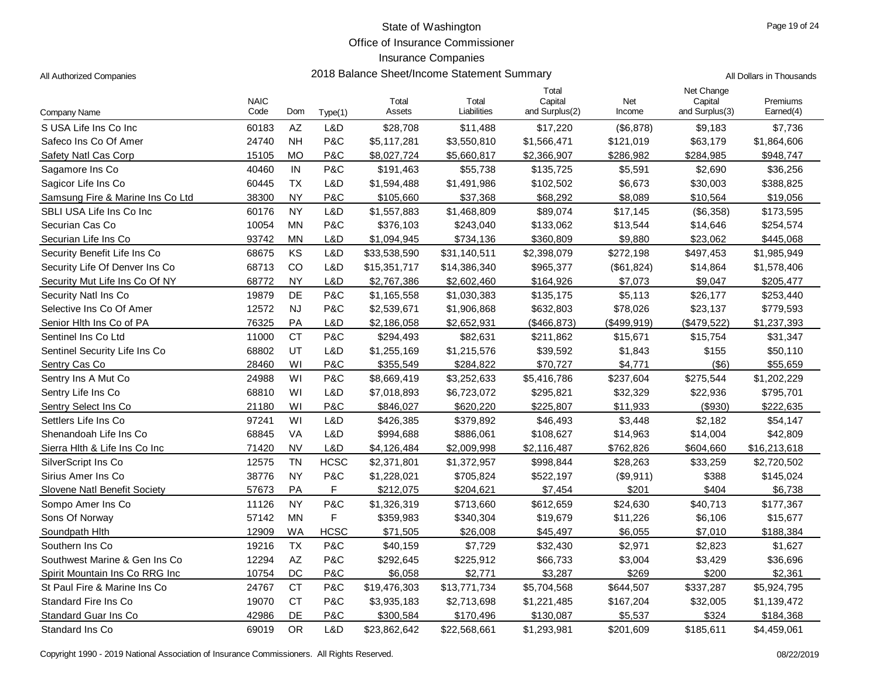Office of Insurance Commissioner

## Insurance Companies

| All Dollars in Thousands |
|--------------------------|
|                          |

| Company Name                     | <b>NAIC</b><br>Code | Dom                    | Type(1)     | Total<br>Assets | Total<br>Liabilities | Total<br>Capital<br>and Surplus(2) | Net<br>Income | Net Change<br>Capital<br>and Surplus(3) | Premiums<br>Earned(4) |
|----------------------------------|---------------------|------------------------|-------------|-----------------|----------------------|------------------------------------|---------------|-----------------------------------------|-----------------------|
| S USA Life Ins Co Inc            | 60183               | $\mathsf{A}\mathsf{Z}$ | L&D         | \$28,708        | \$11,488             | \$17,220                           | (\$6,878)     | \$9,183                                 | \$7,736               |
| Safeco Ins Co Of Amer            | 24740               | <b>NH</b>              | P&C         | \$5,117,281     | \$3,550,810          | \$1,566,471                        | \$121,019     | \$63,179                                | \$1,864,606           |
| Safety Natl Cas Corp             | 15105               | <b>MO</b>              | P&C         | \$8,027,724     | \$5,660,817          | \$2,366,907                        | \$286,982     | \$284,985                               | \$948,747             |
| Sagamore Ins Co                  | 40460               | IN                     | P&C         | \$191,463       | \$55,738             | \$135,725                          | \$5,591       | \$2,690                                 | \$36,256              |
| Sagicor Life Ins Co              | 60445               | <b>TX</b>              | L&D         | \$1,594,488     | \$1,491,986          | \$102,502                          | \$6,673       | \$30,003                                | \$388,825             |
| Samsung Fire & Marine Ins Co Ltd | 38300               | <b>NY</b>              | P&C         | \$105,660       | \$37,368             | \$68,292                           | \$8,089       | \$10,564                                | \$19,056              |
| SBLI USA Life Ins Co Inc         | 60176               | <b>NY</b>              | L&D         | \$1,557,883     | \$1,468,809          | \$89,074                           | \$17,145      | (\$6,358)                               | \$173,595             |
| Securian Cas Co                  | 10054               | ΜN                     | P&C         | \$376,103       | \$243,040            | \$133,062                          | \$13,544      | \$14,646                                | \$254,574             |
| Securian Life Ins Co             | 93742               | MN                     | L&D         | \$1,094,945     | \$734,136            | \$360,809                          | \$9,880       | \$23,062                                | \$445,068             |
| Security Benefit Life Ins Co     | 68675               | KS                     | L&D         | \$33,538,590    | \$31,140,511         | \$2,398,079                        | \$272,198     | \$497,453                               | \$1,985,949           |
| Security Life Of Denver Ins Co   | 68713               | CO                     | L&D         | \$15,351,717    | \$14,386,340         | \$965,377                          | (\$61,824)    | \$14,864                                | \$1,578,406           |
| Security Mut Life Ins Co Of NY   | 68772               | <b>NY</b>              | L&D         | \$2,767,386     | \$2,602,460          | \$164,926                          | \$7,073       | \$9,047                                 | \$205,477             |
| Security Natl Ins Co             | 19879               | DE                     | P&C         | \$1,165,558     | \$1,030,383          | \$135,175                          | \$5,113       | \$26,177                                | \$253,440             |
| Selective Ins Co Of Amer         | 12572               | <b>NJ</b>              | P&C         | \$2,539,671     | \$1,906,868          | \$632,803                          | \$78,026      | \$23,137                                | \$779,593             |
| Senior Hlth Ins Co of PA         | 76325               | PA                     | L&D         | \$2,186,058     | \$2,652,931          | (\$466, 873)                       | (\$499,919)   | (\$479,522)                             | \$1,237,393           |
| Sentinel Ins Co Ltd              | 11000               | <b>CT</b>              | P&C         | \$294,493       | \$82,631             | \$211,862                          | \$15,671      | \$15,754                                | \$31,347              |
| Sentinel Security Life Ins Co    | 68802               | UT                     | L&D         | \$1,255,169     | \$1,215,576          | \$39,592                           | \$1,843       | \$155                                   | \$50,110              |
| Sentry Cas Co                    | 28460               | WI                     | P&C         | \$355,549       | \$284,822            | \$70,727                           | \$4,771       | (\$6)                                   | \$55,659              |
| Sentry Ins A Mut Co              | 24988               | WI                     | P&C         | \$8,669,419     | \$3,252,633          | \$5,416,786                        | \$237,604     | \$275,544                               | \$1,202,229           |
| Sentry Life Ins Co               | 68810               | WI                     | L&D         | \$7,018,893     | \$6,723,072          | \$295,821                          | \$32,329      | \$22,936                                | \$795,701             |
| Sentry Select Ins Co             | 21180               | WI                     | P&C         | \$846,027       | \$620,220            | \$225,807                          | \$11,933      | (\$930)                                 | \$222,635             |
| Settlers Life Ins Co             | 97241               | WI                     | L&D         | \$426,385       | \$379,892            | \$46,493                           | \$3,448       | \$2,182                                 | \$54,147              |
| Shenandoah Life Ins Co           | 68845               | <b>VA</b>              | L&D         | \$994,688       | \$886,061            | \$108,627                          | \$14,963      | \$14,004                                | \$42,809              |
| Sierra Hlth & Life Ins Co Inc    | 71420               | <b>NV</b>              | L&D         | \$4,126,484     | \$2,009,998          | \$2,116,487                        | \$762,826     | \$604,660                               | \$16,213,618          |
| SilverScript Ins Co              | 12575               | <b>TN</b>              | <b>HCSC</b> | \$2,371,801     | \$1,372,957          | \$998,844                          | \$28,263      | \$33,259                                | \$2,720,502           |
| Sirius Amer Ins Co               | 38776               | <b>NY</b>              | P&C         | \$1,228,021     | \$705,824            | \$522,197                          | (\$9,911)     | \$388                                   | \$145,024             |
| Slovene Natl Benefit Society     | 57673               | PA                     | F           | \$212,075       | \$204,621            | \$7,454                            | \$201         | \$404                                   | \$6,738               |
| Sompo Amer Ins Co                | 11126               | <b>NY</b>              | P&C         | \$1,326,319     | \$713,660            | \$612,659                          | \$24,630      | \$40,713                                | \$177,367             |
| Sons Of Norway                   | 57142               | <b>MN</b>              | F           | \$359,983       | \$340,304            | \$19,679                           | \$11,226      | \$6,106                                 | \$15,677              |
| Soundpath Hith                   | 12909               | <b>WA</b>              | <b>HCSC</b> | \$71,505        | \$26,008             | \$45,497                           | \$6,055       | \$7,010                                 | \$188,384             |
| Southern Ins Co                  | 19216               | <b>TX</b>              | P&C         | \$40,159        | \$7,729              | \$32,430                           | \$2,971       | \$2,823                                 | \$1,627               |
| Southwest Marine & Gen Ins Co    | 12294               | $\mathsf{A}\mathsf{Z}$ | P&C         | \$292,645       | \$225,912            | \$66,733                           | \$3,004       | \$3,429                                 | \$36,696              |
| Spirit Mountain Ins Co RRG Inc   | 10754               | DC                     | P&C         | \$6,058         | \$2,771              | \$3,287                            | \$269         | \$200                                   | \$2,361               |
| St Paul Fire & Marine Ins Co     | 24767               | <b>CT</b>              | P&C         | \$19,476,303    | \$13,771,734         | \$5,704,568                        | \$644,507     | \$337,287                               | \$5,924,795           |
| Standard Fire Ins Co             | 19070               | <b>CT</b>              | P&C         | \$3,935,183     | \$2,713,698          | \$1,221,485                        | \$167,204     | \$32,005                                | \$1,139,472           |
| <b>Standard Guar Ins Co</b>      | 42986               | DE                     | P&C         | \$300,584       | \$170,496            | \$130,087                          | \$5,537       | \$324                                   | \$184,368             |
| Standard Ins Co                  | 69019               | <b>OR</b>              | L&D         | \$23,862,642    | \$22,568,661         | \$1,293,981                        | \$201,609     | \$185,611                               | \$4,459,061           |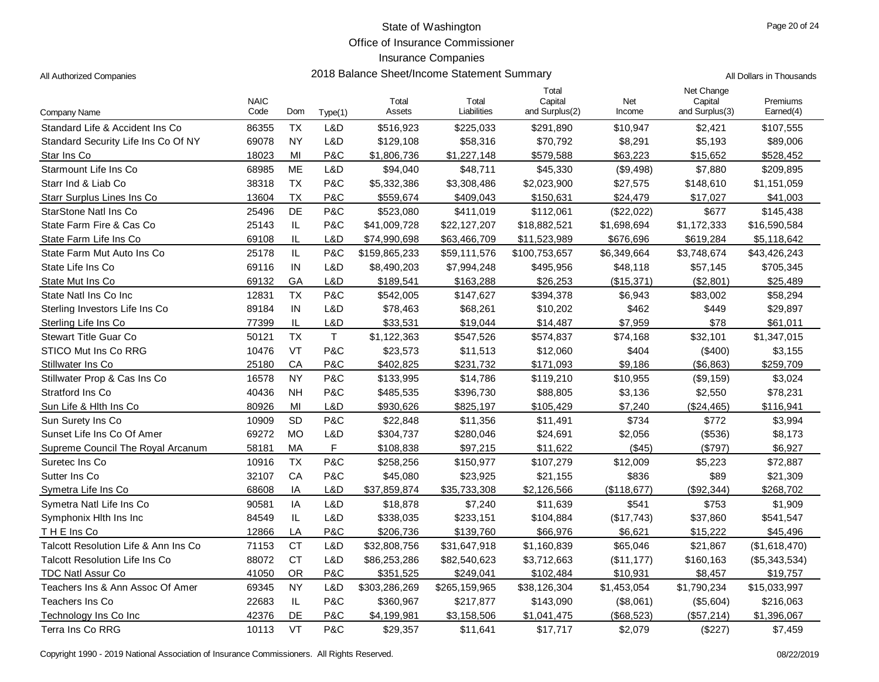Office of Insurance Commissioner

## Insurance Companies

2018 Balance Sheet/Income Statement Summary **Authorized Companies 2018** All Dollars in Thousands

|                                       |                     |           |             |                 |                      | Total                     |               | Net Change                |                       |
|---------------------------------------|---------------------|-----------|-------------|-----------------|----------------------|---------------------------|---------------|---------------------------|-----------------------|
| Company Name                          | <b>NAIC</b><br>Code | Dom       | Type(1)     | Total<br>Assets | Total<br>Liabilities | Capital<br>and Surplus(2) | Net<br>Income | Capital<br>and Surplus(3) | Premiums<br>Earned(4) |
| Standard Life & Accident Ins Co       | 86355               | <b>TX</b> | L&D         | \$516,923       | \$225,033            | \$291,890                 | \$10,947      | \$2,421                   | \$107,555             |
| Standard Security Life Ins Co Of NY   | 69078               | <b>NY</b> | L&D         | \$129,108       | \$58,316             | \$70,792                  | \$8,291       | \$5,193                   | \$89,006              |
| Star Ins Co                           | 18023               | MI        | P&C         | \$1,806,736     | \$1,227,148          | \$579,588                 | \$63,223      | \$15,652                  | \$528,452             |
| Starmount Life Ins Co                 | 68985               | <b>ME</b> | L&D         | \$94,040        | \$48,711             | \$45,330                  | (\$9,498)     | \$7,880                   | \$209,895             |
| Starr Ind & Liab Co                   | 38318               | <b>TX</b> | P&C         | \$5,332,386     | \$3,308,486          | \$2,023,900               | \$27,575      | \$148,610                 | \$1,151,059           |
| Starr Surplus Lines Ins Co            | 13604               | <b>TX</b> | P&C         | \$559.674       | \$409.043            | \$150,631                 | \$24.479      | \$17.027                  | \$41.003              |
| StarStone Natl Ins Co                 | 25496               | DE        | P&C         | \$523,080       | \$411,019            | \$112,061                 | (\$22,022)    | \$677                     | \$145,438             |
| State Farm Fire & Cas Co              | 25143               | IL        | P&C         | \$41,009,728    | \$22,127,207         | \$18,882,521              | \$1,698,694   | \$1,172,333               | \$16,590,584          |
| State Farm Life Ins Co                | 69108               | IL        | L&D         | \$74,990,698    | \$63,466,709         | \$11,523,989              | \$676,696     | \$619,284                 | \$5,118,642           |
| State Farm Mut Auto Ins Co            | 25178               | IL        | P&C         | \$159,865,233   | \$59,111,576         | \$100,753,657             | \$6,349,664   | \$3,748,674               | \$43,426,243          |
| State Life Ins Co                     | 69116               | IN        | L&D         | \$8,490,203     | \$7,994,248          | \$495,956                 | \$48,118      | \$57,145                  | \$705,345             |
| State Mut Ins Co                      | 69132               | GA        | L&D         | \$189,541       | \$163,288            | \$26,253                  | (\$15,371)    | (\$2,801)                 | \$25,489              |
| State Natl Ins Co Inc.                | 12831               | <b>TX</b> | P&C         | \$542,005       | \$147,627            | \$394,378                 | \$6,943       | \$83,002                  | \$58,294              |
| Sterling Investors Life Ins Co        | 89184               | IN        | L&D         | \$78,463        | \$68,261             | \$10,202                  | \$462         | \$449                     | \$29,897              |
| Sterling Life Ins Co                  | 77399               | IL        | L&D         | \$33,531        | \$19,044             | \$14,487                  | \$7,959       | \$78                      | \$61,011              |
| <b>Stewart Title Guar Co</b>          | 50121               | <b>TX</b> | $\mathsf T$ | \$1,122,363     | \$547,526            | \$574,837                 | \$74,168      | \$32,101                  | \$1,347,015           |
| STICO Mut Ins Co RRG                  | 10476               | VT        | P&C         | \$23,573        | \$11,513             | \$12,060                  | \$404         | (\$400)                   | \$3,155               |
| Stillwater Ins Co                     | 25180               | CA        | P&C         | \$402,825       | \$231,732            | \$171,093                 | \$9,186       | (\$6,863)                 | \$259,709             |
| Stillwater Prop & Cas Ins Co          | 16578               | <b>NY</b> | P&C         | \$133,995       | \$14,786             | \$119,210                 | \$10,955      | (\$9,159)                 | \$3,024               |
| Stratford Ins Co                      | 40436               | <b>NH</b> | P&C         | \$485,535       | \$396,730            | \$88,805                  | \$3,136       | \$2,550                   | \$78,231              |
| Sun Life & Hith Ins Co                | 80926               | MI        | L&D         | \$930,626       | \$825,197            | \$105,429                 | \$7,240       | (\$24,465)                | \$116,941             |
| Sun Surety Ins Co                     | 10909               | <b>SD</b> | P&C         | \$22,848        | \$11,356             | \$11,491                  | \$734         | \$772                     | \$3,994               |
| Sunset Life Ins Co Of Amer            | 69272               | <b>MO</b> | L&D         | \$304,737       | \$280,046            | \$24,691                  | \$2,056       | (\$536)                   | \$8,173               |
| Supreme Council The Royal Arcanum     | 58181               | MA        | F.          | \$108,838       | \$97,215             | \$11,622                  | (\$45)        | (\$797)                   | \$6,927               |
| Suretec Ins Co                        | 10916               | <b>TX</b> | P&C         | \$258,256       | \$150,977            | \$107,279                 | \$12,009      | \$5,223                   | \$72,887              |
| Sutter Ins Co                         | 32107               | CA        | P&C         | \$45,080        | \$23,925             | \$21,155                  | \$836         | \$89                      | \$21,309              |
| Symetra Life Ins Co                   | 68608               | IA        | L&D         | \$37,859,874    | \$35,733,308         | \$2,126,566               | (\$118,677)   | (\$92,344)                | \$268,702             |
| Symetra Natl Life Ins Co              | 90581               | IA        | L&D         | \$18,878        | \$7,240              | \$11,639                  | \$541         | \$753                     | \$1,909               |
| Symphonix Hith Ins Inc                | 84549               | IL        | L&D         | \$338,035       | \$233,151            | \$104,884                 | (\$17,743)    | \$37,860                  | \$541,547             |
| THE Ins Co                            | 12866               | LA        | P&C         | \$206,736       | \$139,760            | \$66,976                  | \$6,621       | \$15,222                  | \$45,496              |
| Talcott Resolution Life & Ann Ins Co  | 71153               | <b>CT</b> | L&D         | \$32,808,756    | \$31,647,918         | \$1,160,839               | \$65,046      | \$21,867                  | (\$1,618,470)         |
| <b>Talcott Resolution Life Ins Co</b> | 88072               | <b>CT</b> | L&D         | \$86,253,286    | \$82,540,623         | \$3,712,663               | (\$11, 177)   | \$160,163                 | (\$5,343,534)         |
| TDC Natl Assur Co                     | 41050               | OR        | P&C         | \$351,525       | \$249,041            | \$102,484                 | \$10,931      | \$8,457                   | \$19,757              |
| Teachers Ins & Ann Assoc Of Amer      | 69345               | <b>NY</b> | L&D         | \$303,286,269   | \$265,159,965        | \$38,126,304              | \$1,453,054   | \$1,790,234               | \$15,033,997          |
| Teachers Ins Co                       | 22683               | IL        | P&C         | \$360,967       | \$217,877            | \$143,090                 | (\$8,061)     | (\$5,604)                 | \$216,063             |
| Technology Ins Co Inc                 | 42376               | DE        | P&C         | \$4,199,981     | \$3,158,506          | \$1,041,475               | (\$68,523)    | (\$57,214)                | \$1,396,067           |
| Terra Ins Co RRG                      | 10113               | VT        | P&C         | \$29,357        | \$11,641             | \$17,717                  | \$2,079       | (\$227)                   | \$7,459               |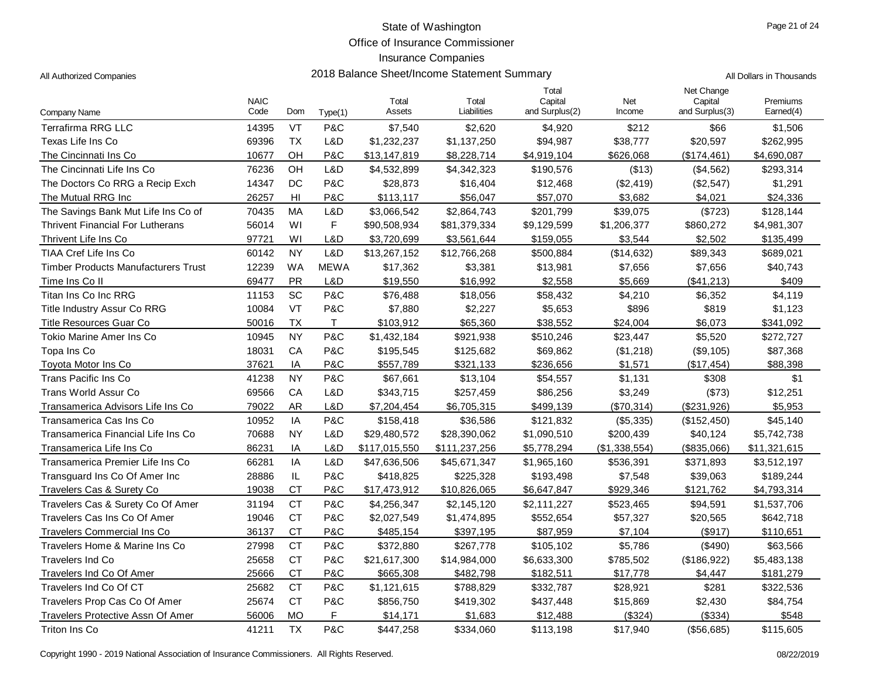Office of Insurance Commissioner

# Insurance Companies

| All Dollars in Thousands |
|--------------------------|
|                          |

| Company Name                               | <b>NAIC</b><br>Code | Dom       | Type(1)      | Total<br>Assets | Total<br>Liabilities | Total<br>Capital<br>and Surplus(2) | Net<br>Income | Net Change<br>Capital<br>and Surplus(3) | Premiums<br>Earned(4) |
|--------------------------------------------|---------------------|-----------|--------------|-----------------|----------------------|------------------------------------|---------------|-----------------------------------------|-----------------------|
| <b>Terrafirma RRG LLC</b>                  | 14395               | VT        | P&C          | \$7,540         | \$2,620              | \$4,920                            | \$212         | \$66                                    | \$1,506               |
| Texas Life Ins Co                          | 69396               | <b>TX</b> | L&D          | \$1,232,237     | \$1,137,250          | \$94,987                           | \$38,777      | \$20,597                                | \$262,995             |
| The Cincinnati Ins Co                      | 10677               | OH        | P&C          | \$13,147,819    | \$8,228,714          | \$4,919,104                        | \$626,068     | (\$174,461)                             | \$4,690,087           |
| The Cincinnati Life Ins Co                 | 76236               | OH        | L&D          | \$4,532,899     | \$4,342,323          | \$190,576                          | (\$13)        | (\$4,562)                               | \$293,314             |
| The Doctors Co RRG a Recip Exch            | 14347               | DC        | P&C          | \$28,873        | \$16,404             | \$12,468                           | (\$2,419)     | (\$2,547)                               | \$1,291               |
| The Mutual RRG Inc                         | 26257               | HI        | P&C          | \$113,117       | \$56,047             | \$57,070                           | \$3,682       | \$4,021                                 | \$24,336              |
| The Savings Bank Mut Life Ins Co of        | 70435               | MA        | L&D          | \$3,066,542     | \$2,864,743          | \$201,799                          | \$39,075      | (\$723)                                 | \$128,144             |
| <b>Thrivent Financial For Lutherans</b>    | 56014               | WI        | F            | \$90,508,934    | \$81,379,334         | \$9,129,599                        | \$1,206,377   | \$860,272                               | \$4,981,307           |
| Thrivent Life Ins Co                       | 97721               | WI        | L&D          | \$3,720,699     | \$3,561,644          | \$159,055                          | \$3,544       | \$2,502                                 | \$135,499             |
| TIAA Cref Life Ins Co                      | 60142               | <b>NY</b> | L&D          | \$13,267,152    | \$12,766,268         | \$500,884                          | (\$14,632)    | \$89,343                                | \$689,021             |
| <b>Timber Products Manufacturers Trust</b> | 12239               | <b>WA</b> | <b>MEWA</b>  | \$17,362        | \$3,381              | \$13,981                           | \$7,656       | \$7,656                                 | \$40,743              |
| Time Ins Co II                             | 69477               | PR        | L&D          | \$19,550        | \$16,992             | \$2,558                            | \$5,669       | (\$41,213)                              | \$409                 |
| Titan Ins Co Inc RRG                       | 11153               | <b>SC</b> | P&C          | \$76,488        | \$18,056             | \$58,432                           | \$4,210       | \$6,352                                 | \$4,119               |
| Title Industry Assur Co RRG                | 10084               | VT        | P&C          | \$7,880         | \$2,227              | \$5,653                            | \$896         | \$819                                   | \$1,123               |
| <b>Title Resources Guar Co</b>             | 50016               | <b>TX</b> | $\mathsf{T}$ | \$103,912       | \$65,360             | \$38,552                           | \$24,004      | \$6,073                                 | \$341,092             |
| Tokio Marine Amer Ins Co                   | 10945               | <b>NY</b> | P&C          | \$1,432,184     | \$921,938            | \$510,246                          | \$23,447      | \$5,520                                 | \$272,727             |
| Topa Ins Co                                | 18031               | CA        | P&C          | \$195,545       | \$125,682            | \$69,862                           | (\$1,218)     | (\$9,105)                               | \$87,368              |
| Toyota Motor Ins Co                        | 37621               | ΙA        | P&C          | \$557,789       | \$321,133            | \$236,656                          | \$1,571       | (\$17,454)                              | \$88,398              |
| Trans Pacific Ins Co                       | 41238               | <b>NY</b> | P&C          | \$67,661        | \$13,104             | \$54,557                           | \$1,131       | \$308                                   | \$1                   |
| <b>Trans World Assur Co</b>                | 69566               | CA        | L&D          | \$343,715       | \$257,459            | \$86,256                           | \$3,249       | (\$73)                                  | \$12,251              |
| Transamerica Advisors Life Ins Co          | 79022               | <b>AR</b> | L&D          | \$7,204,454     | \$6,705,315          | \$499,139                          | (\$70,314)    | (\$231,926)                             | \$5,953               |
| Transamerica Cas Ins Co                    | 10952               | IA        | P&C          | \$158,418       | \$36,586             | \$121,832                          | (\$5,335)     | (\$152,450)                             | \$45,140              |
| Transamerica Financial Life Ins Co         | 70688               | <b>NY</b> | L&D          | \$29,480,572    | \$28,390,062         | \$1,090,510                        | \$200,439     | \$40,124                                | \$5,742,738           |
| Transamerica Life Ins Co                   | 86231               | IA        | L&D          | \$117,015,550   | \$111,237,256        | \$5,778,294                        | (\$1,338,554) | (\$835,066)                             | \$11,321,615          |
| Transamerica Premier Life Ins Co           | 66281               | ΙA        | L&D          | \$47,636,506    | \$45,671,347         | \$1,965,160                        | \$536,391     | \$371,893                               | \$3,512,197           |
| Transguard Ins Co Of Amer Inc              | 28886               | $\sf IL$  | P&C          | \$418,825       | \$225,328            | \$193,498                          | \$7,548       | \$39,063                                | \$189,244             |
| Travelers Cas & Surety Co                  | 19038               | <b>CT</b> | P&C          | \$17,473,912    | \$10,826,065         | \$6,647,847                        | \$929,346     | \$121,762                               | \$4,793,314           |
| Travelers Cas & Surety Co Of Amer          | 31194               | <b>CT</b> | P&C          | \$4,256,347     | \$2,145,120          | \$2,111,227                        | \$523,465     | \$94,591                                | \$1,537,706           |
| Travelers Cas Ins Co Of Amer               | 19046               | <b>CT</b> | P&C          | \$2,027,549     | \$1,474,895          | \$552,654                          | \$57,327      | \$20,565                                | \$642,718             |
| <b>Travelers Commercial Ins Co</b>         | 36137               | <b>CT</b> | P&C          | \$485,154       | \$397,195            | \$87,959                           | \$7,104       | (\$917)                                 | \$110,651             |
| Travelers Home & Marine Ins Co             | 27998               | <b>CT</b> | P&C          | \$372,880       | \$267,778            | \$105,102                          | \$5,786       | (\$490)                                 | \$63,566              |
| <b>Travelers Ind Co</b>                    | 25658               | <b>CT</b> | P&C          | \$21,617,300    | \$14,984,000         | \$6,633,300                        | \$785,502     | (\$186,922)                             | \$5,483,138           |
| Travelers Ind Co Of Amer                   | 25666               | <b>CT</b> | P&C          | \$665,308       | \$482,798            | \$182,511                          | \$17,778      | \$4.447                                 | \$181,279             |
| Travelers Ind Co Of CT                     | 25682               | <b>CT</b> | P&C          | \$1,121,615     | \$788,829            | \$332,787                          | \$28,921      | \$281                                   | \$322,536             |
| Travelers Prop Cas Co Of Amer              | 25674               | <b>CT</b> | P&C          | \$856,750       | \$419,302            | \$437,448                          | \$15,869      | \$2,430                                 | \$84,754              |
| <b>Travelers Protective Assn Of Amer</b>   | 56006               | <b>MO</b> | F            | \$14,171        | \$1,683              | \$12,488                           | (\$324)       | (\$334)                                 | \$548                 |
| Triton Ins Co                              | 41211               | <b>TX</b> | P&C          | \$447,258       | \$334,060            | \$113,198                          | \$17,940      | (\$56,685)                              | \$115,605             |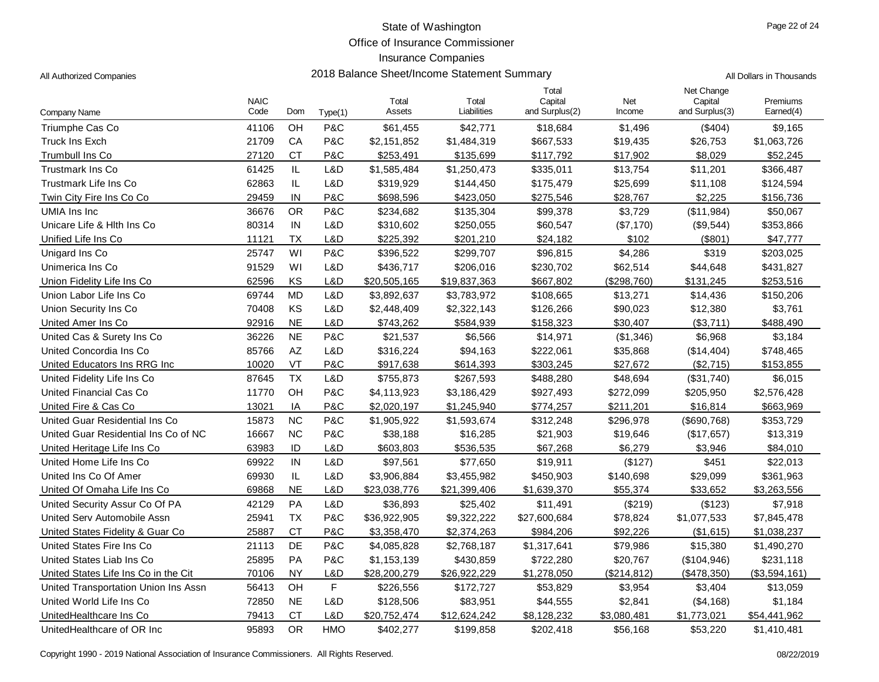Office of Insurance Commissioner

## Insurance Companies

All Authorized Companies **2018 Balance Sheet/Income Statement Summary** All Dollars in Thousands

| Company Name                         | <b>NAIC</b><br>Code | Dom           | Type(1)    | Total<br>Assets | Total<br>Liabilities | Total<br>Capital<br>and Surplus(2) | Net<br>Income | Net Change<br>Capital<br>and Surplus(3) | Premiums<br>Earned(4) |
|--------------------------------------|---------------------|---------------|------------|-----------------|----------------------|------------------------------------|---------------|-----------------------------------------|-----------------------|
| Triumphe Cas Co                      | 41106               | OH            | P&C        | \$61,455        | \$42,771             | \$18,684                           | \$1,496       | (\$404)                                 | \$9,165               |
| <b>Truck Ins Exch</b>                | 21709               | CA            | P&C        | \$2,151,852     | \$1,484,319          | \$667,533                          | \$19,435      | \$26,753                                | \$1,063,726           |
| <b>Trumbull Ins Co</b>               | 27120               | <b>CT</b>     | P&C        | \$253,491       | \$135,699            | \$117,792                          | \$17,902      | \$8,029                                 | \$52,245              |
| <b>Trustmark Ins Co</b>              | 61425               | $\mathsf{IL}$ | L&D        | \$1,585,484     | \$1,250,473          | \$335,011                          | \$13,754      | \$11,201                                | \$366,487             |
| Trustmark Life Ins Co                | 62863               | IL.           | L&D        | \$319,929       | \$144,450            | \$175,479                          | \$25,699      | \$11,108                                | \$124,594             |
| Twin City Fire Ins Co Co             | 29459               | IN            | P&C        | \$698,596       | \$423,050            | \$275,546                          | \$28,767      | \$2,225                                 | \$156,736             |
| UMIA Ins Inc                         | 36676               | <b>OR</b>     | P&C        | \$234,682       | \$135,304            | \$99,378                           | \$3,729       | (\$11,984)                              | \$50,067              |
| Unicare Life & Hith Ins Co           | 80314               | IN            | L&D        | \$310,602       | \$250,055            | \$60,547                           | (\$7,170)     | (\$9,544)                               | \$353,866             |
| Unified Life Ins Co                  | 11121               | <b>TX</b>     | L&D        | \$225,392       | \$201,210            | \$24,182                           | \$102         | (\$801)                                 | \$47,777              |
| Unigard Ins Co                       | 25747               | WI            | P&C        | \$396,522       | \$299,707            | \$96,815                           | \$4,286       | \$319                                   | \$203,025             |
| Unimerica Ins Co                     | 91529               | WI            | L&D        | \$436,717       | \$206,016            | \$230,702                          | \$62,514      | \$44,648                                | \$431,827             |
| Union Fidelity Life Ins Co           | 62596               | KS            | L&D        | \$20,505,165    | \$19,837,363         | \$667,802                          | (\$298,760)   | \$131,245                               | \$253,516             |
| Union Labor Life Ins Co              | 69744               | <b>MD</b>     | L&D        | \$3,892,637     | \$3,783,972          | \$108,665                          | \$13,271      | \$14,436                                | \$150,206             |
| Union Security Ins Co                | 70408               | KS            | L&D        | \$2,448,409     | \$2,322,143          | \$126,266                          | \$90,023      | \$12,380                                | \$3,761               |
| United Amer Ins Co                   | 92916               | <b>NE</b>     | L&D        | \$743,262       | \$584,939            | \$158,323                          | \$30,407      | (\$3,711)                               | \$488,490             |
| United Cas & Surety Ins Co           | 36226               | $N\mathsf{E}$ | P&C        | \$21,537        | \$6,566              | \$14,971                           | (\$1,346)     | \$6,968                                 | \$3,184               |
| United Concordia Ins Co              | 85766               | AZ            | L&D        | \$316,224       | \$94,163             | \$222,061                          | \$35,868      | (\$14,404)                              | \$748,465             |
| United Educators Ins RRG Inc         | 10020               | VT            | P&C        | \$917,638       | \$614,393            | \$303,245                          | \$27,672      | (\$2,715)                               | \$153,855             |
| United Fidelity Life Ins Co          | 87645               | <b>TX</b>     | L&D        | \$755,873       | \$267,593            | \$488,280                          | \$48,694      | (\$31,740)                              | \$6,015               |
| United Financial Cas Co              | 11770               | OH            | P&C        | \$4,113,923     | \$3,186,429          | \$927,493                          | \$272,099     | \$205,950                               | \$2,576,428           |
| United Fire & Cas Co                 | 13021               | IA            | P&C        | \$2,020,197     | \$1,245,940          | \$774,257                          | \$211,201     | \$16,814                                | \$663,969             |
| United Guar Residential Ins Co       | 15873               | <b>NC</b>     | P&C        | \$1,905,922     | \$1,593,674          | \$312,248                          | \$296,978     | $($ \$690,768)                          | \$353,729             |
| United Guar Residential Ins Co of NC | 16667               | <b>NC</b>     | P&C        | \$38,188        | \$16,285             | \$21,903                           | \$19,646      | (\$17,657)                              | \$13,319              |
| United Heritage Life Ins Co          | 63983               | ID            | L&D        | \$603,803       | \$536,535            | \$67,268                           | \$6,279       | \$3,946                                 | \$84,010              |
| United Home Life Ins Co              | 69922               | IN            | L&D        | \$97,561        | \$77,650             | \$19,911                           | (\$127)       | \$451                                   | \$22,013              |
| United Ins Co Of Amer                | 69930               | $\mathsf{IL}$ | L&D        | \$3,906,884     | \$3,455,982          | \$450,903                          | \$140,698     | \$29,099                                | \$361,963             |
| United Of Omaha Life Ins Co          | 69868               | <b>NE</b>     | L&D        | \$23,038,776    | \$21,399,406         | \$1,639,370                        | \$55,374      | \$33,652                                | \$3,263,556           |
| United Security Assur Co Of PA       | 42129               | PA            | L&D        | \$36,893        | \$25,402             | \$11,491                           | (\$219)       | (\$123)                                 | \$7,918               |
| United Serv Automobile Assn          | 25941               | <b>TX</b>     | P&C        | \$36,922,905    | \$9,322,222          | \$27,600,684                       | \$78,824      | \$1,077,533                             | \$7,845,478           |
| United States Fidelity & Guar Co.    | 25887               | <b>CT</b>     | P&C        | \$3,358,470     | \$2,374,263          | \$984,206                          | \$92,226      | (\$1,615)                               | \$1,038,237           |
| United States Fire Ins Co            | 21113               | <b>DE</b>     | P&C        | \$4,085,828     | \$2,768,187          | \$1,317,641                        | \$79,986      | \$15,380                                | \$1,490,270           |
| United States Liab Ins Co            | 25895               | PA            | P&C        | \$1,153,139     | \$430,859            | \$722,280                          | \$20,767      | (\$104,946)                             | \$231,118             |
| United States Life Ins Co in the Cit | 70106               | <b>NY</b>     | L&D        | \$28,200,279    | \$26,922,229         | \$1,278,050                        | (\$214, 812)  | (\$478,350)                             | (\$3,594,161)         |
| United Transportation Union Ins Assn | 56413               | OH            | F          | \$226,556       | \$172,727            | \$53,829                           | \$3,954       | \$3,404                                 | \$13,059              |
| United World Life Ins Co             | 72850               | $N\mathsf{E}$ | L&D        | \$128,506       | \$83,951             | \$44,555                           | \$2,841       | (\$4,168)                               | \$1,184               |
| UnitedHealthcare Ins Co              | 79413               | <b>CT</b>     | L&D        | \$20,752,474    | \$12,624,242         | \$8,128,232                        | \$3,080,481   | \$1,773,021                             | \$54,441,962          |
| UnitedHealthcare of OR Inc           | 95893               | <b>OR</b>     | <b>HMO</b> | \$402,277       | \$199,858            | \$202,418                          | \$56,168      | \$53,220                                | \$1,410,481           |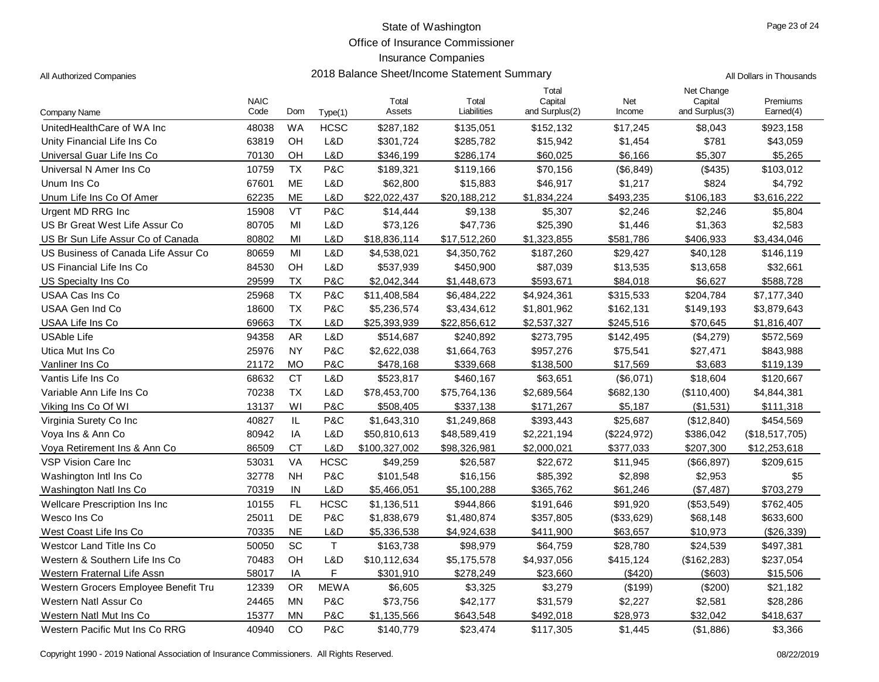Office of Insurance Commissioner

### Insurance Companies

| All Authorized Companies | 2018 Balance Sheet/Income Statement Summary | All Dollars in Thousands |
|--------------------------|---------------------------------------------|--------------------------|
|--------------------------|---------------------------------------------|--------------------------|

|                                      | <b>NAIC</b> |           |                | Total         | Total        | Total<br>Capital | Net         | Net Change<br>Capital | Premiums       |
|--------------------------------------|-------------|-----------|----------------|---------------|--------------|------------------|-------------|-----------------------|----------------|
| Company Name                         | Code        | Dom       | Type(1)        | Assets        | Liabilities  | and Surplus(2)   | Income      | and Surplus(3)        | Earned(4)      |
| UnitedHealthCare of WA Inc           | 48038       | <b>WA</b> | <b>HCSC</b>    | \$287,182     | \$135,051    | \$152,132        | \$17,245    | \$8,043               | \$923,158      |
| Unity Financial Life Ins Co          | 63819       | OH        | L&D            | \$301,724     | \$285,782    | \$15,942         | \$1,454     | \$781                 | \$43,059       |
| Universal Guar Life Ins Co           | 70130       | OH        | L&D            | \$346,199     | \$286,174    | \$60,025         | \$6,166     | \$5,307               | \$5,265        |
| Universal N Amer Ins Co              | 10759       | <b>TX</b> | P&C            | \$189,321     | \$119,166    | \$70,156         | (\$6, 849)  | (\$435)               | \$103,012      |
| Unum Ins Co                          | 67601       | <b>ME</b> | L&D            | \$62,800      | \$15,883     | \$46,917         | \$1,217     | \$824                 | \$4,792        |
| Unum Life Ins Co Of Amer             | 62235       | ME        | L&D            | \$22,022,437  | \$20,188,212 | \$1,834,224      | \$493,235   | \$106,183             | \$3,616,222    |
| Urgent MD RRG Inc                    | 15908       | VT        | <b>P&amp;C</b> | \$14,444      | \$9,138      | \$5,307          | \$2,246     | \$2,246               | \$5,804        |
| US Br Great West Life Assur Co       | 80705       | MI        | L&D            | \$73,126      | \$47,736     | \$25,390         | \$1,446     | \$1,363               | \$2,583        |
| US Br Sun Life Assur Co of Canada    | 80802       | MI        | L&D            | \$18,836,114  | \$17,512,260 | \$1,323,855      | \$581,786   | \$406,933             | \$3,434,046    |
| US Business of Canada Life Assur Co  | 80659       | MI        | L&D            | \$4,538,021   | \$4,350,762  | \$187,260        | \$29,427    | \$40,128              | \$146,119      |
| US Financial Life Ins Co             | 84530       | OH        | L&D            | \$537,939     | \$450,900    | \$87,039         | \$13,535    | \$13,658              | \$32,661       |
| US Specialty Ins Co.                 | 29599       | <b>TX</b> | P&C            | \$2,042,344   | \$1,448,673  | \$593,671        | \$84,018    | \$6,627               | \$588,728      |
| USAA Cas Ins Co                      | 25968       | <b>TX</b> | P&C            | \$11,408,584  | \$6,484,222  | \$4,924,361      | \$315,533   | \$204,784             | \$7,177,340    |
| USAA Gen Ind Co                      | 18600       | <b>TX</b> | P&C            | \$5,236,574   | \$3,434,612  | \$1,801,962      | \$162,131   | \$149,193             | \$3,879,643    |
| USAA Life Ins Co                     | 69663       | <b>TX</b> | L&D            | \$25,393,939  | \$22,856,612 | \$2,537,327      | \$245,516   | \$70,645              | \$1,816,407    |
| <b>USAble Life</b>                   | 94358       | AR        | L&D            | \$514,687     | \$240,892    | \$273,795        | \$142,495   | (\$4,279)             | \$572,569      |
| Utica Mut Ins Co                     | 25976       | <b>NY</b> | P&C            | \$2,622,038   | \$1,664,763  | \$957,276        | \$75,541    | \$27,471              | \$843,988      |
| Vanliner Ins Co                      | 21172       | <b>MO</b> | P&C            | \$478,168     | \$339,668    | \$138,500        | \$17,569    | \$3,683               | \$119,139      |
| Vantis Life Ins Co                   | 68632       | <b>CT</b> | L&D            | \$523,817     | \$460,167    | \$63,651         | (\$6,071)   | \$18,604              | \$120,667      |
| Variable Ann Life Ins Co             | 70238       | <b>TX</b> | L&D            | \$78,453,700  | \$75,764,136 | \$2,689,564      | \$682,130   | (\$110,400)           | \$4,844,381    |
| Viking Ins Co Of WI                  | 13137       | WI        | P&C            | \$508,405     | \$337,138    | \$171,267        | \$5,187     | (\$1,531)             | \$111,318      |
| Virginia Surety Co Inc               | 40827       | IL        | P&C            | \$1,643,310   | \$1,249,868  | \$393,443        | \$25,687    | (\$12,840)            | \$454,569      |
| Voya Ins & Ann Co                    | 80942       | IA        | L&D            | \$50,810,613  | \$48,589,419 | \$2,221,194      | (\$224,972) | \$386,042             | (\$18,517,705) |
| Voya Retirement Ins & Ann Co         | 86509       | <b>CT</b> | L&D            | \$100,327,002 | \$98,326,981 | \$2,000,021      | \$377,033   | \$207,300             | \$12,253,618   |
| <b>VSP Vision Care Inc</b>           | 53031       | VA        | <b>HCSC</b>    | \$49,259      | \$26,587     | \$22,672         | \$11,945    | (\$66,897)            | \$209,615      |
| Washington Intl Ins Co               | 32778       | <b>NH</b> | P&C            | \$101,548     | \$16,156     | \$85,392         | \$2,898     | \$2,953               | \$5            |
| Washington Natl Ins Co               | 70319       | IN        | L&D            | \$5,466,051   | \$5,100,288  | \$365,762        | \$61,246    | (\$7,487)             | \$703,279      |
| Wellcare Prescription Ins Inc        | 10155       | FL        | <b>HCSC</b>    | \$1,136,511   | \$944,866    | \$191,646        | \$91,920    | (\$53,549)            | \$762,405      |
| Wesco Ins Co                         | 25011       | DE        | P&C            | \$1,838,679   | \$1,480,874  | \$357,805        | (\$33,629)  | \$68,148              | \$633,600      |
| West Coast Life Ins Co               | 70335       | <b>NE</b> | L&D            | \$5,336,538   | \$4,924,638  | \$411,900        | \$63,657    | \$10,973              | (\$26,339)     |
| Westcor Land Title Ins Co.           | 50050       | SC        | $\mathsf T$    | \$163,738     | \$98,979     | \$64,759         | \$28,780    | \$24,539              | \$497,381      |
| Western & Southern Life Ins Co       | 70483       | OH        | L&D            | \$10,112,634  | \$5,175,578  | \$4,937,056      | \$415,124   | (\$162,283)           | \$237,054      |
| Western Fraternal Life Assn          | 58017       | IA        | F              | \$301,910     | \$278,249    | \$23,660         | (\$420)     | $($ \$603)            | \$15,506       |
| Western Grocers Employee Benefit Tru | 12339       | <b>OR</b> | <b>MEWA</b>    | \$6,605       | \$3,325      | \$3,279          | (\$199)     | (\$200)               | \$21,182       |
| Western Natl Assur Co                | 24465       | MN        | P&C            | \$73,756      | \$42,177     | \$31,579         | \$2,227     | \$2,581               | \$28,286       |
| Western Natl Mut Ins Co              | 15377       | MN        | P&C            | \$1,135,566   | \$643,548    | \$492,018        | \$28,973    | \$32,042              | \$418,637      |
| Western Pacific Mut Ins Co RRG       | 40940       | CO        | P&C            | \$140.779     | \$23,474     | \$117,305        | \$1.445     | (\$1,886)             | \$3,366        |

Copyright 1990 - 2019 National Association of Insurance Commissioners. All Rights Reserved.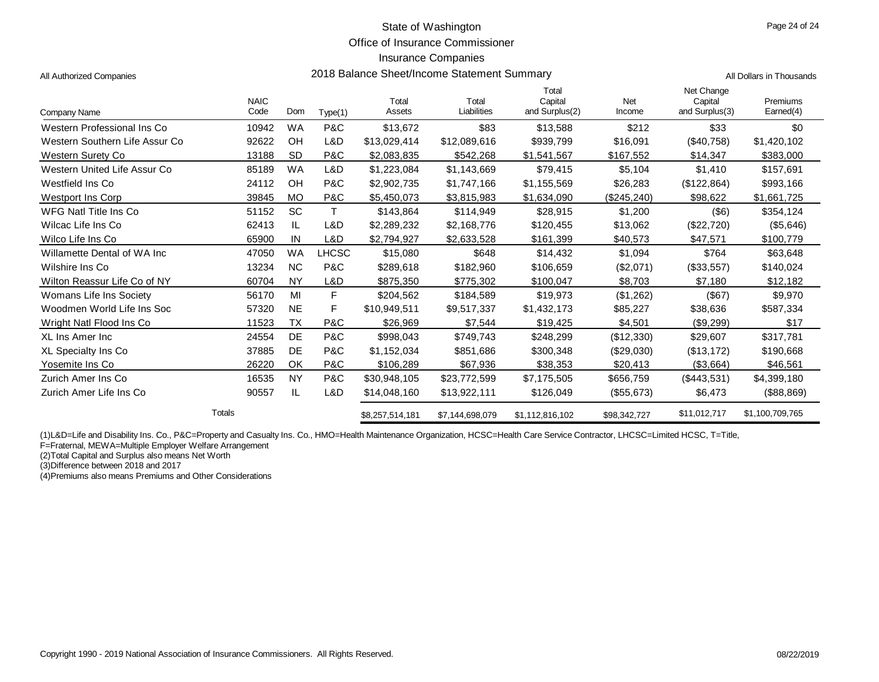Office of Insurance Commissioner

2018 Balance Sheet/Income Statement Summary **Authorized Company** All Dollars in Thousands

#### Insurance Companies

| All Authorized Companies |  |
|--------------------------|--|
|                          |  |

| Company Name                   | <b>NAIC</b><br>Code | Dom       | Type(1)      | Total<br>Assets | Total<br>Liabilities | Total<br>Capital<br>and Surplus(2) | Net<br>Income | Net Change<br>Capital<br>and Surplus(3) | Premiums<br>Earned(4) |
|--------------------------------|---------------------|-----------|--------------|-----------------|----------------------|------------------------------------|---------------|-----------------------------------------|-----------------------|
| Western Professional Ins Co    | 10942               | WA        | P&C          | \$13,672        | \$83                 | \$13,588                           | \$212         | \$33                                    | \$0                   |
| Western Southern Life Assur Co | 92622               | OH        | L&D          | \$13,029,414    | \$12,089,616         | \$939.799                          | \$16,091      | (S40.758)                               | \$1,420,102           |
| Western Surety Co              | 13188               | <b>SD</b> | P&C          | \$2,083,835     | \$542,268            | \$1,541,567                        | \$167,552     | \$14,347                                | \$383,000             |
| Western United Life Assur Co   | 85189               | <b>WA</b> | L&D          | \$1,223,084     | \$1,143,669          | \$79.415                           | \$5.104       | \$1,410                                 | \$157.691             |
| Westfield Ins Co               | 24112               | OH        | P&C          | \$2,902,735     | \$1,747,166          | \$1,155,569                        | \$26,283      | (\$122,864)                             | \$993,166             |
| <b>Westport Ins Corp</b>       | 39845               | <b>MO</b> | P&C          | \$5,450,073     | \$3,815,983          | \$1,634,090                        | (\$245,240)   | \$98,622                                | \$1,661,725           |
| WFG Natl Title Ins Co          | 51152               | SC        | т            | \$143,864       | \$114,949            | \$28,915                           | \$1,200       | $($ \$6)                                | \$354,124             |
| Wilcac Life Ins Co             | 62413               | IL        | L&D          | \$2,289,232     | \$2,168,776          | \$120,455                          | \$13,062      | (\$22,720)                              | (\$5,646)             |
| Wilco Life Ins Co              | 65900               | IN        | L&D          | \$2,794,927     | \$2,633,528          | \$161,399                          | \$40,573      | \$47,571                                | \$100,779             |
| Willamette Dental of WA Inc    | 47050               | WA        | <b>LHCSC</b> | \$15,080        | \$648                | \$14,432                           | \$1,094       | \$764                                   | \$63,648              |
| Wilshire Ins Co                | 13234               | <b>NC</b> | P&C          | \$289.618       | \$182.960            | \$106,659                          | (\$2,071)     | (\$33,557)                              | \$140,024             |
| Wilton Reassur Life Co of NY   | 60704               | <b>NY</b> | L&D          | \$875,350       | \$775,302            | \$100,047                          | \$8,703       | \$7,180                                 | \$12,182              |
| Womans Life Ins Society        | 56170               | MI        | F            | \$204.562       | \$184.589            | \$19.973                           | (\$1,262)     | (\$67)                                  | \$9,970               |
| Woodmen World Life Ins Soc     | 57320               | <b>NE</b> | F            | \$10,949,511    | \$9,517,337          | \$1,432,173                        | \$85,227      | \$38,636                                | \$587,334             |
| Wright Natl Flood Ins Co       | 11523               | <b>TX</b> | P&C          | \$26,969        | \$7,544              | \$19,425                           | \$4,501       | (\$9,299)                               | \$17                  |
| XL Ins Amer Inc                | 24554               | <b>DE</b> | P&C          | \$998.043       | \$749.743            | \$248.299                          | (\$12,330)    | \$29,607                                | \$317.781             |
| XL Specialty Ins Co            | 37885               | DE        | P&C          | \$1,152,034     | \$851,686            | \$300,348                          | $(\$29,030)$  | (\$13,172)                              | \$190,668             |
| Yosemite Ins Co                | 26220               | OK        | P&C          | \$106,289       | \$67,936             | \$38,353                           | \$20,413      | (\$3,664)                               | \$46,561              |
| Zurich Amer Ins Co             | 16535               | <b>NY</b> | P&C          | \$30,948,105    | \$23,772,599         | \$7,175,505                        | \$656,759     | (\$443,531)                             | \$4,399,180           |
| Zurich Amer Life Ins Co        | 90557               | IL        | L&D          | \$14,048,160    | \$13,922,111         | \$126,049                          | (\$55,673)    | \$6,473                                 | (\$88,869)            |
|                                | Totals              |           |              | \$8,257,514,181 | \$7,144,698,079      | \$1,112,816,102                    | \$98,342,727  | \$11,012,717                            | \$1,100,709,765       |

(1)L&D=Life and Disability Ins. Co., P&C=Property and Casualty Ins. Co., HMO=Health Maintenance Organization, HCSC=Health Care Service Contractor, LHCSC=Limited HCSC, T=Title,

F=Fraternal, MEWA=Multiple Employer Welfare Arrangement

(2)Total Capital and Surplus also means Net Worth

(3)Difference between 2018 and 2017

(4)Premiums also means Premiums and Other Considerations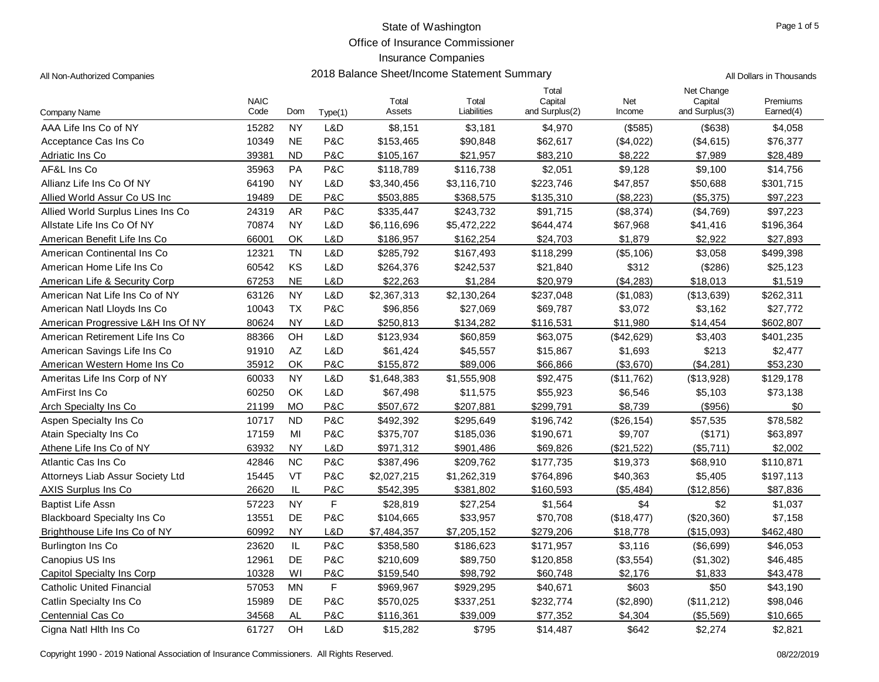Office of Insurance Commissioner

| All Non-Authorized Companies       |                     |                        | 2018 Balance Sheet/Income Statement Summary | All Dollars in Thousands |                      |                                    |               |                                         |                       |
|------------------------------------|---------------------|------------------------|---------------------------------------------|--------------------------|----------------------|------------------------------------|---------------|-----------------------------------------|-----------------------|
| Company Name                       | <b>NAIC</b><br>Code | Dom                    | Type(1)                                     | Total<br>Assets          | Total<br>Liabilities | Total<br>Capital<br>and Surplus(2) | Net<br>Income | Net Change<br>Capital<br>and Surplus(3) | Premiums<br>Earned(4) |
| AAA Life Ins Co of NY              | 15282               | <b>NY</b>              | L&D                                         | \$8,151                  | \$3,181              | \$4,970                            | (\$585)       | (\$638)                                 | \$4,058               |
| Acceptance Cas Ins Co              | 10349               | <b>NE</b>              | P&C                                         | \$153,465                | \$90,848             | \$62,617                           | (\$4,022)     | (\$4,615)                               | \$76,377              |
| Adriatic Ins Co                    | 39381               | <b>ND</b>              | P&C                                         | \$105,167                | \$21,957             | \$83,210                           | \$8,222       | \$7,989                                 | \$28,489              |
| AF&L Ins Co                        | 35963               | PA                     | <b>P&amp;C</b>                              | \$118,789                | \$116,738            | \$2,051                            | \$9,128       | \$9,100                                 | \$14,756              |
| Allianz Life Ins Co Of NY          | 64190               | <b>NY</b>              | L&D                                         | \$3,340,456              | \$3,116,710          | \$223,746                          | \$47,857      | \$50,688                                | \$301,715             |
| Allied World Assur Co US Inc       | 19489               | DE                     | P&C                                         | \$503,885                | \$368,575            | \$135,310                          | (\$8,223)     | (\$5,375)                               | \$97,223              |
| Allied World Surplus Lines Ins Co  | 24319               | AR                     | P&C                                         | \$335,447                | \$243,732            | \$91,715                           | (\$8,374)     | (\$4,769)                               | \$97,223              |
| Allstate Life Ins Co Of NY         | 70874               | <b>NY</b>              | L&D                                         | \$6,116,696              | \$5,472,222          | \$644,474                          | \$67,968      | \$41,416                                | \$196,364             |
| American Benefit Life Ins Co       | 66001               | OK                     | L&D                                         | \$186,957                | \$162,254            | \$24,703                           | \$1,879       | \$2,922                                 | \$27,893              |
| American Continental Ins Co        | 12321               | <b>TN</b>              | L&D                                         | \$285,792                | \$167,493            | \$118,299                          | (\$5,106)     | \$3,058                                 | \$499,398             |
| American Home Life Ins Co          | 60542               | KS                     | L&D                                         | \$264,376                | \$242,537            | \$21,840                           | \$312         | (\$286)                                 | \$25,123              |
| American Life & Security Corp      | 67253               | <b>NE</b>              | L&D                                         | \$22,263                 | \$1,284              | \$20,979                           | (\$4,283)     | \$18,013                                | \$1,519               |
| American Nat Life Ins Co of NY     | 63126               | <b>NY</b>              | L&D                                         | \$2,367,313              | \$2,130,264          | \$237,048                          | (\$1,083)     | (\$13,639)                              | \$262,311             |
| American Natl Lloyds Ins Co        | 10043               | <b>TX</b>              | P&C                                         | \$96,856                 | \$27,069             | \$69,787                           | \$3,072       | \$3,162                                 | \$27,772              |
| American Progressive L&H Ins Of NY | 80624               | <b>NY</b>              | L&D                                         | \$250,813                | \$134,282            | \$116,531                          | \$11,980      | \$14,454                                | \$602,807             |
| American Retirement Life Ins Co    | 88366               | OH                     | L&D                                         | \$123,934                | \$60,859             | \$63,075                           | (\$42,629)    | \$3,403                                 | \$401,235             |
| American Savings Life Ins Co       | 91910               | $\mathsf{A}\mathsf{Z}$ | L&D                                         | \$61,424                 | \$45,557             | \$15,867                           | \$1,693       | \$213                                   | \$2,477               |
| American Western Home Ins Co       | 35912               | OK                     | <b>P&amp;C</b>                              | \$155,872                | \$89,006             | \$66,866                           | (\$3,670)     | (\$4,281)                               | \$53,230              |
| Ameritas Life Ins Corp of NY       | 60033               | <b>NY</b>              | L&D                                         | \$1,648,383              | \$1,555,908          | \$92,475                           | (\$11,762)    | (\$13,928)                              | \$129,178             |
| AmFirst Ins Co                     | 60250               | OK                     | L&D                                         | \$67,498                 | \$11,575             | \$55,923                           | \$6,546       | \$5,103                                 | \$73,138              |
| Arch Specialty Ins Co.             | 21199               | <b>MO</b>              | <b>P&amp;C</b>                              | \$507,672                | \$207,881            | \$299,791                          | \$8,739       | (\$956)                                 | \$0                   |
| Aspen Specialty Ins Co             | 10717               | <b>ND</b>              | P&C                                         | \$492,392                | \$295,649            | \$196,742                          | (\$26, 154)   | \$57,535                                | \$78,582              |
| Atain Specialty Ins Co             | 17159               | MI                     | P&C                                         | \$375,707                | \$185,036            | \$190,671                          | \$9,707       | (\$171)                                 | \$63,897              |
| Athene Life Ins Co of NY           | 63932               | <b>NY</b>              | L&D                                         | \$971,312                | \$901,486            | \$69,826                           | (\$21,522)    | (\$5,711)                               | \$2,002               |
| Atlantic Cas Ins Co                | 42846               | <b>NC</b>              | P&C                                         | \$387,496                | \$209,762            | \$177,735                          | \$19,373      | \$68,910                                | \$110,871             |
| Attorneys Liab Assur Society Ltd   | 15445               | VT                     | P&C                                         | \$2,027,215              | \$1,262,319          | \$764,896                          | \$40,363      | \$5,405                                 | \$197,113             |
| AXIS Surplus Ins Co                | 26620               | IL                     | P&C                                         | \$542,395                | \$381,802            | \$160,593                          | (\$5,484)     | (\$12,856)                              | \$87,836              |
| <b>Baptist Life Assn</b>           | 57223               | <b>NY</b>              | F                                           | \$28,819                 | \$27,254             | \$1,564                            | \$4           | \$2                                     | \$1,037               |
| <b>Blackboard Specialty Ins Co</b> | 13551               | DE                     | P&C                                         | \$104,665                | \$33,957             | \$70,708                           | (\$18,477)    | (\$20,360)                              | \$7,158               |
| Brighthouse Life Ins Co of NY      | 60992               | <b>NY</b>              | L&D                                         | \$7,484,357              | \$7,205,152          | \$279,206                          | \$18,778      | (\$15,093)                              | \$462,480             |
| Burlington Ins Co                  | 23620               | IL                     | P&C                                         | \$358,580                | \$186,623            | \$171,957                          | \$3,116       | (\$6,699)                               | \$46,053              |
| Canopius US Ins                    | 12961               | DE                     | P&C                                         | \$210,609                | \$89,750             | \$120,858                          | (\$3,554)     | (\$1,302)                               | \$46,485              |
| Capitol Specialty Ins Corp         | 10328               | WI                     | P&C                                         | \$159,540                | \$98,792             | \$60,748                           | \$2,176       | \$1,833                                 | \$43,478              |
| <b>Catholic United Financial</b>   | 57053               | <b>MN</b>              | F                                           | \$969,967                | \$929,295            | \$40,671                           | \$603         | \$50                                    | \$43,190              |
| Catlin Specialty Ins Co            | 15989               | DE                     | P&C                                         | \$570,025                | \$337,251            | \$232,774                          | (\$2,890)     | (\$11,212)                              | \$98,046              |
| Centennial Cas Co                  | 34568               | <b>AL</b>              | P&C                                         | \$116,361                | \$39,009             | \$77,352                           | \$4,304       | (\$5,569)                               | \$10,665              |
| Cigna Natl Hith Ins Co             | 61727               | OH                     | L&D                                         | \$15,282                 | \$795                | \$14,487                           | \$642         | \$2,274                                 | \$2,821               |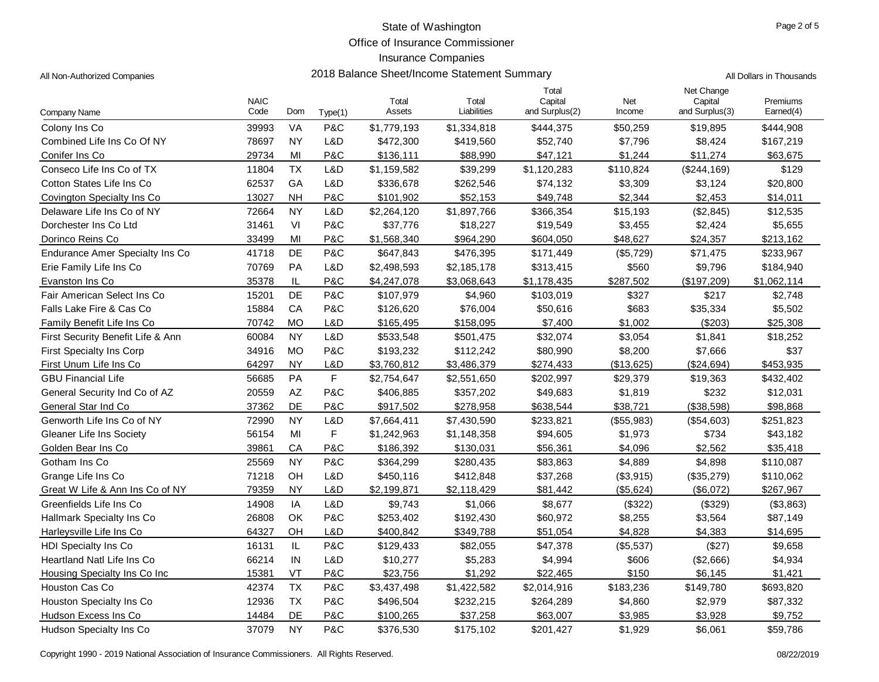Office of Insurance Commissioner

2018 Balance Sheet/Income Statement Summary **All Dollars in Thousands** All Dollars in Thousands

| Company Name                      | <b>NAIC</b><br>Code | Dom                    | Type(1)     | Total<br>Assets | Total<br>Liabilities | Total<br>Capital<br>and Surplus(2) | Net<br>Income | Net Change<br>Capital<br>and Surplus(3) | Premiums<br>Earned(4) |
|-----------------------------------|---------------------|------------------------|-------------|-----------------|----------------------|------------------------------------|---------------|-----------------------------------------|-----------------------|
| Colony Ins Co                     | 39993               | VA                     | P&C         | \$1,779,193     | \$1,334,818          | \$444,375                          | \$50,259      | \$19,895                                | \$444,908             |
| Combined Life Ins Co Of NY        | 78697               | <b>NY</b>              | L&D         | \$472,300       | \$419,560            | \$52,740                           | \$7,796       | \$8,424                                 | \$167,219             |
| Conifer Ins Co                    | 29734               | MI                     | P&C         | \$136,111       | \$88,990             | \$47,121                           | \$1,244       | \$11,274                                | \$63,675              |
| Conseco Life Ins Co of TX         | 11804               | <b>TX</b>              | L&D         | \$1,159,582     | \$39,299             | \$1,120,283                        | \$110,824     | (\$244,169)                             | \$129                 |
| Cotton States Life Ins Co         | 62537               | GA                     | L&D         | \$336,678       | \$262,546            | \$74,132                           | \$3,309       | \$3,124                                 | \$20,800              |
| Covington Specialty Ins Co        | 13027               | <b>NH</b>              | P&C         | \$101,902       | \$52,153             | \$49,748                           | \$2,344       | \$2,453                                 | \$14,011              |
| Delaware Life Ins Co of NY        | 72664               | <b>NY</b>              | L&D         | \$2,264,120     | \$1,897,766          | \$366,354                          | \$15,193      | (\$2,845)                               | \$12,535              |
| Dorchester Ins Co Ltd             | 31461               | VI                     | P&C         | \$37,776        | \$18,227             | \$19,549                           | \$3,455       | \$2,424                                 | \$5,655               |
| Dorinco Reins Co                  | 33499               | MI                     | P&C         | \$1,568,340     | \$964,290            | \$604,050                          | \$48,627      | \$24,357                                | \$213,162             |
| Endurance Amer Specialty Ins Co   | 41718               | DE                     | P&C         | \$647,843       | \$476,395            | \$171,449                          | (\$5,729)     | \$71,475                                | \$233,967             |
| Erie Family Life Ins Co           | 70769               | PA                     | L&D         | \$2,498,593     | \$2,185,178          | \$313,415                          | \$560         | \$9,796                                 | \$184,940             |
| Evanston Ins Co                   | 35378               | IL                     | P&C         | \$4,247,078     | \$3,068,643          | \$1,178,435                        | \$287,502     | (\$197,209)                             | \$1,062,114           |
| Fair American Select Ins Co       | 15201               | <b>DE</b>              | P&C         | \$107,979       | \$4,960              | \$103,019                          | \$327         | \$217                                   | \$2,748               |
| Falls Lake Fire & Cas Co          | 15884               | CA                     | P&C         | \$126,620       | \$76,004             | \$50,616                           | \$683         | \$35,334                                | \$5,502               |
| Family Benefit Life Ins Co        | 70742               | <b>MO</b>              | L&D         | \$165,495       | \$158,095            | \$7,400                            | \$1,002       | ( \$203)                                | \$25,308              |
| First Security Benefit Life & Ann | 60084               | <b>NY</b>              | L&D         | \$533,548       | \$501,475            | \$32,074                           | \$3,054       | \$1,841                                 | \$18,252              |
| First Specialty Ins Corp          | 34916               | <b>MO</b>              | P&C         | \$193,232       | \$112,242            | \$80,990                           | \$8,200       | \$7,666                                 | \$37                  |
| First Unum Life Ins Co            | 64297               | <b>NY</b>              | L&D         | \$3,760,812     | \$3,486,379          | \$274,433                          | (\$13,625)    | (\$24,694)                              | \$453,935             |
| <b>GBU Financial Life</b>         | 56685               | PA                     | $\mathsf F$ | \$2,754,647     | \$2,551,650          | \$202,997                          | \$29,379      | \$19,363                                | \$432,402             |
| General Security Ind Co of AZ     | 20559               | $\mathsf{A}\mathsf{Z}$ | P&C         | \$406,885       | \$357,202            | \$49,683                           | \$1,819       | \$232                                   | \$12,031              |
| General Star Ind Co               | 37362               | DE                     | P&C         | \$917,502       | \$278,958            | \$638,544                          | \$38,721      | (\$38,598)                              | \$98,868              |
| Genworth Life Ins Co of NY        | 72990               | <b>NY</b>              | L&D         | \$7,664,411     | \$7,430,590          | \$233,821                          | (\$55,983)    | (\$54,603)                              | \$251,823             |
| <b>Gleaner Life Ins Society</b>   | 56154               | MI                     | F           | \$1,242,963     | \$1,148,358          | \$94,605                           | \$1,973       | \$734                                   | \$43,182              |
| Golden Bear Ins Co                | 39861               | CA                     | P&C         | \$186,392       | \$130,031            | \$56,361                           | \$4.096       | \$2,562                                 | \$35,418              |
| Gotham Ins Co                     | 25569               | <b>NY</b>              | P&C         | \$364,299       | \$280,435            | \$83,863                           | \$4,889       | \$4,898                                 | \$110,087             |
| Grange Life Ins Co                | 71218               | OH                     | L&D         | \$450,116       | \$412,848            | \$37,268                           | (\$3,915)     | (\$35,279)                              | \$110,062             |
| Great W Life & Ann Ins Co of NY   | 79359               | <b>NY</b>              | L&D         | \$2,199,871     | \$2,118,429          | \$81,442                           | (\$5,624)     | (\$6,072)                               | \$267,967             |
| Greenfields Life Ins Co           | 14908               | IA                     | L&D         | \$9,743         | \$1,066              | \$8,677                            | (\$322)       | (\$329)                                 | (\$3,863)             |
| <b>Hallmark Specialty Ins Co</b>  | 26808               | OK                     | P&C         | \$253,402       | \$192,430            | \$60,972                           | \$8,255       | \$3,564                                 | \$87,149              |
| Harleysville Life Ins Co          | 64327               | OH                     | L&D         | \$400,842       | \$349,788            | \$51,054                           | \$4,828       | \$4,383                                 | \$14,695              |
| <b>HDI Specialty Ins Co</b>       | 16131               | IL                     | P&C         | \$129,433       | \$82,055             | \$47,378                           | (\$5,537)     | (\$27)                                  | \$9,658               |
| Heartland Natl Life Ins Co        | 66214               | IN                     | L&D         | \$10,277        | \$5,283              | \$4,994                            | \$606         | (\$2,666)                               | \$4,934               |
| Housing Specialty Ins Co Inc      | 15381               | VT                     | P&C         | \$23,756        | \$1,292              | \$22,465                           | \$150         | \$6,145                                 | \$1,421               |
| Houston Cas Co                    | 42374               | <b>TX</b>              | P&C         | \$3,437,498     | \$1,422,582          | \$2,014,916                        | \$183,236     | \$149,780                               | \$693,820             |
| Houston Specialty Ins Co          | 12936               | <b>TX</b>              | P&C         | \$496,504       | \$232,215            | \$264,289                          | \$4,860       | \$2,979                                 | \$87,332              |
| Hudson Excess Ins Co              | 14484               | DE                     | P&C         | \$100,265       | \$37,258             | \$63,007                           | \$3,985       | \$3,928                                 | \$9,752               |
| Hudson Specialty Ins Co           | 37079               | <b>NY</b>              | P&C         | \$376,530       | \$175,102            | \$201,427                          | \$1,929       | \$6,061                                 | \$59,786              |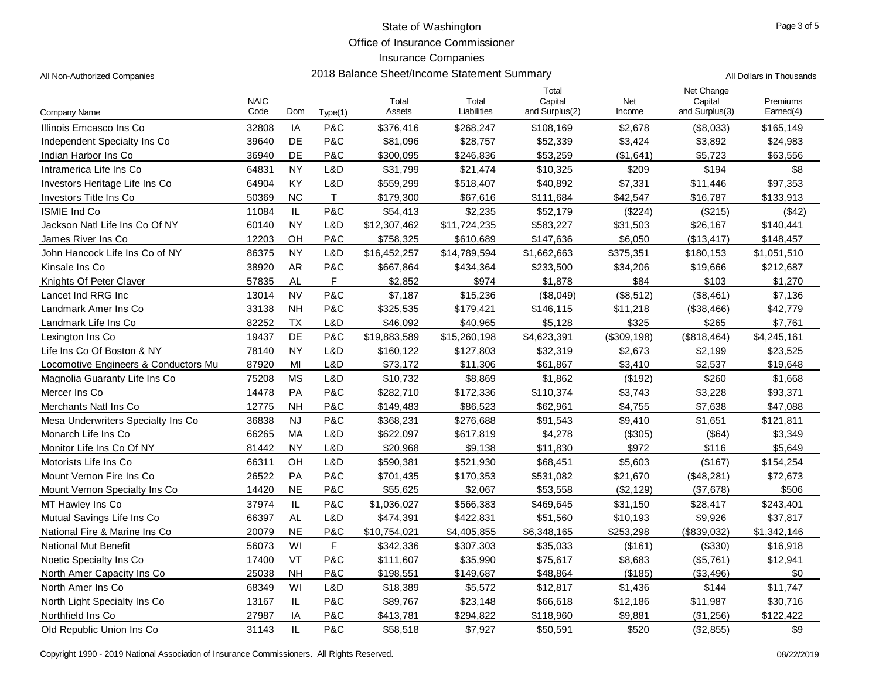Office of Insurance Commissioner

## Insurance Companies

| All Non-Authorized Companies         |                     | 2018 Balance Sheet/Income Statement Summary | All Dollars in Thousands |                 |                      |                                    |               |                                         |                       |
|--------------------------------------|---------------------|---------------------------------------------|--------------------------|-----------------|----------------------|------------------------------------|---------------|-----------------------------------------|-----------------------|
| Company Name                         | <b>NAIC</b><br>Code | Dom                                         | Type(1)                  | Total<br>Assets | Total<br>Liabilities | Total<br>Capital<br>and Surplus(2) | Net<br>Income | Net Change<br>Capital<br>and Surplus(3) | Premiums<br>Earned(4) |
| Illinois Emcasco Ins Co              | 32808               | IA                                          | P&C                      | \$376,416       | \$268,247            | \$108,169                          | \$2,678       | (\$8,033)                               | \$165,149             |
| Independent Specialty Ins Co         | 39640               | DE                                          | P&C                      | \$81,096        | \$28,757             | \$52,339                           | \$3,424       | \$3,892                                 | \$24,983              |
| Indian Harbor Ins Co                 | 36940               | DE                                          | P&C                      | \$300,095       | \$246,836            | \$53,259                           | (\$1,641)     | \$5,723                                 | \$63,556              |
| Intramerica Life Ins Co              | 64831               | <b>NY</b>                                   | L&D                      | \$31,799        | \$21,474             | \$10,325                           | \$209         | \$194                                   | \$8                   |
| Investors Heritage Life Ins Co       | 64904               | KY                                          | L&D                      | \$559,299       | \$518,407            | \$40,892                           | \$7,331       | \$11,446                                | \$97,353              |
| Investors Title Ins Co               | 50369               | <b>NC</b>                                   | T                        | \$179,300       | \$67,616             | \$111,684                          | \$42,547      | \$16,787                                | \$133,913             |
| <b>ISMIE Ind Co</b>                  | 11084               | IL                                          | P&C                      | \$54,413        | \$2,235              | \$52,179                           | (\$224)       | (\$215)                                 | (\$42)                |
| Jackson Natl Life Ins Co Of NY       | 60140               | <b>NY</b>                                   | L&D                      | \$12,307,462    | \$11,724,235         | \$583,227                          | \$31,503      | \$26,167                                | \$140,441             |
| James River Ins Co                   | 12203               | OH                                          | P&C                      | \$758,325       | \$610,689            | \$147,636                          | \$6,050       | (\$13,417)                              | \$148,457             |
| John Hancock Life Ins Co of NY       | 86375               | <b>NY</b>                                   | L&D                      | \$16,452,257    | \$14,789,594         | \$1,662,663                        | \$375,351     | \$180,153                               | \$1,051,510           |
| Kinsale Ins Co                       | 38920               | <b>AR</b>                                   | P&C                      | \$667,864       | \$434,364            | \$233,500                          | \$34,206      | \$19,666                                | \$212,687             |
| Knights Of Peter Claver              | 57835               | AL                                          | F                        | \$2,852         | \$974                | \$1,878                            | \$84          | \$103                                   | \$1,270               |
| Lancet Ind RRG Inc                   | 13014               | <b>NV</b>                                   | P&C                      | \$7,187         | \$15,236             | (\$8,049)                          | (\$8,512)     | (\$8,461)                               | \$7,136               |
| Landmark Amer Ins Co                 | 33138               | <b>NH</b>                                   | P&C                      | \$325,535       | \$179,421            | \$146,115                          | \$11,218      | (\$38,466)                              | \$42,779              |
| Landmark Life Ins Co                 | 82252               | <b>TX</b>                                   | L&D                      | \$46,092        | \$40,965             | \$5,128                            | \$325         | \$265                                   | \$7,761               |
| Lexington Ins Co                     | 19437               | DE                                          | P&C                      | \$19,883,589    | \$15,260,198         | \$4,623,391                        | (\$309, 198)  | (\$818,464)                             | \$4,245,161           |
| Life Ins Co Of Boston & NY           | 78140               | <b>NY</b>                                   | L&D                      | \$160,122       | \$127,803            | \$32,319                           | \$2,673       | \$2,199                                 | \$23,525              |
| Locomotive Engineers & Conductors Mu | 87920               | MI                                          | L&D                      | \$73,172        | \$11,306             | \$61,867                           | \$3,410       | \$2,537                                 | \$19,648              |
| Magnolia Guaranty Life Ins Co        | 75208               | <b>MS</b>                                   | L&D                      | \$10,732        | \$8,869              | \$1,862                            | (\$192)       | \$260                                   | \$1,668               |
| Mercer Ins Co                        | 14478               | PA                                          | P&C                      | \$282,710       | \$172,336            | \$110,374                          | \$3,743       | \$3,228                                 | \$93,371              |
| Merchants Natl Ins Co                | 12775               | <b>NH</b>                                   | P&C                      | \$149,483       | \$86,523             | \$62,961                           | \$4,755       | \$7,638                                 | \$47,088              |
| Mesa Underwriters Specialty Ins Co.  | 36838               | <b>NJ</b>                                   | P&C                      | \$368,231       | \$276,688            | \$91,543                           | \$9,410       | \$1,651                                 | \$121,811             |
| Monarch Life Ins Co                  | 66265               | МA                                          | L&D                      | \$622,097       | \$617,819            | \$4,278                            | (\$305)       | (\$64)                                  | \$3,349               |
| Monitor Life Ins Co Of NY            | 81442               | <b>NY</b>                                   | L&D                      | \$20,968        | \$9,138              | \$11,830                           | \$972         | \$116                                   | \$5,649               |
| Motorists Life Ins Co                | 66311               | OH                                          | L&D                      | \$590,381       | \$521,930            | \$68,451                           | \$5,603       | (\$167)                                 | \$154,254             |
| Mount Vernon Fire Ins Co             | 26522               | <b>PA</b>                                   | P&C                      | \$701,435       | \$170,353            | \$531,082                          | \$21,670      | (\$48,281)                              | \$72,673              |
| Mount Vernon Specialty Ins Co.       | 14420               | <b>NE</b>                                   | P&C                      | \$55,625        | \$2,067              | \$53,558                           | (\$2,129)     | (\$7,678)                               | \$506                 |
| MT Hawley Ins Co                     | 37974               | IL                                          | P&C                      | \$1,036,027     | \$566,383            | \$469,645                          | \$31,150      | \$28,417                                | \$243,401             |
| Mutual Savings Life Ins Co           | 66397               | AL.                                         | L&D                      | \$474,391       | \$422,831            | \$51,560                           | \$10,193      | \$9,926                                 | \$37,817              |
| National Fire & Marine Ins Co        | 20079               | <b>NE</b>                                   | P&C                      | \$10,754,021    | \$4,405,855          | \$6,348,165                        | \$253,298     | (\$839,032)                             | \$1,342,146           |
| <b>National Mut Benefit</b>          | 56073               | WI                                          | F                        | \$342,336       | \$307,303            | \$35,033                           | (\$161)       | (\$330)                                 | \$16,918              |
| Noetic Specialty Ins Co              | 17400               | VT                                          | P&C                      | \$111,607       | \$35,990             | \$75,617                           | \$8,683       | (\$5,761)                               | \$12,941              |
| North Amer Capacity Ins Co           | 25038               | <b>NH</b>                                   | P&C                      | \$198,551       | \$149,687            | \$48,864                           | (\$185)       | ( \$3,496)                              | \$0                   |
| North Amer Ins Co                    | 68349               | WI                                          | L&D                      | \$18,389        | \$5,572              | \$12,817                           | \$1,436       | \$144                                   | \$11,747              |
| North Light Specialty Ins Co         | 13167               | IL.                                         | P&C                      | \$89,767        | \$23,148             | \$66,618                           | \$12,186      | \$11,987                                | \$30,716              |
| Northfield Ins Co.                   | 27987               | IA                                          | P&C                      | \$413,781       | \$294,822            | \$118,960                          | \$9,881       | (\$1,256)                               | \$122,422             |
| Old Republic Union Ins Co            | 31143               | IL                                          | P&C                      | \$58,518        | \$7,927              | \$50,591                           | \$520         | (\$2,855)                               | \$9                   |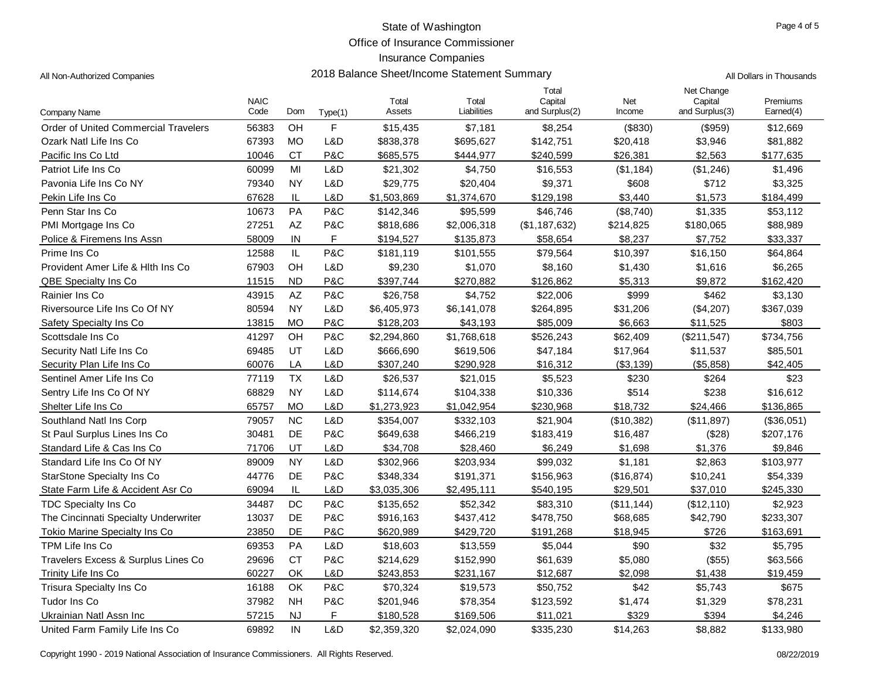Office of Insurance Commissioner

2018 Balance Sheet/Income Statement Summary **All Dollars in Thousands** All Dollars in Thousands

| All Non-Authorized Companies |
|------------------------------|
|------------------------------|

| Company Name                                | <b>NAIC</b><br>Code | Dom           | Type(1) | Total<br>Assets | Total<br>Liabilities | Total<br>Capital<br>and Surplus(2) | Net<br>Income | Net Change<br>Capital<br>and Surplus(3) | Premiums<br>Earned(4) |
|---------------------------------------------|---------------------|---------------|---------|-----------------|----------------------|------------------------------------|---------------|-----------------------------------------|-----------------------|
| <b>Order of United Commercial Travelers</b> | 56383               | OH            | F       | \$15,435        | \$7,181              | \$8,254                            | (\$830)       | (\$959)                                 | \$12,669              |
| Ozark Natl Life Ins Co                      | 67393               | <b>MO</b>     | L&D     | \$838,378       | \$695,627            | \$142,751                          | \$20,418      | \$3,946                                 | \$81,882              |
| Pacific Ins Co Ltd                          | 10046               | <b>CT</b>     | P&C     | \$685,575       | \$444,977            | \$240,599                          | \$26,381      | \$2,563                                 | \$177,635             |
| Patriot Life Ins Co                         | 60099               | MI            | L&D     | \$21,302        | \$4,750              | \$16,553                           | (\$1,184)     | (\$1,246)                               | \$1,496               |
| Pavonia Life Ins Co NY                      | 79340               | <b>NY</b>     | L&D     | \$29,775        | \$20,404             | \$9,371                            | \$608         | \$712                                   | \$3,325               |
| Pekin Life Ins Co                           | 67628               | $\mathsf{IL}$ | L&D     | \$1,503,869     | \$1,374,670          | \$129,198                          | \$3,440       | \$1,573                                 | \$184,499             |
| Penn Star Ins Co                            | 10673               | PA            | P&C     | \$142,346       | \$95,599             | \$46,746                           | (\$8,740)     | \$1,335                                 | \$53,112              |
| PMI Mortgage Ins Co                         | 27251               | AΖ            | P&C     | \$818,686       | \$2,006,318          | (\$1,187,632)                      | \$214,825     | \$180,065                               | \$88,989              |
| Police & Firemens Ins Assn                  | 58009               | IN            | F       | \$194,527       | \$135,873            | \$58,654                           | \$8,237       | \$7,752                                 | \$33,337              |
| Prime Ins Co                                | 12588               | IL            | P&C     | \$181,119       | \$101,555            | \$79,564                           | \$10,397      | \$16,150                                | \$64,864              |
| Provident Amer Life & Hith Ins Co.          | 67903               | OH            | L&D     | \$9,230         | \$1,070              | \$8,160                            | \$1,430       | \$1,616                                 | \$6,265               |
| <b>QBE Specialty Ins Co</b>                 | 11515               | <b>ND</b>     | P&C     | \$397,744       | \$270,882            | \$126,862                          | \$5,313       | \$9,872                                 | \$162,420             |
| Rainier Ins Co                              | 43915               | AZ            | P&C     | \$26,758        | \$4,752              | \$22,006                           | \$999         | \$462                                   | \$3,130               |
| Riversource Life Ins Co Of NY               | 80594               | <b>NY</b>     | L&D     | \$6,405,973     | \$6,141,078          | \$264,895                          | \$31,206      | (\$4,207)                               | \$367,039             |
| Safety Specialty Ins Co                     | 13815               | <b>MO</b>     | P&C     | \$128,203       | \$43,193             | \$85,009                           | \$6,663       | \$11,525                                | \$803                 |
| Scottsdale Ins Co                           | 41297               | OH            | P&C     | \$2,294,860     | \$1,768,618          | \$526,243                          | \$62,409      | (\$211,547)                             | \$734,756             |
| Security Natl Life Ins Co                   | 69485               | UT            | L&D     | \$666,690       | \$619,506            | \$47,184                           | \$17,964      | \$11,537                                | \$85,501              |
| Security Plan Life Ins Co                   | 60076               | LA            | L&D     | \$307,240       | \$290,928            | \$16,312                           | (\$3,139)     | (\$5,858)                               | \$42,405              |
| Sentinel Amer Life Ins Co                   | 77119               | <b>TX</b>     | L&D     | \$26,537        | \$21,015             | \$5,523                            | \$230         | \$264                                   | \$23                  |
| Sentry Life Ins Co Of NY                    | 68829               | <b>NY</b>     | L&D     | \$114,674       | \$104,338            | \$10,336                           | \$514         | \$238                                   | \$16,612              |
| Shelter Life Ins Co                         | 65757               | <b>MO</b>     | L&D     | \$1,273,923     | \$1,042,954          | \$230,968                          | \$18,732      | \$24.466                                | \$136,865             |
| Southland Natl Ins Corp                     | 79057               | <b>NC</b>     | L&D     | \$354,007       | \$332,103            | \$21,904                           | (\$10,382)    | (\$11,897)                              | (\$36,051)            |
| St Paul Surplus Lines Ins Co                | 30481               | DE            | P&C     | \$649,638       | \$466,219            | \$183,419                          | \$16,487      | (\$28)                                  | \$207,176             |
| Standard Life & Cas Ins Co                  | 71706               | UT            | L&D     | \$34,708        | \$28,460             | \$6,249                            | \$1,698       | \$1,376                                 | \$9,846               |
| Standard Life Ins Co Of NY                  | 89009               | <b>NY</b>     | L&D     | \$302,966       | \$203,934            | \$99,032                           | \$1,181       | \$2,863                                 | \$103,977             |
| <b>StarStone Specialty Ins Co</b>           | 44776               | DE            | P&C     | \$348,334       | \$191,371            | \$156,963                          | (\$16,874)    | \$10,241                                | \$54,339              |
| State Farm Life & Accident Asr Co           | 69094               | IL            | L&D     | \$3,035,306     | \$2,495,111          | \$540,195                          | \$29,501      | \$37,010                                | \$245,330             |
| <b>TDC Specialty Ins Co</b>                 | 34487               | DC            | P&C     | \$135,652       | \$52,342             | \$83,310                           | (\$11, 144)   | (\$12,110)                              | \$2,923               |
| The Cincinnati Specialty Underwriter        | 13037               | DE            | P&C     | \$916,163       | \$437,412            | \$478,750                          | \$68,685      | \$42,790                                | \$233,307             |
| Tokio Marine Specialty Ins Co               | 23850               | DE            | P&C     | \$620,989       | \$429,720            | \$191,268                          | \$18,945      | \$726                                   | \$163,691             |
| TPM Life Ins Co                             | 69353               | PA            | L&D     | \$18,603        | \$13,559             | \$5,044                            | \$90          | \$32                                    | \$5,795               |
| Travelers Excess & Surplus Lines Co         | 29696               | <b>CT</b>     | P&C     | \$214,629       | \$152,990            | \$61,639                           | \$5,080       | (\$55)                                  | \$63,566              |
| Trinity Life Ins Co                         | 60227               | OK            | L&D     | \$243,853       | \$231,167            | \$12,687                           | \$2.098       | \$1,438                                 | \$19,459              |
| Trisura Specialty Ins Co                    | 16188               | OK            | P&C     | \$70,324        | \$19,573             | \$50,752                           | \$42          | \$5,743                                 | \$675                 |
| Tudor Ins Co                                | 37982               | <b>NH</b>     | P&C     | \$201,946       | \$78,354             | \$123,592                          | \$1,474       | \$1,329                                 | \$78,231              |
| Ukrainian Natl Assn Inc                     | 57215               | <b>NJ</b>     | F       | \$180,528       | \$169,506            | \$11,021                           | \$329         | \$394                                   | \$4,246               |
| United Farm Family Life Ins Co              | 69892               | IN            | L&D     | \$2,359,320     | \$2,024,090          | \$335,230                          | \$14,263      | \$8,882                                 | \$133,980             |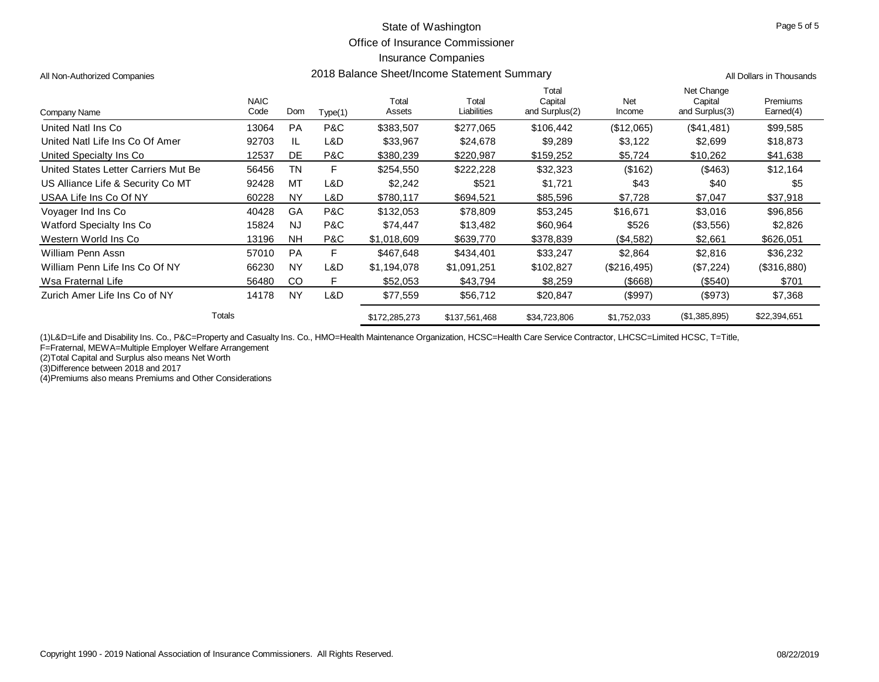Office of Insurance Commissioner

### Insurance Companies

| All Non-Authorized Companies         |                     | 2018 Balance Sheet/Income Statement Summary | All Dollars in Thousands |                 |                      |                                    |               |                                         |                       |
|--------------------------------------|---------------------|---------------------------------------------|--------------------------|-----------------|----------------------|------------------------------------|---------------|-----------------------------------------|-----------------------|
| Company Name                         | <b>NAIC</b><br>Code | Dom                                         | Type(1)                  | Total<br>Assets | Total<br>Liabilities | Total<br>Capital<br>and Surplus(2) | Net<br>Income | Net Change<br>Capital<br>and Surplus(3) | Premiums<br>Earned(4) |
| United Natl Ins Co.                  | 13064               | <b>PA</b>                                   | P&C                      | \$383,507       | \$277,065            | \$106,442                          | (\$12,065)    | (\$41,481)                              | \$99,585              |
| United Natl Life Ins Co Of Amer      | 92703               | IL.                                         | L&D                      | \$33,967        | \$24,678             | \$9,289                            | \$3,122       | \$2,699                                 | \$18,873              |
| United Specialty Ins Co.             | 12537               | DE                                          | P&C                      | \$380,239       | \$220,987            | \$159,252                          | \$5,724       | \$10,262                                | \$41,638              |
| United States Letter Carriers Mut Be | 56456               | TN                                          | F                        | \$254,550       | \$222,228            | \$32,323                           | (\$162)       | ( \$463)                                | \$12,164              |
| US Alliance Life & Security Co MT    | 92428               | MT                                          | L&D                      | \$2,242         | \$521                | \$1,721                            | \$43          | \$40                                    | \$5                   |
| USAA Life Ins Co Of NY               | 60228               | <b>NY</b>                                   | L&D                      | \$780,117       | \$694,521            | \$85,596                           | \$7,728       | \$7,047                                 | \$37,918              |
| Voyager Ind Ins Co                   | 40428               | GA                                          | P&C                      | \$132,053       | \$78,809             | \$53,245                           | \$16,671      | \$3,016                                 | \$96,856              |
| Watford Specialty Ins Co.            | 15824               | <b>NJ</b>                                   | P&C                      | \$74,447        | \$13,482             | \$60,964                           | \$526         | (\$3,556)                               | \$2,826               |
| Western World Ins Co.                | 13196               | <b>NH</b>                                   | P&C                      | \$1,018,609     | \$639,770            | \$378,839                          | (\$4,582)     | \$2,661                                 | \$626,051             |
| William Penn Assn                    | 57010               | <b>PA</b>                                   | F                        | \$467,648       | \$434,401            | \$33,247                           | \$2,864       | \$2,816                                 | \$36,232              |
| William Penn Life Ins Co Of NY       | 66230               | <b>NY</b>                                   | L&D                      | \$1,194,078     | \$1,091,251          | \$102,827                          | (\$216,495)   | (\$7,224)                               | (S316,880)            |
| Wsa Fraternal Life                   | 56480               | CO                                          | F                        | \$52,053        | \$43,794             | \$8,259                            | $($ \$668)    | (\$540)                                 | \$701                 |
| Zurich Amer Life Ins Co of NY        | 14178               | <b>NY</b>                                   | L&D                      | \$77,559        | \$56,712             | \$20,847                           | (\$997)       | (\$973)                                 | \$7,368               |
|                                      | Totals              |                                             |                          | \$172,285,273   | \$137,561,468        | \$34,723,806                       | \$1,752,033   | (\$1,385,895)                           | \$22,394,651          |

(1)L&D=Life and Disability Ins. Co., P&C=Property and Casualty Ins. Co., HMO=Health Maintenance Organization, HCSC=Health Care Service Contractor, LHCSC=Limited HCSC, T=Title,

F=Fraternal, MEWA=Multiple Employer Welfare Arrangement

(2)Total Capital and Surplus also means Net Worth

(3)Difference between 2018 and 2017

(4)Premiums also means Premiums and Other Considerations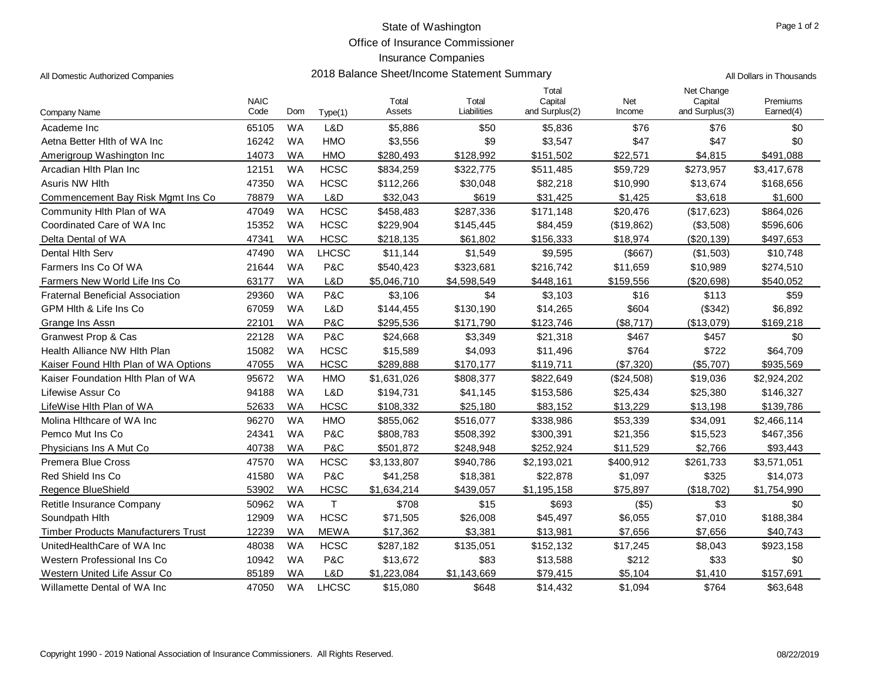Office of Insurance Commissioner

| All Domestic Authorized Companies       |                     |           | All Dollars in Thousands |                 |                      |                                    |               |                                         |                       |
|-----------------------------------------|---------------------|-----------|--------------------------|-----------------|----------------------|------------------------------------|---------------|-----------------------------------------|-----------------------|
| Company Name                            | <b>NAIC</b><br>Code | Dom       | Type(1)                  | Total<br>Assets | Total<br>Liabilities | Total<br>Capital<br>and Surplus(2) | Net<br>Income | Net Change<br>Capital<br>and Surplus(3) | Premiums<br>Earned(4) |
| Academe Inc                             | 65105               | <b>WA</b> | L&D                      | \$5,886         | \$50                 | \$5,836                            | \$76          | \$76                                    | \$0                   |
| Aetna Better Hith of WA Inc             | 16242               | <b>WA</b> | <b>HMO</b>               | \$3,556         | \$9                  | \$3,547                            | \$47          | \$47                                    | \$0                   |
| Amerigroup Washington Inc               | 14073               | <b>WA</b> | <b>HMO</b>               | \$280,493       | \$128,992            | \$151,502                          | \$22,571      | \$4,815                                 | \$491,088             |
| Arcadian Hlth Plan Inc                  | 12151               | <b>WA</b> | <b>HCSC</b>              | \$834,259       | \$322,775            | \$511,485                          | \$59,729      | \$273,957                               | \$3,417,678           |
| Asuris NW Hlth                          | 47350               | <b>WA</b> | <b>HCSC</b>              | \$112,266       | \$30,048             | \$82,218                           | \$10,990      | \$13,674                                | \$168,656             |
| Commencement Bay Risk Mgmt Ins Co       | 78879               | <b>WA</b> | L&D                      | \$32,043        | \$619                | \$31,425                           | \$1,425       | \$3,618                                 | \$1,600               |
| Community Hlth Plan of WA               | 47049               | <b>WA</b> | <b>HCSC</b>              | \$458,483       | \$287,336            | \$171,148                          | \$20,476      | (\$17,623)                              | \$864,026             |
| Coordinated Care of WA Inc              | 15352               | <b>WA</b> | <b>HCSC</b>              | \$229,904       | \$145,445            | \$84,459                           | (\$19,862)    | (\$3,508)                               | \$596,606             |
| Delta Dental of WA                      | 47341               | <b>WA</b> | <b>HCSC</b>              | \$218,135       | \$61,802             | \$156,333                          | \$18,974      | (\$20,139)                              | \$497,653             |
| Dental Hith Serv                        | 47490               | <b>WA</b> | <b>LHCSC</b>             | \$11,144        | \$1,549              | \$9,595                            | (\$667)       | (\$1,503)                               | \$10,748              |
| Farmers Ins Co Of WA                    | 21644               | <b>WA</b> | P&C                      | \$540,423       | \$323,681            | \$216,742                          | \$11,659      | \$10,989                                | \$274,510             |
| Farmers New World Life Ins Co           | 63177               | <b>WA</b> | L&D                      | \$5,046,710     | \$4,598,549          | \$448,161                          | \$159,556     | (\$20,698)                              | \$540,052             |
| <b>Fraternal Beneficial Association</b> | 29360               | <b>WA</b> | <b>P&amp;C</b>           | \$3,106         | \$4                  | \$3,103                            | \$16          | \$113                                   | \$59                  |
| GPM Hith & Life Ins Co                  | 67059               | <b>WA</b> | L&D                      | \$144,455       | \$130,190            | \$14,265                           | \$604         | (\$342)                                 | \$6,892               |
| Grange Ins Assn                         | 22101               | <b>WA</b> | <b>P&amp;C</b>           | \$295,536       | \$171,790            | \$123,746                          | (\$8,717)     | (\$13,079)                              | \$169,218             |
| Granwest Prop & Cas                     | 22128               | <b>WA</b> | <b>P&amp;C</b>           | \$24,668        | \$3,349              | \$21,318                           | \$467         | \$457                                   | \$0                   |
| Health Alliance NW Hlth Plan            | 15082               | <b>WA</b> | <b>HCSC</b>              | \$15,589        | \$4,093              | \$11,496                           | \$764         | \$722                                   | \$64,709              |
| Kaiser Found Hlth Plan of WA Options    | 47055               | <b>WA</b> | <b>HCSC</b>              | \$289,888       | \$170,177            | \$119,711                          | (\$7,320)     | (\$5,707)                               | \$935,569             |
| Kaiser Foundation Hlth Plan of WA       | 95672               | <b>WA</b> | <b>HMO</b>               | \$1,631,026     | \$808,377            | \$822,649                          | (\$24,508)    | \$19,036                                | \$2,924,202           |
| Lifewise Assur Co                       | 94188               | <b>WA</b> | L&D                      | \$194,731       | \$41,145             | \$153,586                          | \$25,434      | \$25,380                                | \$146,327             |
| LifeWise Hlth Plan of WA                | 52633               | <b>WA</b> | <b>HCSC</b>              | \$108,332       | \$25,180             | \$83,152                           | \$13,229      | \$13,198                                | \$139,786             |
| Molina Hithcare of WA Inc               | 96270               | <b>WA</b> | <b>HMO</b>               | \$855,062       | \$516,077            | \$338,986                          | \$53,339      | \$34,091                                | \$2,466,114           |
| Pemco Mut Ins Co                        | 24341               | <b>WA</b> | P&C                      | \$808,783       | \$508,392            | \$300,391                          | \$21,356      | \$15,523                                | \$467,356             |
| Physicians Ins A Mut Co                 | 40738               | <b>WA</b> | P&C                      | \$501,872       | \$248,948            | \$252,924                          | \$11,529      | \$2,766                                 | \$93,443              |
| Premera Blue Cross                      | 47570               | <b>WA</b> | <b>HCSC</b>              | \$3,133,807     | \$940,786            | \$2,193,021                        | \$400,912     | \$261,733                               | \$3,571,051           |
| Red Shield Ins Co                       | 41580               | <b>WA</b> | P&C                      | \$41,258        | \$18,381             | \$22,878                           | \$1,097       | \$325                                   | \$14,073              |
| Regence BlueShield                      | 53902               | <b>WA</b> | <b>HCSC</b>              | \$1,634,214     | \$439,057            | \$1,195,158                        | \$75,897      | (\$18,702)                              | \$1,754,990           |
| Retitle Insurance Company               | 50962               | <b>WA</b> | $\mathsf T$              | \$708           | \$15                 | \$693                              | $($ \$5)      | \$3                                     | \$0                   |
| Soundpath Hith                          | 12909               | <b>WA</b> | <b>HCSC</b>              | \$71,505        | \$26,008             | \$45,497                           | \$6,055       | \$7,010                                 | \$188,384             |
| Timber Products Manufacturers Trust     | 12239               | <b>WA</b> | <b>MEWA</b>              | \$17,362        | \$3,381              | \$13,981                           | \$7,656       | \$7,656                                 | \$40,743              |
| UnitedHealthCare of WA Inc              | 48038               | <b>WA</b> | <b>HCSC</b>              | \$287,182       | \$135,051            | \$152,132                          | \$17,245      | \$8,043                                 | \$923,158             |
| Western Professional Ins Co             | 10942               | <b>WA</b> | P&C                      | \$13,672        | \$83                 | \$13,588                           | \$212         | \$33                                    | \$0                   |
| Western United Life Assur Co            | 85189               | <b>WA</b> | L&D                      | \$1,223,084     | \$1,143,669          | \$79,415                           | \$5,104       | \$1,410                                 | \$157,691             |
| Willamette Dental of WA Inc             | 47050               | <b>WA</b> | <b>LHCSC</b>             | \$15,080        | \$648                | \$14,432                           | \$1,094       | \$764                                   | \$63,648              |